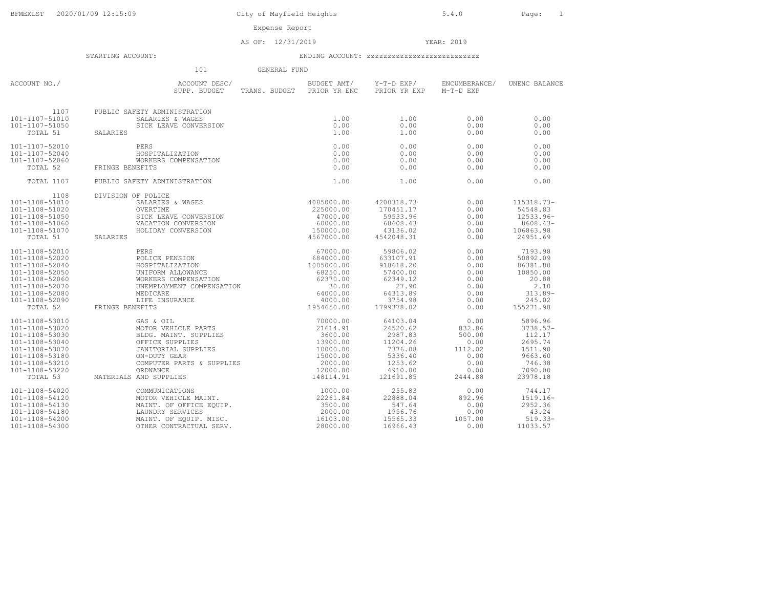City of Mayfield Heights 5.4.0 Page: 1

Expense Report

AS OF: 12/31/2019 YEAR: 2019

|                                  | 101                                                                                                                                                                                                                                            | GENERAL FUND               |                                        |                            |                     |
|----------------------------------|------------------------------------------------------------------------------------------------------------------------------------------------------------------------------------------------------------------------------------------------|----------------------------|----------------------------------------|----------------------------|---------------------|
| ACCOUNT NO./                     | ACCOUNT DESC/<br>SUPP. BUDGET                                                                                                                                                                                                                  | TRANS. BUDGET PRIOR YR ENC | BUDGET AMT/ Y-T-D EXP/<br>PRIOR YR EXP | ENCUMBERANCE/<br>M-T-D EXP | UNENC BALANCE       |
| 1107                             | PUBLIC SAFETY ADMINISTRATION                                                                                                                                                                                                                   |                            |                                        |                            |                     |
| 101-1107-51010                   |                                                                                                                                                                                                                                                | 1.00                       | 1.00                                   | 0.00                       | 0.00                |
| 101-1107-51050                   |                                                                                                                                                                                                                                                | 0.00                       | 0.00                                   | 0.00                       | 0.00                |
| TOTAL 51                         | SALARIES                                                                                                                                                                                                                                       | 1.00                       | 1.00                                   | 0.00                       | 0.00                |
| 101-1107-52010                   |                                                                                                                                                                                                                                                | 0.00                       | 0.00                                   | 0.00                       | 0.00                |
| 101-1107-52040                   |                                                                                                                                                                                                                                                | 0.00                       | 0.00                                   | 0.00                       | 0.00                |
| 101-1107-52060                   |                                                                                                                                                                                                                                                | 0.00                       | 0.00                                   | 0.00                       | 0.00                |
| TOTAL 52                         | FRINGE BENEFITS                                                                                                                                                                                                                                | 0.00                       | 0.00                                   | 0.00                       | 0.00                |
| TOTAL 1107                       | FETY ADMINISTRATION<br>SALARIES & WAGES<br>SICK LEAVE CONVERSION<br>PERS<br>HOSPITALIZATION<br>WORKERS COMPENSATION<br>NEFITS<br>FETY ADMINISTRATION<br>OF POLICE<br>PUBLIC SAFETY ADMINISTRATION                                              | 1.00                       | 1.00                                   | 0.00                       | 0.00                |
| 1108                             | DIVISION OF POLICE                                                                                                                                                                                                                             |                            |                                        |                            |                     |
| 101-1108-51010                   |                                                                                                                                                                                                                                                |                            | 4200318.73                             | 0.00                       | 115318.73-          |
| 101-1108-51020                   |                                                                                                                                                                                                                                                |                            | 170451.17                              | 0.00                       | 54548.83            |
| 101-1108-51050                   |                                                                                                                                                                                                                                                |                            | 59533.96                               | 0.00                       | 12533.96-           |
| 101-1108-51060                   |                                                                                                                                                                                                                                                |                            | 68608.43                               | 0.00                       | 8608.43-            |
| 101-1108-51070                   |                                                                                                                                                                                                                                                |                            | 43136.02                               | 0.00                       | 106863.98           |
| TOTAL 51                         | SALARIES                                                                                                                                                                                                                                       |                            | 4542048.31                             | 0.00                       | 24951.69            |
| 101-1108-52010                   |                                                                                                                                                                                                                                                |                            | 59806.02                               | 0.00                       | 7193.98             |
| 101-1108-52020                   |                                                                                                                                                                                                                                                |                            | 633107.91                              | 0.00                       | 50892.09            |
| 101-1108-52040                   |                                                                                                                                                                                                                                                |                            | 918618.20                              | 0.00                       | 86381.80            |
| 101-1108-52050                   |                                                                                                                                                                                                                                                |                            | 57400.00                               | 0.00                       | 10850.00            |
| 101-1108-52060                   |                                                                                                                                                                                                                                                |                            | 62349.12                               | 0.00                       | 20.88               |
| 101-1108-52070                   |                                                                                                                                                                                                                                                |                            | 27.90                                  | 0.00                       | 2.10                |
| 101-1108-52080                   |                                                                                                                                                                                                                                                |                            | 64313.89                               | 0.00                       | $313.89-$           |
| 101-1108-52090                   |                                                                                                                                                                                                                                                |                            | 3754.98                                | 0.00                       | 245.02              |
| TOTAL 52                         | FRINGE BENEFITS                                                                                                                                                                                                                                |                            | 1799378.02                             | 0.00                       | 155271.98           |
| 101-1108-53010                   |                                                                                                                                                                                                                                                |                            | 64103.04                               | 0.00                       | 5896.96             |
| 101-1108-53020                   |                                                                                                                                                                                                                                                |                            | 24520.62                               | 832.86                     | $3738.57-$          |
| 101-1108-53030                   |                                                                                                                                                                                                                                                |                            | 2987.83                                | 500.00                     | 112.17              |
| 101-1108-53040                   |                                                                                                                                                                                                                                                |                            | 11204.26                               | 0.00                       | 2695.74             |
| 101-1108-53070                   | JANITOKIAL JOILLEL<br>ON-DUTY GEAR & SUPPLIES (2000.00<br>COMPUTER PARTS & SUPPLIES (2000.00                                                                                                                                                   |                            | 7376.08                                | 1112.02                    | 1511.90             |
| 101-1108-53180                   |                                                                                                                                                                                                                                                |                            | 5336.40                                | 0.00                       | 9663.60             |
| 101-1108-53210<br>101-1108-53220 |                                                                                                                                                                                                                                                |                            | 1253.62<br>4910.00                     | 0.00<br>0.00               | 746.38              |
| TOTAL 53                         | MATERIALS AND SUPPLIES                                                                                                                                                                                                                         |                            | 121691.85                              | 2444.88                    | 7090.00<br>23978.18 |
| 101-1108-54020                   | ORNNANCE 12000.00<br>ORNANCE 12000.00<br>MD SUPPLIES 148114.91<br>COMMUNICATIONS 1000.00<br>MOTOR VEHICLE MAINT. 22261.84<br>MAINT. OF OFFICE EQUIP. 22261.84<br>MAINT. OF OFFICE EQUIP. 1500.00<br>LAUNDRY SERVICES 2000.00<br>MAINT. OF EQUI |                            | 255.83                                 | 0.00                       | 744.17              |
| 101-1108-54120                   |                                                                                                                                                                                                                                                |                            | 22888.04                               | 892.96                     | $1519.16-$          |
| 101-1108-54130                   |                                                                                                                                                                                                                                                |                            | 547.64                                 | 0.00                       | 2952.36             |
| 101-1108-54180                   |                                                                                                                                                                                                                                                |                            | 1956.76                                | 0.00                       | 43.24               |
| 101-1108-54200                   |                                                                                                                                                                                                                                                |                            | 15565.33                               | 1057.00                    | $519.33-$           |
| 101-1108-54300                   |                                                                                                                                                                                                                                                |                            | 16966.43                               | 0.00                       | 11033.57            |
|                                  |                                                                                                                                                                                                                                                |                            |                                        |                            |                     |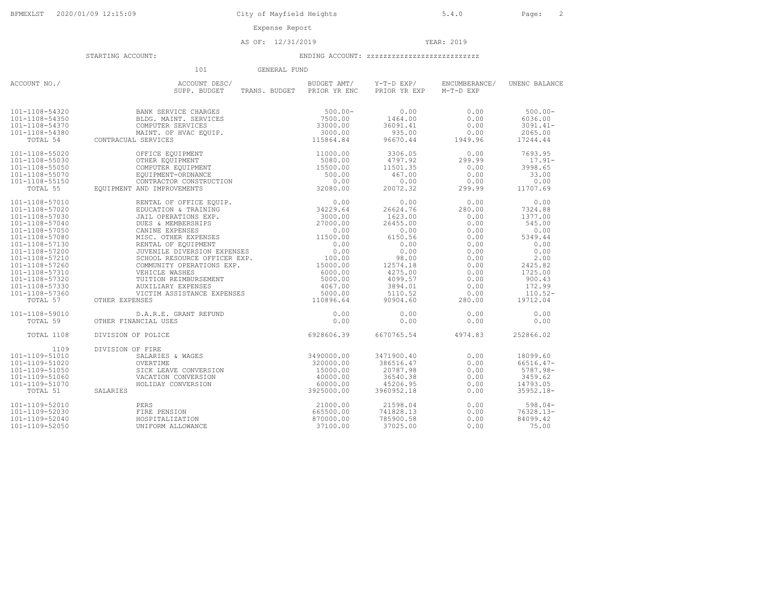AS OF: 12/31/2019 YEAR: 2019

|                | 101<br>GENERAL FUND                                                                                                                                                                                                                                                                                            |                            |                                        |                            |               |
|----------------|----------------------------------------------------------------------------------------------------------------------------------------------------------------------------------------------------------------------------------------------------------------------------------------------------------------|----------------------------|----------------------------------------|----------------------------|---------------|
| ACCOUNT NO./   | ACCOUNT DESC/<br>SUPP. BUDGET                                                                                                                                                                                                                                                                                  | TRANS. BUDGET PRIOR YR ENC | BUDGET AMT/ Y-T-D EXP/<br>PRIOR YR EXP | ENCUMBERANCE/<br>M-T-D EXP | UNENC BALANCE |
| 101-1108-54320 | BANK SERVICE CHARGES                                                                                                                                                                                                                                                                                           | $500.00 -$                 | 0.00                                   | 0.00                       | $500.00 -$    |
| 101-1108-54350 |                                                                                                                                                                                                                                                                                                                |                            | 1464.00                                | 0.00                       | 6036.00       |
| 101-1108-54370 |                                                                                                                                                                                                                                                                                                                |                            | 36091.41                               | 0.00                       | $3091.41 -$   |
| 101-1108-54380 |                                                                                                                                                                                                                                                                                                                |                            | 935.00                                 | 0.00                       | 2065.00       |
| TOTAL 54       | CONTRACUAL SERVICES                                                                                                                                                                                                                                                                                            |                            | 96670.44                               | 1949.96                    | 17244.44      |
|                |                                                                                                                                                                                                                                                                                                                |                            |                                        |                            |               |
| 101-1108-55020 |                                                                                                                                                                                                                                                                                                                |                            | 3306.05                                | 0.00                       | 7693.95       |
| 101-1108-55030 |                                                                                                                                                                                                                                                                                                                |                            | 4797.92                                | 299.99                     | $17.91-$      |
| 101-1108-55050 |                                                                                                                                                                                                                                                                                                                |                            | 11501.35                               | 0.00                       | 3998.65       |
| 101-1108-55070 |                                                                                                                                                                                                                                                                                                                |                            | 467.00                                 | 0.00                       | 33.00         |
| 101-1108-55150 |                                                                                                                                                                                                                                                                                                                |                            | 0.00                                   | 0.00                       | 0.00          |
| TOTAL 55       | $\begin{tabular}{ll} \bf{OFFICE EQUIPMENT} & & & 11000.00 \\ \bf{OTHER EQUIPMENT} & & 5080.00 \\ \bf{COMPUTER F-QUIDENENIT & & 5000.00 \\ \bf{EQUIPINENT-ORDINANCE & & 500.00 \\ \bf{CONTRACTOR CONSTRUCTION & & 500.00 \\ \bf{AND IMPROVEMEMENTS & & 32080.00 \\ \end{tabular}$<br>EOUIPMENT AND IMPROVEMENTS |                            | 20072.32                               | 299.99                     | 11707.69      |
| 101-1108-57010 | RENTAL OF OFFICE EQUIP. 0.00<br>EDUCATION & TRAINING 34229.64<br>JAIL OPERATIONS EXP. 3000.00<br>CUES & MEMBERSHIPS 27000.00<br>CANINE EVERNERS 27000.00                                                                                                                                                       |                            | 0.00                                   | 0.00                       | 0.00          |
| 101-1108-57020 |                                                                                                                                                                                                                                                                                                                |                            | 26624.76                               | 280.00                     | 7324.88       |
| 101-1108-57030 |                                                                                                                                                                                                                                                                                                                |                            | 1623.00                                | 0.00                       | 1377.00       |
| 101-1108-57040 |                                                                                                                                                                                                                                                                                                                |                            | 26455.00                               | 0.00                       | 545.00        |
| 101-1108-57050 | CANINE EXPENSES<br>MISC. OTHER EXPENSES<br>MISC. OTHER EXPENSES<br>RENTAL OF EQUIPMENT<br>0.00                                                                                                                                                                                                                 |                            | 0.00                                   | 0.00                       | 0.00          |
| 101-1108-57080 |                                                                                                                                                                                                                                                                                                                |                            | 6150.56                                | 0.00                       | 5349.44       |
| 101-1108-57130 |                                                                                                                                                                                                                                                                                                                |                            | 0.00                                   | 0.00                       | 0.00          |
| 101-1108-57200 | JUVENILE DIVERSION EXPENSES                                                                                                                                                                                                                                                                                    | 100.00                     | 0.00                                   | 0.00                       | 0.00          |
| 101-1108-57210 | SCHOOL RESOURCE OFFICER EXP.                                                                                                                                                                                                                                                                                   |                            | 98.00                                  | 0.00                       | 2.00          |
| 101-1108-57260 | COMMUNITY OPERATIONS EXP. 15000.00                                                                                                                                                                                                                                                                             |                            | 12574.18                               | 0.00                       | 2425.82       |
| 101-1108-57310 |                                                                                                                                                                                                                                                                                                                |                            | 4275.00                                | 0.00                       | 1725.00       |
| 101-1108-57320 |                                                                                                                                                                                                                                                                                                                |                            | 4099.57                                | 0.00                       | 900.43        |
| 101-1108-57330 |                                                                                                                                                                                                                                                                                                                |                            | 3894.01                                | 0.00                       | 172.99        |
| 101-1108-57360 |                                                                                                                                                                                                                                                                                                                |                            | 5110.52                                | 0.00                       | $110.52 -$    |
| TOTAL 57       | COMMUNITY OFERAIL ON THE READ ON SUBDENTIAL CONTINUES WAS ARREST AND MULTING AN ANGLE AND A SUBDENTIAL CONTINUES AND MULTING ASSESS AND MULTING ASSESS AND MULTING A SUBDENTIAL CONTINUES AND MULTING A SUBDENTIAL CONTINUES A<br>OTHER EXPENSES                                                               |                            | 90904.60                               | 280.00                     | 19712.04      |
| 101-1108-59010 | D.A.R.E. GRANT REFUND                                                                                                                                                                                                                                                                                          | 0.00                       | 0.00                                   | 0.00                       | 0.00          |
| TOTAL 59       | OTHER FINANCIAL USES                                                                                                                                                                                                                                                                                           | 0.00                       | 0.00                                   | 0.00                       | 0.00          |
| TOTAL 1108     | DIVISION OF POLICE                                                                                                                                                                                                                                                                                             | 6928606.39                 | 6670765.54                             | 4974.83                    | 252866.02     |
| 1109           | DIVISION OF FIRE                                                                                                                                                                                                                                                                                               |                            |                                        |                            |               |
| 101-1109-51010 |                                                                                                                                                                                                                                                                                                                |                            | 3471900.40                             | 0.00                       | 18099.60      |
| 101-1109-51020 |                                                                                                                                                                                                                                                                                                                |                            | 386516.47                              | 0.00                       | 66516.47-     |
| 101-1109-51050 |                                                                                                                                                                                                                                                                                                                |                            | 20787.98                               | 0.00                       | 5787.98-      |
| 101-1109-51060 |                                                                                                                                                                                                                                                                                                                |                            | 36540.38                               | 0.00                       | 3459.62       |
| 101-1109-51070 |                                                                                                                                                                                                                                                                                                                |                            | 45206.95                               | 0.00                       | 14793.05      |
| TOTAL 51       | OF FIRE<br>SALARIES & WAGES<br>OVERTIME<br>SICK LEAVE CONVERSION<br>SICK LEAVE CONVERSION<br>VACATION CONVERSION<br>HOLIDAY CONVERSION<br>HOLIDAY CONVERSION<br>3925000.00<br>3925000.00<br>SALARIES                                                                                                           |                            | 3960952.18                             | 0.00                       | $35952.18 -$  |
| 101-1109-52010 | PERS                                                                                                                                                                                                                                                                                                           | 21000.00                   | 21598.04                               | 0.00                       | $598.04-$     |
| 101-1109-52030 | FIRE PENSION                                                                                                                                                                                                                                                                                                   | 665500.00                  | 741828.13                              | 0.00                       | $76328.13 -$  |
| 101-1109-52040 | HOSPITALIZATION                                                                                                                                                                                                                                                                                                | 870000.00                  | 785900.58                              | 0.00                       | 84099.42      |
| 101-1109-52050 | UNIFORM ALLOWANCE                                                                                                                                                                                                                                                                                              | 37100.00                   | 37025.00                               | 0.00                       | 75.00         |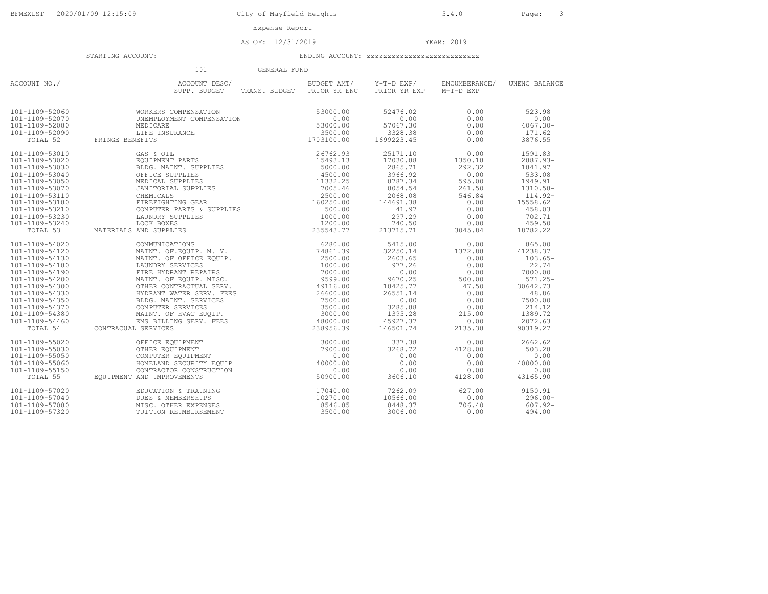AS OF: 12/31/2019 YEAR: 2019

#### STARTING ACCOUNT: ENDING ACCOUNT: zzzzzzzzzzzzzzzzzzzzzzzzzzz

 101 GENERAL FUNDACCOUNT NO./<br>
SUPP. BUDGET TRANS. BUDGET PRIOR YR ENC PRIOR YR EXP M-T-D EXP (UNENC BALANCE  $101-1109-52060$  WORKERS COMPENSATION<br>  $101-1109-52070$  UNEMPLOYMENT COMPENSATION<br>  $101-1109-52080$  DREDICARE<br>  $101-1109-52080$  DREDICARE<br>  $101-1109-52080$  DREDICARE<br>  $101-1109-52080$  DREDICARE<br>  $101-109-52090$  DREDICARE<br>  $\begin{tabular}{@{}c@{}}\n 101-1109-53010 & \begin{tabular}{@{}c@{}} 60.8 & \begin{tabular}{@{}c@{}} 60.8 & \begin{tabular}{@{}c@{}} 60.8 & \begin{tabular}{@{}c@{}} 60.8 & \begin{tabular}{@{}c@{}} 60.8 & \begin{tabular}{@{}c@{}} 60.8 & \begin{tabular}{@{}c@{}} 60.8 & \begin{tabular}{@{}c@{}} 60.8 & \begin{tabular}{@{}c@{}} 60.8 & \begin{tabular}{@{}c@{}} 60.8 & \begin{tabular}{@{}c@$ 101-1109-54020 COMMUNICATIONS 6280.00 5415.00 0.00 865.00 101-1109-54120 MAINT. OF.EQUIP. M. V. 74861.39 32250.14 1372.88 41238.37 101-1109-54130 MAINT. OF OFFICE EQUIP. 2500.00 2603.65 0.00 103.65- 101-1109-54180 LAUNDRY SERVICES 1000.00 977.26 0.00 22.74 101-1109-54190 FIRE HYDRANT REPAIRS 7000.00 0.00 0.00 7000.00 101-1109-54200 MAINT. OF EQUIP. MISC. 9599.00 9670.25 500.00 571.25- 101-1109-54300 OTHER CONTRACTUAL SERV. 49116.00 18425.77 47.50 30642.73 101-1109-54330 HYDRANT WATER SERV. FEES 26600.00 26551.14 0.00 48.86 101-1109-54350 BLDG. MAINT. SERVICES 7500.00 0.00 0.00 7500.00 101-1109-54370 COMPUTER SERVICES 3500.00 3285.88 0.00 214.12 101-1109-54380 MAINT. OF HVAC EUQIP. 3000.00 1395.28 215.00 1389.72 101-1109-54460 EMS BILLING SERV. FEES 48000.00 45927.37 0.00 2072.63 TOTAL 54 CONTRACUAL SERVICES 238956.39 146501.74 2135.38 90319.27  $101-1109-55020 \nonumber \\ 101-1109-55020 \nonumber \\ 101-1109-55050 \nonumber \\ 101-1109-55050 \nonumber \\ 101-1109-55050 \nonumber \\ 101-1109-55050 \nonumber \\ 101-1109-55050 \nonumber \\ 101-1109-55050 \nonumber \\ 101-1109-55050 \nonumber \\ 101-1109-55050 \nonumber \\ 101-1109-55050 \nonumber \\ 101-1109-55$ 101-1109-57020 EDUCATION & TRAINING 17040.00 7262.09 627.00 9150.91 101-1109-57040 DUES & MEMBERSHIPS 10270.00 10566.00 0.00 296.00- 101-1109-57080 MISC. OTHER EXPENSES 8546.85 8448.37 706.40 607.92- 101-1109-57320 TUITION REIMBURSEMENT 3500.00 3006.00 0.00 494.00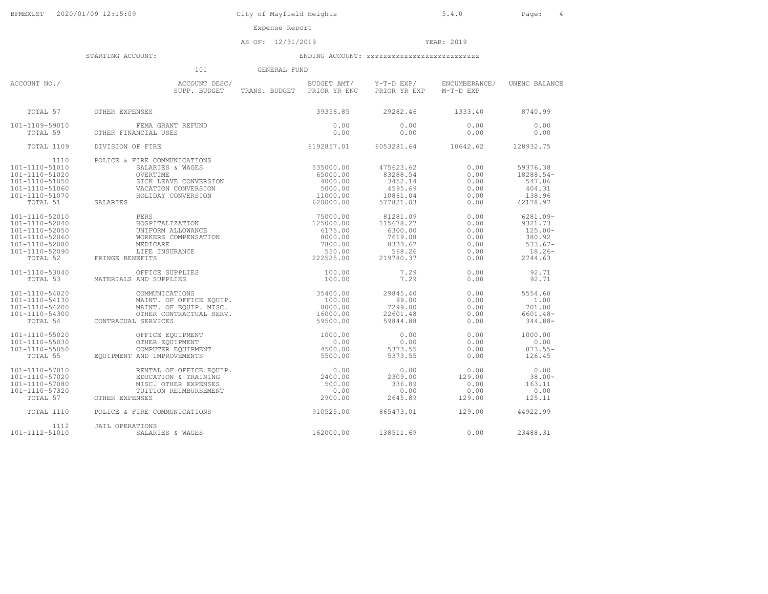AS OF: 12/31/2019 YEAR: 2019

|                                                                                                                      | 101                                                                                                                                                                                                                                                                               | GENERAL FUND |                                                       |                                                                               |                                                      |                                                                                    |
|----------------------------------------------------------------------------------------------------------------------|-----------------------------------------------------------------------------------------------------------------------------------------------------------------------------------------------------------------------------------------------------------------------------------|--------------|-------------------------------------------------------|-------------------------------------------------------------------------------|------------------------------------------------------|------------------------------------------------------------------------------------|
| ACCOUNT NO./                                                                                                         | ACCOUNT DESC/<br>SUPP. BUDGET                                                                                                                                                                                                                                                     |              | BUDGET AMT/<br>TRANS. BUDGET PRIOR YR ENC             | Y-T-D EXP/<br>PRIOR YR EXP                                                    | ENCUMBERANCE/<br>$M-T-D$ EXP                         | UNENC BALANCE                                                                      |
| TOTAL 57                                                                                                             | OTHER EXPENSES                                                                                                                                                                                                                                                                    |              | 39356.85                                              | 29282.46                                                                      | 1333.40                                              | 8740.99                                                                            |
| 101-1109-59010<br>TOTAL 59                                                                                           | FEMA GRANT REFUND<br>OTHER FINANCIAL USES                                                                                                                                                                                                                                         |              | 0.00<br>0.00                                          | 0.00<br>0.00                                                                  | 0.00<br>0.00                                         | 0.00<br>0.00                                                                       |
| TOTAL 1109                                                                                                           | DIVISION OF FIRE                                                                                                                                                                                                                                                                  |              | 6192857.01                                            | 6053281.64                                                                    | 10642.62                                             | 128932.75                                                                          |
| 1110<br>$101 - 1110 - 51010$<br>101-1110-51020<br>101-1110-51050<br>101-1110-51060<br>101-1110-51070<br>TOTAL 51     | FIRE COMMUNICATIONS<br>TRE COMMUNICATIONS<br>SALARIES & WAGES<br>OVERTIME<br>SICK LEAVE CONVERSION<br>VACATION CONVERSION<br>FOLIDAY CONVERSION<br>FOLIDAY CONVERSION<br>11000.00<br>620000.00<br>620000.00<br>620000.00<br>620000.00<br>POLICE & FIRE COMMUNICATIONS<br>SALARIES |              |                                                       | 475623.62<br>83288.54<br>3452.14<br>4595.69<br>10861.04<br>577821.03          | 0.00<br>0.00<br>0.00<br>0.00<br>0.00<br>0.00         | 59376.38<br>18288.54-<br>547.86<br>404.31<br>138.96<br>42178.97                    |
| 101-1110-52010<br>101-1110-52040<br>101-1110-52050<br>101-1110-52060<br>101-1110-52080<br>101-1110-52090<br>TOTAL 52 | FRINGE BENEFITS                                                                                                                                                                                                                                                                   |              |                                                       | 81281.09<br>115678.27<br>6300.00<br>7619.08<br>8333.67<br>568.26<br>219780.37 | 0.00<br>0.00<br>0.00<br>0.00<br>0.00<br>0.00<br>0.00 | $6281.09 -$<br>9321.73<br>$125.00 -$<br>380.92<br>$533.67-$<br>$18.26-$<br>2744.63 |
| 101-1110-53040<br>TOTAL 53                                                                                           | MATERIALS AND SUPPLIES                                                                                                                                                                                                                                                            |              | 100.00<br>100.00                                      | 7.29<br>7.29                                                                  | 0.00<br>0.00                                         | 92.71<br>92.71                                                                     |
| 101-1110-54020<br>101-1110-54130<br>101-1110-54200<br>101-1110-54300<br>TOTAL 54                                     | >FFICE SUPPLILES<br>AND SUPPLIES<br>COMMUNICATIONS<br>MAINT. OF OFFICE EQUIP.<br>******TMT. OF EQUIP. MISC.<br>CONTRACUAL SERVICES                                                                                                                                                |              | 35400.00<br>100.00<br>8000.00<br>16000.00<br>59500.00 | 29845.40<br>99.00<br>7299.00<br>22601.48<br>59844.88                          | 0.00<br>0.00<br>0.00<br>0.00<br>0.00                 | 5554.60<br>1.00<br>701.00<br>$6601.48 -$<br>344.88-                                |
| 101-1110-55020<br>$101 - 1110 - 55030$<br>101-1110-55050<br>TOTAL 55                                                 | OFFICE EQUIPMENT<br>OTHER EQUIPMENT<br>COMPUTER EQUIPMENT<br>EQUIPMENT AND IMPROVEMENTS                                                                                                                                                                                           |              | 1000.00<br>0.00<br>4500.00<br>5500.00                 | 0.00<br>0.00<br>5373.55<br>5373.55                                            | 0.00<br>0.00<br>0.00<br>0.00                         | 1000.00<br>0.00<br>$873.55 -$<br>126.45                                            |
| 101-1110-57010<br>101-1110-57020<br>101-1110-57080<br>101-1110-57320<br>TOTAL 57                                     | AND INING<br>RENTAL OF OFFICE EQUIP.<br>EDUCATION & TRAINING<br>MISC. OTHER EXPENSES<br>TUITION REIMBURSEMENT<br>OTHER EXPENSES                                                                                                                                                   |              | 0.00<br>2400.00<br>500.00<br>0.00<br>2900.00          | 0.00<br>2309.00<br>336.89<br>0.00<br>2645.89                                  | 0.00<br>129.00<br>0.00<br>0.00<br>129.00             | 0.00<br>$38.00 -$<br>163.11<br>0.00<br>125.11                                      |
| TOTAL 1110                                                                                                           | POLICE & FIRE COMMUNICATIONS                                                                                                                                                                                                                                                      |              | 910525.00                                             | 865473.01                                                                     | 129.00                                               | 44922.99                                                                           |
| 1112<br>101-1112-51010                                                                                               | <b>JAIL OPERATIONS</b><br>SALARIES & WAGES                                                                                                                                                                                                                                        |              | 162000.00                                             | 138511.69                                                                     | 0.00                                                 | 23488.31                                                                           |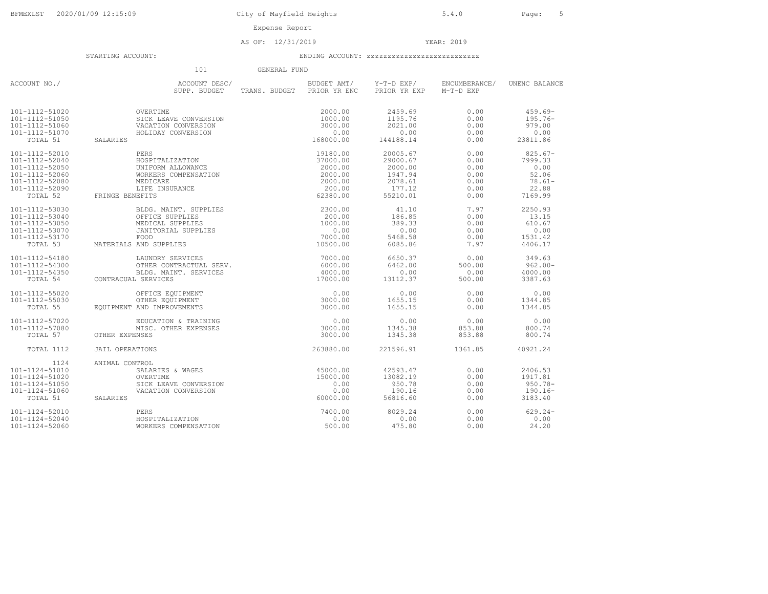Expense Report

AS OF: 12/31/2019 YEAR: 2019

#### STARTING ACCOUNT: ENDING ACCOUNT: zzzzzzzzzzzzzzzzzzzzzzzzzzz

 101 GENERAL FUNDACCOUNT NO./ ACCOUNT DESC/ BUDGET AMT/ Y-T-D EXP/ ENCUMBERANCE/ UNENC BALANCE SUPP. BUDGET TRANS. BUDGET PRIOR YR ENC PRIOR YR EXP M-T-D EXP101-1112-51020 OVERTIME 2000.00 2459.69 0.00 459.69- 101-1112-51050 SICK LEAVE CONVERSION 1000.00 1195.76 0.00 195.76- 101-1112-51060 VACATION CONVERSION 3000.00 2021.00 0.00 979.00 101-1112-51070 HOLIDAY CONVERSION 0.00 0.00 0.00 0.00 TOTAL 51 SALARIES 168000.00 144188.14 0.00 23811.86 101-1112-52010 PERS 19180.00 20005.67 0.00 825.67- 101-1112-52040 HOSPITALIZATION 37000.00 29000.67 0.00 7999.33 101-1112-52050 UNIFORM ALLOWANCE 2000.00 2000.00 0.00 0.00 101-1112-52060 WORKERS COMPENSATION 2000.00 1947.94 0.00 52.06 101-1112-52080 MEDICARE 2000.00 2078.61 0.00 78.61- 101-1112-52090 LIFE INSURANCE 200.00 177.12 0.00 22.88 TOTAL 52 FRINGE BENEFITS 62380.00 55210.01 0.00 7169.99 101-1112-53030 BLDG. MAINT. SUPPLIES 2300.00 41.10 7.97 2250.93 101-1112-53040 OFFICE SUPPLIES 200.00 186.85 0.00 13.15 101-1112-53050 MEDICAL SUPPLIES 1000.00 389.33 0.00 610.67 101-1112-53070 JANITORIAL SUPPLIES 0.00 0.00 0.00 0.00 101-1112-53170 FOOD 7000.00 5468.58 0.00 1531.42 TOTAL 53 MATERIALS AND SUPPLIES 10500.00 6085.86 7.97 4406.17 101-1112-54180 LAUNDRY SERVICES 7000.00 6650.37 0.00 349.63 101-1112-54300 OTHER CONTRACTUAL SERV. 6000.00 6462.00 500.00 962.00- 101-1112-54350 BLDG. MAINT. SERVICES 4000.00 0.00 0.00 4000.00 TOTAL 54 CONTRACUAL SERVICES 17000.00 13112.37 500.00 3387.63 101-1112-55020 OFFICE EQUIPMENT 0.00 0.00 0.00 0.00 101-1112-55030 OTHER EQUIPMENT 3000.00 1655.15 0.00 1344.85 TOTAL 55 EQUIPMENT AND IMPROVEMENTS 3000.00 1655.15 0.00 1344.85101-1112-57020 EDUCATION & TRAINING 0.00 0.00 0.00 0.00101-1112-57080 MISC. OTHER EXPENSES 3000.00 1345.38 853.88 800.74 TOTAL 57 OTHER EXPENSES 3000.00 1345.38 853.88 800.74 $800.74$ 800.74 TOTAL 1112 JAIL OPERATIONS 263880.00 221596.91 1361.85 40921.24 1124 ANIMAL CONTROL101-1124-51010 SALARIES & WAGES 101-1124-51010 SALARIES & WAGES 45000.00 42593.47 0.00 2406.53 101-1124-51020 OVERTIME 15000.00 13082.19 0.00 1917.81 101-1124-51050 SICK LEAVE CONVERSION 0.00 950.78 0.00 950.78- 101-1124-51060 VACATION CONVERSION 0.00 190.16 0.00 190.16- TOTAL 51 SALARIES 60000.00 56816.60 0.00 3183.40101-1124-52010 PERS 7400.00 8029.24 0.00 629.24- 101-1124-52040 HOSPITALIZATION 0.00 0.00 0.00 0.00 101-1124-52060 WORKERS COMPENSATION 500.00 475.80 0.00 24.20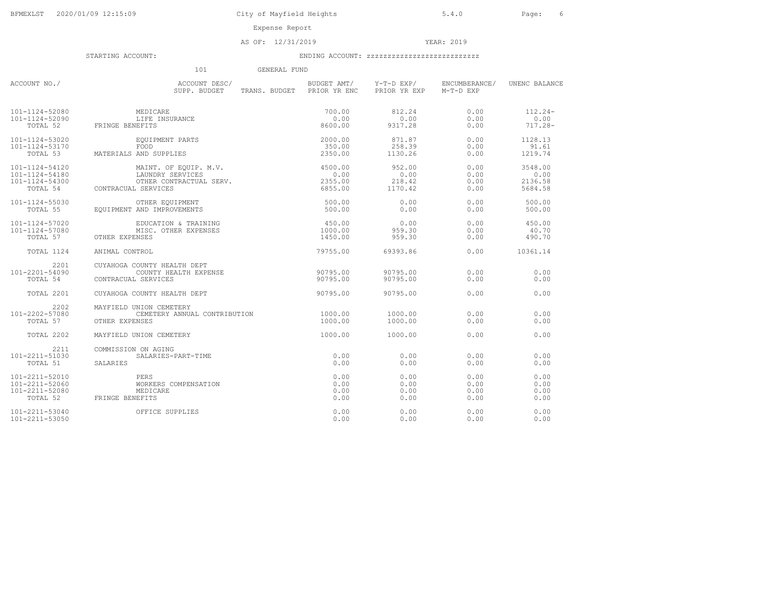AS OF: 12/31/2019 YEAR: 2019

STARTING ACCOUNT: ENDING ACCOUNT: zzzzzzzzzzzzzzzzzzzzzzzzzzz

# 101 GENERAL FUND

| ACCOUNT NO./                           | ACCOUNT DESC/<br>SUPP. BUDGET TRANS. BUDGET PRIOR YR ENC                                                                                                                                                                                                                                                                                                                                 |                              | BUDGET AMT/ Y-T-D EXP/<br>PRIOR YR EXP | ENCUMBERANCE/<br>M-T-D EXP   | UNENC BALANCE                         |
|----------------------------------------|------------------------------------------------------------------------------------------------------------------------------------------------------------------------------------------------------------------------------------------------------------------------------------------------------------------------------------------------------------------------------------------|------------------------------|----------------------------------------|------------------------------|---------------------------------------|
| 101-1124-52080<br>101-1124-52090       | MEDICARE<br>LIFE INSURANCE<br>TOTAL 52 FRINGE BENEFITS                                                                                                                                                                                                                                                                                                                                   | 700.00<br>0.00<br>8600.00    | 812.24<br>0.00<br>9317.28              | 0.00<br>0.00<br>0.00         | $112.24-$<br>0.00<br>717.28-          |
| 101-1124-53020<br>101-1124-53170       | EQUIPMENT PARTS<br>FOOD<br>3 AND SUPPLIES<br>TOTAL 53 MATERIALS AND SUPPLIES                                                                                                                                                                                                                                                                                                             | 2000.00<br>350.00<br>2350.00 | 871.87<br>258.39<br>1130.26            | 0.00<br>0.00<br>0.00         | 1128.13<br>91.61<br>1219.74           |
|                                        | $\begin{array}{cccc} 101-1124-54120 \\ 101-1124-54180 \\ 101-1124-54300 \\ 101-1124-54300 \\ 0.00 \\ \text{TOTAL 54} \end{array} \qquad \begin{array}{cccc} \text{MATN}.\text{ OF EQUIP. M.V.} \\ \text{LAWDRY SERVICES} \\ \text{DAYIER CONTRACTUAL} \\ \text{SERVICES} \\ \text{SERVICES} \end{array} \qquad \begin{array}{cccc} 4500.00 \\ 0.00 \\ 2355.00 \\ 6855.00 \\ \end{array}$ |                              | 952.00<br>0.00<br>218.42<br>1170.42    | 0.00<br>0.00<br>0.00<br>0.00 | 3548.00<br>0.00<br>2136.58<br>5684.58 |
|                                        | $\begin{tabular}{lllllllllll} 101-1124-55030 & & \text{OTHER EQUIPMENT} \\ \text{TOTAL} & 55 & & \text{EQUIPMENT AND IMPROVEMENTS} \end{tabular}$                                                                                                                                                                                                                                        | 500.00<br>500.00             | 0.00<br>0.00                           | 0.00<br>0.00                 | 500.00<br>500.00                      |
| 101-1124-57020<br>101-1124-57080       | EDUCATION & TRAINING<br>MISC. OTHER EXPENSES<br>TOTAL 57 OTHER EXPENSES                                                                                                                                                                                                                                                                                                                  | 450.00<br>1000.00<br>1450.00 | 0.00<br>959.30<br>959.30               | 0.00<br>0.00<br>0.00         | 450.00<br>40.70<br>490.70             |
|                                        | TOTAL 1124 ANIMAL CONTROL                                                                                                                                                                                                                                                                                                                                                                | 79755.00                     | 69393.86                               | 0.00                         | 10361.14                              |
| 2201<br>101-2201-54090<br>TOTAL 54     | CUYAHOGA COUNTY HEALTH DEPT<br>90795.00<br>COUNTY HEALTH EXPENSE<br>CONTRACUAL SERVICES                                                                                                                                                                                                                                                                                                  |                              | 90795.00<br>90795.00                   | 0.00<br>0.00                 | 0.00<br>0.00                          |
| TOTAL 2201                             | CUYAHOGA COUNTY HEALTH DEPT                                                                                                                                                                                                                                                                                                                                                              | 90795.00                     | 90795.00                               | 0.00                         | 0.00                                  |
| 2202<br>101-2202-57080<br>TOTAL 57     | MAYFIELD UNION CEMETERY<br>CEMETERY ANNUAL CONTRIBUTION<br>OTHER EXPENSES                                                                                                                                                                                                                                                                                                                | 1000.00<br>1000.00           | 1000.00<br>1000.00                     | 0.00<br>0.00                 | 0.00<br>0.00                          |
| TOTAL 2202                             | MAYFIELD UNION CEMETERY                                                                                                                                                                                                                                                                                                                                                                  | 1000.00                      | 1000.00                                | 0.00                         | 0.00                                  |
| 2211<br>101-2211-51030<br>TOTAL 51     | COMMISSION ON AGING<br>$\begin{array}{c} 0.00 \\ 0.00 \end{array}$<br>SALARIES-PART-TIME<br>SALARIES                                                                                                                                                                                                                                                                                     | 0.00                         | 0.00<br>0.00                           | 0.00<br>0.00                 | 0.00<br>0.00                          |
| 101-2211-52010                         | <b>PERS</b><br>$\begin{tabular}{l l l l} \hline 101-2211-52060 & & \text{WORKERS C} \\ 101-2211-52080 & & \text{MEDICARE} \\ \hline \text{TOTAL 52} & & \text{FRINGE BENEFITS} \end{tabular}$<br>WORKERS COMPENSATION                                                                                                                                                                    | 0.00<br>0.00<br>0.00<br>0.00 | 0.00<br>0.00<br>0.00<br>0.00           | 0.00<br>0.00<br>0.00<br>0.00 | 0.00<br>0.00<br>0.00<br>0.00          |
| $101 - 2211 - 53040$<br>101-2211-53050 | OFFICE SUPPLIES                                                                                                                                                                                                                                                                                                                                                                          | 0.00<br>0.00                 | 0.00<br>0.00                           | 0.00<br>0.00                 | 0.00<br>0.00                          |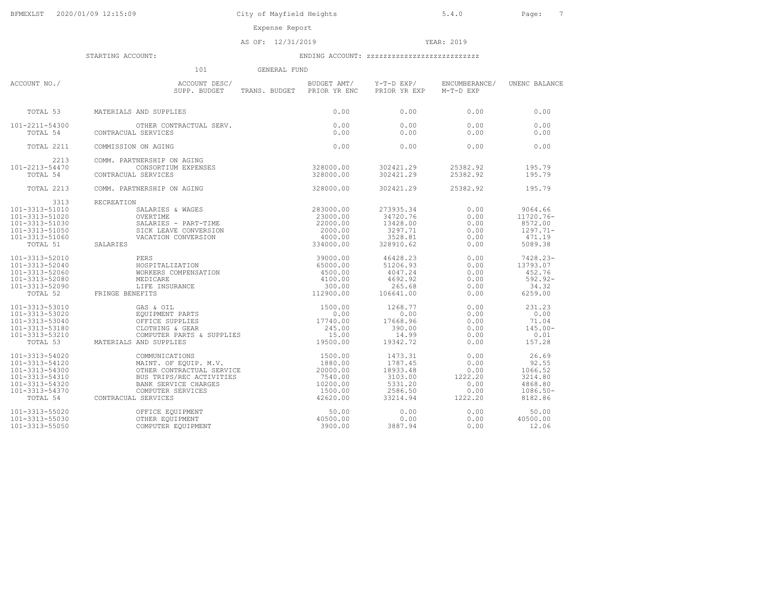AS OF: 12/31/2019 YEAR: 2019

|                                                                                                                      | 101<br>GENERAL FUND                                                                                                                                                                              |           |                                                                             |                                                            |                                                                           |
|----------------------------------------------------------------------------------------------------------------------|--------------------------------------------------------------------------------------------------------------------------------------------------------------------------------------------------|-----------|-----------------------------------------------------------------------------|------------------------------------------------------------|---------------------------------------------------------------------------|
| ACCOUNT NO./                                                                                                         | ACCOUNT DESC/<br>SUPP. BUDGET TRANS. BUDGE<br>SUPP. BUDGET TRANS. BUDGET PRIOR YR ENC PRIOR YR EXP                                                                                               |           | BUDGET AMT/ Y-T-D EXP/                                                      | ENCUMBERANCE/<br>M-T-D EXP                                 | UNENC BALANCE                                                             |
|                                                                                                                      |                                                                                                                                                                                                  | 0.00      | 0.00                                                                        | 0.00                                                       | 0.00                                                                      |
| TOTAL 54                                                                                                             | TOTAL 53 MATERIALS AND SUPPLIES<br>101-2211-54300 OTHER CONTRACTUAL SERV.<br>CONTRACUAL SERVICES                                                                                                 | 0.00      | 0.00<br>0.00                                                                | 0.00<br>0.00                                               | 0.00<br>0.00                                                              |
| TOTAL 2211                                                                                                           | COMMISSION ON AGING                                                                                                                                                                              |           | 0.00                                                                        | 0.00                                                       | 0.00                                                                      |
| 2213<br>101-2213-54470<br>TOTAL 54                                                                                   | COMMISSION ON<br>COMM. PARTNERSHIP ON AGING<br>CONSORTIUM EXPENSES 328000.00<br>228000.00<br>228000.00                                                                                           |           | 302421.29<br>302421.29                                                      | 25382.92<br>25382.92                                       | 195.79<br>195.79                                                          |
| TOTAL 2213                                                                                                           | COMM. PARTNERSHIP ON AGING                                                                                                                                                                       | 328000.00 |                                                                             | 302421.29 25382.92                                         | 195.79                                                                    |
| 3313<br>101-3313-51010<br>101-3313-51020<br>101-3313-51030<br>101-3313-51050<br>101-3313-51060<br>TOTAL 51 SALARIES  | RECREATION<br>NA SALARIES & WAGES<br>OVERTIME 23000.00<br>SALARIES - PART-TIME 23000.00<br>SICK LEAVE CONVERSION 2000.00<br>VACATION CONVERSION 4000.00<br>334000.00<br>334000.00                |           | 273935.34<br>34720.76<br>13428.00<br>3297.71<br>3528.81<br>328910.62        | 0.00<br>0.00<br>0.00<br>0.00<br>0.00<br>0.00               | 9064.66<br>11720.76-<br>8572.00<br>$1297.71-$<br>471.19<br>5089.38        |
| 101-3313-52010<br>101-3313-52040<br>101-3313-52060<br>101-3313-52080<br>101-3313-52090                               | PERS<br>HOSPITALIZATION 65000.00<br>WORKERS COMPENSATION 65000.00<br>MEDICARE 1100.00<br>MEDICARE 4100.00<br>ILEE INSURANCE 4100.00<br>SNEFTS 12900.00<br>OR SUSPERS<br>TOTAL 52 FRINGE BENEFITS |           | 46428.23<br>51206.93<br>4047.24<br>4692.92<br>265.68<br>106641.00           | 0.00<br>0.00<br>0.00<br>0.00<br>0.00<br>0.00               | 7428.23-<br>13793.07<br>452.76<br>592.92-<br>34.32<br>6259.00             |
| 101-3313-53010<br>101-3313-53020<br>101-3313-53040<br>101-3313-53180<br>101-3313-53210                               | GAS & OIL<br>EQUIPMENT PARTS 0.00<br>OFFICE SUPPLIES<br>TOTAL 53 MATERIALS AND SUPPLIES                                                                                                          |           | 1268.77<br>0.00<br>17668.96<br>390.00<br>14.99<br>19342.72                  | 0.00<br>0.00<br>0.00<br>0.00<br>0.00<br>0.00               | 231.23<br>0.00<br>71.04<br>$145.00 -$<br>0.01<br>157.28                   |
| 101-3313-54020<br>101-3313-54120<br>101-3313-54300<br>101-3313-54310<br>101-3313-54320<br>101-3313-54370<br>TOTAL 54 | CONTRACUAL SERVICES                                                                                                                                                                              |           | 1473.31<br>1787.45<br>18933.48<br>3103.00<br>5331.20<br>2586.50<br>33214.94 | 0.00<br>0.00<br>0.00<br>1222.20<br>0.00<br>0.00<br>1222.20 | 26.69<br>92.55<br>1066.52<br>3214.80<br>4868.80<br>$1086.50 -$<br>8182.86 |
| 101-3313-55020<br>101-3313-55030<br>101-3313-55050                                                                   |                                                                                                                                                                                                  | 50.00     | 0.00<br>0.00<br>3887.94                                                     | 0.00<br>0.00<br>0.00                                       | 50.00<br>40500.00<br>12.06                                                |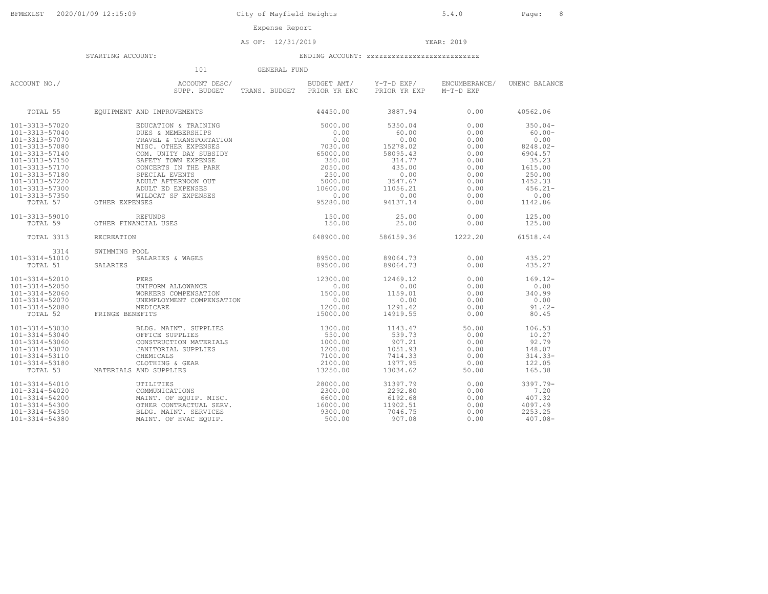AS OF: 12/31/2019 YEAR: 2019

|                                                                                                                                                                                                                | 101                                                                                                                                                                                                                                                                                                        | GENERAL FUND |                                                                                                                          |                                                                                                                         |                                                                                              |                                                                                                                                    |
|----------------------------------------------------------------------------------------------------------------------------------------------------------------------------------------------------------------|------------------------------------------------------------------------------------------------------------------------------------------------------------------------------------------------------------------------------------------------------------------------------------------------------------|--------------|--------------------------------------------------------------------------------------------------------------------------|-------------------------------------------------------------------------------------------------------------------------|----------------------------------------------------------------------------------------------|------------------------------------------------------------------------------------------------------------------------------------|
| ACCOUNT NO./                                                                                                                                                                                                   | ACCOUNT DESC/<br>SUPP. BUDGET                                                                                                                                                                                                                                                                              |              | BUDGET AMT/<br>TRANS. BUDGET PRIOR YR ENC                                                                                | Y-T-D EXP/<br>PRIOR YR EXP                                                                                              | ENCUMBERANCE/<br>M-T-D EXP                                                                   | UNENC BALANCE                                                                                                                      |
| TOTAL 55                                                                                                                                                                                                       | EQUIPMENT AND IMPROVEMENTS                                                                                                                                                                                                                                                                                 |              | 44450.00                                                                                                                 | 3887.94                                                                                                                 | 0.00                                                                                         | 40562.06                                                                                                                           |
| 101-3313-57020<br>101-3313-57040<br>101-3313-57070<br>101-3313-57080<br>101-3313-57140<br>101-3313-57150<br>101-3313-57170<br>101-3313-57180<br>101-3313-57220<br>101-3313-57300<br>101-3313-57350<br>TOTAL 57 | EDUCATION & TRAINING<br>DUES & MEMBERSHIPS<br>TRAVEL & TRANSPORTATION<br>MISC. OTHER EXPENSES<br>COM. UNITY DAY SUBSIDY<br>SAFETY TOWN EXPENSE<br>CONCERTS IN THE PARK<br>SPECIAL EVENTS<br>ADULT AFTERNOON OUT<br>ADULT ED EXPENSES<br>WILDCAT SF EXPENSES<br>OTHER EXPENSES                              |              | 5000.00<br>0.00<br>0.00<br>7030.00<br>65000.00<br>350.00<br>2050.00<br>250.00<br>5000.00<br>10600.00<br>0.00<br>95280.00 | 5350.04<br>60.00<br>0.00<br>15278.02<br>58095.43<br>314.77<br>435.00<br>0.00<br>3547.67<br>11056.21<br>0.00<br>94137.14 | 0.00<br>0.00<br>0.00<br>0.00<br>0.00<br>0.00<br>0.00<br>0.00<br>0.00<br>0.00<br>0.00<br>0.00 | $350.04-$<br>$60.00 -$<br>0.00<br>$8248.02 -$<br>6904.57<br>35.23<br>1615.00<br>250.00<br>1452.33<br>$456.21 -$<br>0.00<br>1142.86 |
| 101-3313-59010<br>TOTAL 59                                                                                                                                                                                     | <b>REFUNDS</b><br>OTHER FINANCIAL USES                                                                                                                                                                                                                                                                     |              | 150.00<br>150.00                                                                                                         | 25.00<br>25.00                                                                                                          | 0.00<br>0.00                                                                                 | 125.00<br>125.00                                                                                                                   |
| TOTAL 3313                                                                                                                                                                                                     | RECREATION                                                                                                                                                                                                                                                                                                 |              | 648900.00                                                                                                                | 586159.36                                                                                                               | 1222.20                                                                                      | 61518.44                                                                                                                           |
| 3314<br>101-3314-51010<br>TOTAL 51                                                                                                                                                                             | SWIMMING POOL<br>SALARIES & WAGES<br>SALARIES                                                                                                                                                                                                                                                              |              | 89500.00<br>89500.00                                                                                                     | 89064.73<br>89064.73                                                                                                    | 0.00<br>0.00                                                                                 | 435.27<br>435.27                                                                                                                   |
| 101-3314-52010<br>101-3314-52050<br>101-3314-52060<br>101-3314-52070<br>101-3314-52080<br>TOTAL 52                                                                                                             | $\begin{tabular}{ll} \bf PERS & \tt UNIFORM ALLOWANCE & \tt 12300.00 \\ \texttt{WORKERS COMPENSATION & \tt 0.00 \\ \texttt{UNEMENT COMPENSATION} & \tt 0.00 \\ \texttt{MEDICARE} & \tt 1200.00 \\ \texttt{MEDICARE} & \tt 15000.00 \\ \texttt{NEDITCR} & \tt 15000.00 \\ \end{tabular}$<br>FRINGE BENEFITS |              |                                                                                                                          | 12469.12<br>0.00<br>1159.01<br>0.00<br>1291.42<br>14919.55                                                              | 0.00<br>0.00<br>0.00<br>0.00<br>0.00<br>0.00                                                 | $169.12-$<br>0.00<br>340.99<br>0.00<br>$91.42 -$<br>80.45                                                                          |
| 101-3314-53030<br>101-3314-53040<br>101-3314-53060<br>101-3314-53070<br>101-3314-53110<br>101-3314-53180<br>TOTAL 53                                                                                           | BLDG. MAINT. SUPPLIES<br>OFFICE SUPPLIES<br>CONSTRUCTION MATERIALS<br>JANITORIAL SUPPLIES<br>CHEMICALS<br>CLOTHING & GEAR<br>AND SUPPLIES<br>UTILITIES<br>COMMUNICATIONS<br>MAINT. OF EQUIP. MISC.<br>MAINT. OF EQUIP. MISC.<br>MATERIALS AND SUPPLIES                                                     |              | 1300.00<br>550.00<br>1000.00<br>1200.00<br>7100.00<br>2100.00<br>13250.00                                                | 1143.47<br>539.73<br>907.21<br>1051.93<br>7414.33<br>1977.95<br>13034.62                                                | 50.00<br>0.00<br>0.00<br>0.00<br>0.00<br>0.00<br>50.00                                       | 106.53<br>10.27<br>92.79<br>148.07<br>$314.33-$<br>122.05<br>165.38                                                                |
| 101-3314-54010<br>101-3314-54020<br>101-3314-54200<br>101-3314-54300<br>101-3314-54350<br>101-3314-54380                                                                                                       | OTHER CONTRACTUAL SERV.<br>BLDG. MAINT. SERVICES<br>MAINT. OF HVAC EOUIP.                                                                                                                                                                                                                                  |              | 28000.00<br>2300.00<br>6600.00<br>16000.00<br>9300.00<br>500.00                                                          | 31397.79<br>2292.80<br>6192.68<br>11902.51<br>7046.75<br>907.08                                                         | 0.00<br>0.00<br>0.00<br>0.00<br>0.00<br>0.00                                                 | 3397.79-<br>7.20<br>407.32<br>4097.49<br>2253.25<br>$407.08 -$                                                                     |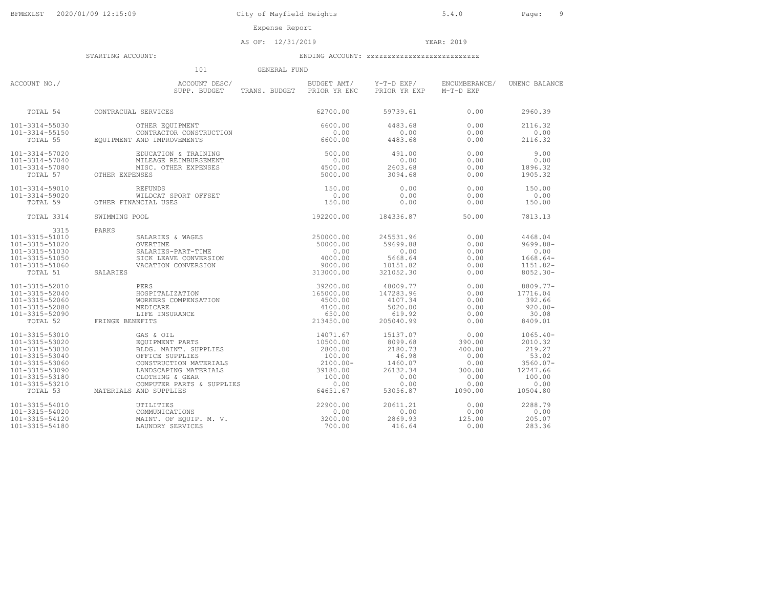AS OF: 12/31/2019 YEAR: 2019

|                                                     | 101<br>GENERAL FUND                                                                                                                                                                                                                                                                                                                                                                                                                                                       |                                                           |                    |                                      |                    |
|-----------------------------------------------------|---------------------------------------------------------------------------------------------------------------------------------------------------------------------------------------------------------------------------------------------------------------------------------------------------------------------------------------------------------------------------------------------------------------------------------------------------------------------------|-----------------------------------------------------------|--------------------|--------------------------------------|--------------------|
| ACCOUNT NO./                                        | ACCOUNT DESC/ BUDGET AMT/ Y-T-D EXP/ ENCUMBERAN<br>SUPP. BUDGET TRANS. BUDGET PRIOR YR ENC PRIOR YR EXP M-T-D EXP                                                                                                                                                                                                                                                                                                                                                         |                                                           |                    | BUDGET AMT/ Y-T-D EXP/ ENCUMBERANCE/ | UNENC BALANCE      |
|                                                     | TOTAL 54 CONTRACUAL SERVICES                                                                                                                                                                                                                                                                                                                                                                                                                                              | 62700.00                                                  | 59739.61           | 0.00                                 | 2960.39            |
| 101-3314-55030                                      | OTHER EQUIPMENT<br>CONTRACTOR CONSTRUCTION                                                                                                                                                                                                                                                                                                                                                                                                                                |                                                           | 4483.68            | 0.00                                 | 2116.32            |
| $224 - 33150$<br>TOTAL 55 EQUIPME<br>101-3314-55150 | EOUIPMENT AND IMPROVEMENTS                                                                                                                                                                                                                                                                                                                                                                                                                                                | $\begin{array}{c} 6600.00 \\ 0.00 \\ 6600.00 \end{array}$ | 0.00<br>4483.68    | 0.00<br>0.00                         | 0.00<br>2116.32    |
| 101-3314-57020                                      | EDUCATION & TRAINING                                                                                                                                                                                                                                                                                                                                                                                                                                                      | 500.00                                                    | 491.00             | 0.00                                 | 9.00               |
| 101-3314-57040                                      | MILEAGE REIMBURSEMENT                                                                                                                                                                                                                                                                                                                                                                                                                                                     |                                                           | 0.00               | 0.00                                 | 0.00               |
| 101-3314-57080<br>TOTAL 57                          | $4500.00$<br>5000.00<br>MISC. OTHER EXPENSES<br>OTHER EXPENSES                                                                                                                                                                                                                                                                                                                                                                                                            |                                                           | 2603.68<br>3094.68 | 0.00<br>0.00                         | 1896.32<br>1905.32 |
| 101-3314-59010                                      | REFUNDS<br>WILDCAT SPORT OFFSET<br>ANCIAL USES                                                                                                                                                                                                                                                                                                                                                                                                                            | 150.00                                                    | 0.00               | 0.00                                 | 150.00             |
| 101-3314-59020                                      |                                                                                                                                                                                                                                                                                                                                                                                                                                                                           | 0.00                                                      | 0.00               | 0.00                                 | 0.00               |
|                                                     | TOTAL 59 OTHER FINANCIAL USES                                                                                                                                                                                                                                                                                                                                                                                                                                             | 150.00                                                    | 0.00               | 0.00                                 | 150.00             |
| TOTAL 3314                                          | SWIMMING POOL                                                                                                                                                                                                                                                                                                                                                                                                                                                             | 192200.00                                                 | 184336.87          | 50.00                                | 7813.13            |
| 3315                                                | PARKS                                                                                                                                                                                                                                                                                                                                                                                                                                                                     |                                                           |                    |                                      |                    |
| 101-3315-51010                                      |                                                                                                                                                                                                                                                                                                                                                                                                                                                                           |                                                           | 245531.96          | 0.00                                 | 4468.04            |
| 101-3315-51020                                      |                                                                                                                                                                                                                                                                                                                                                                                                                                                                           |                                                           | 59699.88           | 0.00                                 | $9699.88 -$        |
| 101-3315-51030<br>101-3315-51050                    |                                                                                                                                                                                                                                                                                                                                                                                                                                                                           |                                                           | 0.00<br>5668.64    | 0.00<br>0.00                         | 0.00<br>$1668.64-$ |
| 101-3315-51060                                      |                                                                                                                                                                                                                                                                                                                                                                                                                                                                           |                                                           | 10151.82           | 0.00                                 | $1151.82-$         |
| TOTAL 51                                            | $\begin{tabular}{ll} \multicolumn{2}{c}{\textbf{SALARIES}} & $\texttt{WAGES} & $\texttt{NAGES} \\\hline \multicolumn{2}{c}{\textbf{OVERTIME}} & $\texttt{50000.00} \\\hline \multicolumn{2}{c}{\textbf{SALARIES-PART-TIME}} & $\texttt{50000.00} \\\hline \multicolumn{2}{c}{\textbf{SICK LEAVE CON�ESION}} & $\texttt{4000.00} \\\hline \multicolumn{2}{c}{\textbf{NCATION CONVERSION}} & $\texttt{9000.00} \\\hline \multicolumn{2}{c}{\textbf{NCATION}} &$<br>SALARIES |                                                           | 321052.30          | 0.00                                 | $8052.30 -$        |
| 101-3315-52010                                      | $\begin{array}{c} \tt 39200.00 \\ \tt 3A TION \\ \tt 4500.00 \\ \tt 450.00 \\ \tt 650.00 \\ \tt 213450.00 \\ \end{array}$<br>PERS                                                                                                                                                                                                                                                                                                                                         |                                                           | 48009.77           | 0.00                                 | 8809.77-           |
| 101-3315-52040                                      | HOSPITALIZATION                                                                                                                                                                                                                                                                                                                                                                                                                                                           |                                                           | 147283.96          | 0.00                                 | 17716.04           |
| 101-3315-52060                                      | WORKERS COMPENSATION                                                                                                                                                                                                                                                                                                                                                                                                                                                      |                                                           | 4107.34            | 0.00                                 | 392.66             |
| 101-3315-52080                                      | MEDICARE                                                                                                                                                                                                                                                                                                                                                                                                                                                                  |                                                           | 5020.00            | 0.00                                 | $920.00 -$         |
| 101-3315-52090                                      | LIFE INSURANCE                                                                                                                                                                                                                                                                                                                                                                                                                                                            |                                                           | 619.92             | 0.00                                 | 30.08              |
| TOTAL 52                                            | FRINGE BENEFITS                                                                                                                                                                                                                                                                                                                                                                                                                                                           |                                                           | 205040.99          | 0.00                                 | 8409.01            |
| 101-3315-53010                                      |                                                                                                                                                                                                                                                                                                                                                                                                                                                                           |                                                           | 15137.07           | 0.00                                 | $1065.40 -$        |
| 101-3315-53020<br>101-3315-53030                    |                                                                                                                                                                                                                                                                                                                                                                                                                                                                           |                                                           | 8099.68<br>2180.73 | 390.00<br>400.00                     | 2010.32<br>219.27  |
| 101-3315-53040                                      |                                                                                                                                                                                                                                                                                                                                                                                                                                                                           |                                                           | 46.98              | 0.00                                 | 53.02              |
| 101-3315-53060                                      |                                                                                                                                                                                                                                                                                                                                                                                                                                                                           |                                                           | 1460.07            | 0.00                                 | $3560.07 -$        |
| 101-3315-53090                                      |                                                                                                                                                                                                                                                                                                                                                                                                                                                                           |                                                           | 26132.34           | 300.00                               | 12747.66           |
| 101-3315-53180                                      |                                                                                                                                                                                                                                                                                                                                                                                                                                                                           |                                                           | 0.00               | 0.00                                 | 100.00             |
| 101-3315-53210                                      |                                                                                                                                                                                                                                                                                                                                                                                                                                                                           |                                                           | 0.00               | 0.00                                 | 0.00               |
|                                                     | ENEFITS (AS & OIL METRIS 14071.67<br>EQUIPMENT PARTS 10500.00<br>BLDG. MAINT. SUPPLIES 2800.00<br>OFFICE SUPPLIES 2800.00<br>CONSTRUCTION MATERIALS 2100.00<br>CLOTHING & GEAR 39180.00<br>CLOTHING & GEAR 100.00<br>COMPUTER PARTS & SUPPLI<br>TOTAL 53 MATERIALS AND SUPPLIES                                                                                                                                                                                           |                                                           |                    | 53056.87 1090.00                     | 10504.80           |
| 101-3315-54010                                      | UTILITIES<br>COMMUNICATIONS<br>MAINT. OF EQUIP. M. V.<br>LAUNDRY SERVICES<br>100.00                                                                                                                                                                                                                                                                                                                                                                                       |                                                           | 20611.21           | 0.00                                 | 2288.79            |
| 101-3315-54020                                      |                                                                                                                                                                                                                                                                                                                                                                                                                                                                           |                                                           | 0.00               | 0.00                                 | 0.00               |
| 101-3315-54120                                      |                                                                                                                                                                                                                                                                                                                                                                                                                                                                           |                                                           | 2869.93            | 125.00                               | 205.07             |
| 101-3315-54180                                      | LAUNDRY SERVICES                                                                                                                                                                                                                                                                                                                                                                                                                                                          |                                                           | 416.64             | 0.00                                 | 283.36             |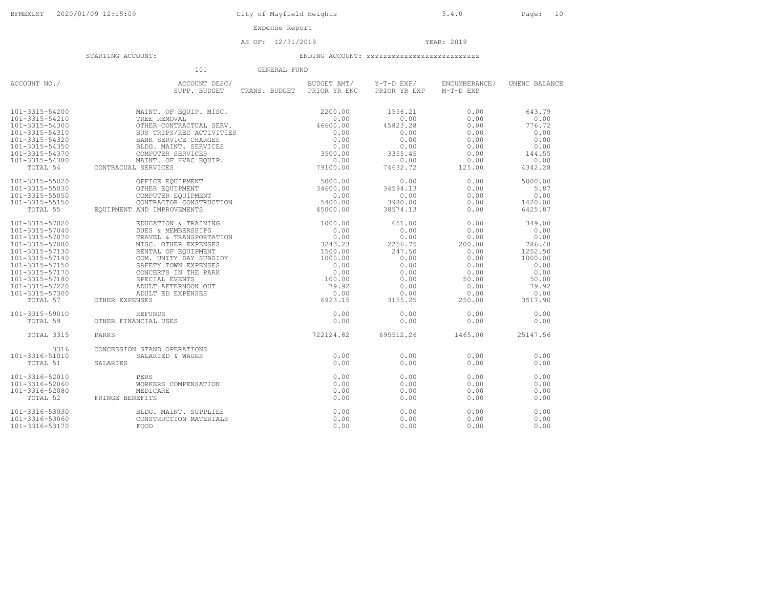Expense Report

### AS OF: 12/31/2019 YEAR: 2019

|                                                                                                                                                                                                                | 101<br>GENERAL FUND                                                                                                                                                                                                                                                                           |                                           |                                                                                                        |                                                                                                   |                                                                                                             |
|----------------------------------------------------------------------------------------------------------------------------------------------------------------------------------------------------------------|-----------------------------------------------------------------------------------------------------------------------------------------------------------------------------------------------------------------------------------------------------------------------------------------------|-------------------------------------------|--------------------------------------------------------------------------------------------------------|---------------------------------------------------------------------------------------------------|-------------------------------------------------------------------------------------------------------------|
| ACCOUNT NO./                                                                                                                                                                                                   | ACCOUNT DESC/<br>SUPP. BUDGET                                                                                                                                                                                                                                                                 | BUDGET AMT/<br>TRANS. BUDGET PRIOR YR ENC | Y-T-D EXP/<br>PRIOR YR EXP                                                                             | ENCUMBERANCE/<br>M-T-D EXP                                                                        | UNENC BALANCE                                                                                               |
| 101-3315-54200<br>101-3315-54210<br>101-3315-54300<br>101-3315-54310<br>101-3315-54320<br>101-3315-54350<br>101-3315-54370<br>101-3315-54380                                                                   | MAINT, OF EOUIP, MISC.<br>TREE REMOVAL<br>OTHER CONTRACTUAL SERV.<br>BUS TRIPS/REC ACTIVITIES<br>TES<br>$\begin{array}{c} 46600.00 \\ 0.00 \\ 0.00 \\ 3500.00 \\ 0.00 \\ 79100.00 \end{array}$<br>BANK SERVICE CHARGES<br>BLDG. MAINT. SERVICES<br>COMPUTER SERVICES<br>MAINT. OF HVAC EQUIP. | 2200.00<br>0.00<br>46600.00               | 1556.21<br>0.00<br>45823.28<br>0.00<br>0.00<br>0.00<br>3355.45<br>0.00                                 | 0.00<br>0.00<br>0.00<br>0.00<br>0.00<br>0.00<br>0.00<br>0.00                                      | 643.79<br>0.00<br>776.72<br>0.00<br>0.00<br>0.00<br>144.55<br>0.00                                          |
| TOTAL 54                                                                                                                                                                                                       | CONTRACUAL SERVICES                                                                                                                                                                                                                                                                           |                                           | 74632.72                                                                                               | 125.00                                                                                            | 4342.28                                                                                                     |
| 101-3315-55020<br>101-3315-55030<br>101-3315-55050<br>101-3315-55150<br>TOTAL 55                                                                                                                               | $\begin{array}{r} \textbf{79100.00} \\ \textbf{5000.00} \\ \textbf{34600.00} \\ \textbf{0.00} \\ \textbf{1} \\ \textbf{5400.00} \\ \textbf{45000.00} \end{array}$<br>OFFICE EQUIPMENT<br>OTHER EQUIPMENT<br>COMPUTER EQUIPMENT<br>CONTRACTOR CONSTRUCTION<br>EQUIPMENT AND IMPROVEMENTS       |                                           | 0.00<br>34594.13<br>0.00<br>3980.00<br>38574.13                                                        | 0.00<br>0.00<br>0.00<br>0.00<br>0.00                                                              | 5000.00<br>5.87<br>0.00<br>1420.00<br>6425.87                                                               |
| 101-3315-57020<br>101-3315-57040<br>101-3315-57070<br>101-3315-57080<br>101-3315-57130<br>101-3315-57140<br>101-3315-57150<br>101-3315-57170<br>101-3315-57180<br>101-3315-57220<br>101-3315-57300<br>TOTAL 57 | EDUCATION & TRAINING<br>DUES & MEMBERSHIPS<br>TRAVEL & TRANSPORTATION<br>MISC. OTHER EXPENSES<br>RENTAL OF EQUIPMENT<br>COM. UNITY DAY SUBSIDY<br>SAFETY TOWN EXPENSES<br>CONCERTS IN THE PARK<br>SPECIAL EVENTS<br>ADULT AFTERNOON OUT<br>ADULT ED EXPENSES<br>OTHER EXPENSES                | 1000.00                                   | 651.00<br>0.00<br>0.00<br>2256.75<br>247.50<br>0.00<br>0.00<br>0.00<br>0.00<br>0.00<br>0.00<br>3155.25 | 0.00<br>0.00<br>0.00<br>200.00<br>0.00<br>0.00<br>0.00<br>0.00<br>50.00<br>0.00<br>0.00<br>250.00 | 349.00<br>0.00<br>0.00<br>786.48<br>1252.50<br>1000.00<br>0.00<br>0.00<br>50.00<br>79.92<br>0.00<br>3517.90 |
| 101-3315-59010<br>TOTAL 59                                                                                                                                                                                     | $0.00$<br>$0.00$<br>$722124.82$<br><b>REFUNDS</b><br>OTHER FINANCIAL USES                                                                                                                                                                                                                     |                                           | 0.00<br>0.00                                                                                           | 0.00<br>0.00                                                                                      | 0.00<br>0.00                                                                                                |
| TOTAL 3315                                                                                                                                                                                                     | PARKS                                                                                                                                                                                                                                                                                         |                                           | 695512.26                                                                                              | 1465.00                                                                                           | 25147.56                                                                                                    |
| 3316<br>101-3316-51010<br>TOTAL 51                                                                                                                                                                             | CONCESSION STAND OPERATIONS<br>SALARIED & WAGES<br>SALARTES                                                                                                                                                                                                                                   | 0.00<br>0.00                              | 0.00<br>0.00                                                                                           | 0.00<br>0.00                                                                                      | 0.00<br>0.00                                                                                                |
| 101-3316-52010<br>101-3316-52060<br>101-3316-52080<br>TOTAL 52                                                                                                                                                 | PERS<br>WORKERS COMPENSATION<br>MEDICARE<br>FRINGE BENEFITS                                                                                                                                                                                                                                   | 0.00<br>0.00<br>0.00<br>0.00              | 0.00<br>0.00<br>0.00<br>0.00                                                                           | 0.00<br>0.00<br>0.00<br>0.00                                                                      | 0.00<br>0.00<br>0.00<br>0.00                                                                                |
| 101-3316-53030<br>101-3316-53060<br>101-3316-53170                                                                                                                                                             | BLDG. MAINT. SUPPLIES<br>CONSTRUCTION MATERIALS<br>FOOD                                                                                                                                                                                                                                       | 0.00<br>0.00<br>0.00                      | 0.00<br>0.00<br>0.00                                                                                   | 0.00<br>0.00<br>0.00                                                                              | 0.00<br>0.00<br>0.00                                                                                        |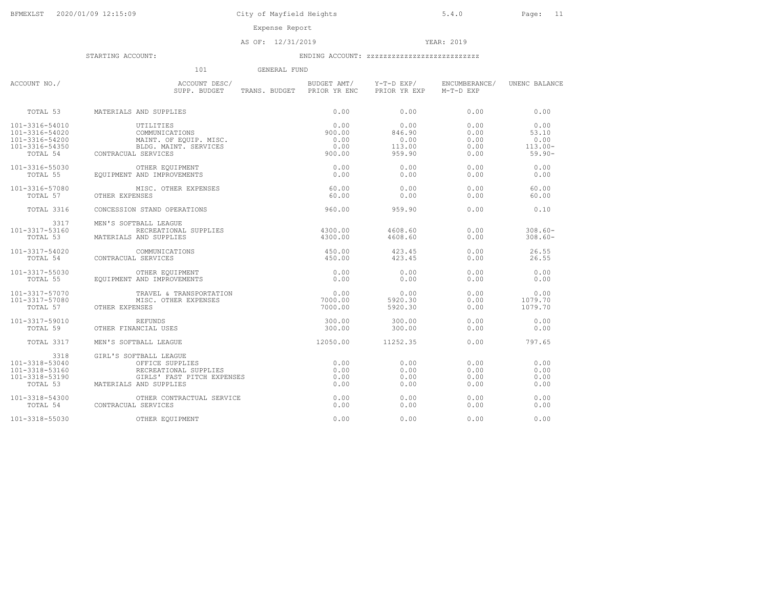Expense Report

### AS OF: 12/31/2019 YEAR: 2019

|                                                                        | 101<br>GENERAL FUND                                                                                                        |                                           |                              |                              |                              |
|------------------------------------------------------------------------|----------------------------------------------------------------------------------------------------------------------------|-------------------------------------------|------------------------------|------------------------------|------------------------------|
| ACCOUNT NO./                                                           | ACCOUNT DESC/<br>SUPP. BUDGET                                                                                              | BUDGET AMT/<br>TRANS. BUDGET PRIOR YR ENC | Y-T-D EXP/<br>PRIOR YR EXP   | ENCUMBERANCE/<br>M-T-D EXP   | UNENC BALANCE                |
| TOTAL 53                                                               | MATERIALS AND SUPPLIES                                                                                                     | 0.00                                      | 0.00                         | 0.00                         | 0.00                         |
| 101-3316-54010                                                         | UTILITIES                                                                                                                  | 0.00                                      | 0.00                         | 0.00                         | 0.00                         |
| 101-3316-54020                                                         | COMMUNICATIONS                                                                                                             | 900.00                                    | 846.90                       | 0.00                         | 53.10                        |
| 101-3316-54200                                                         | MAINT, OF EQUIP, MISC.                                                                                                     | 0.00                                      | 0.00                         | 0.00                         | 0.00                         |
| 101-3316-54350                                                         | BLDG. MAINT. SERVICES                                                                                                      | 0.00                                      | 113.00                       | 0.00                         | $113.00 -$                   |
| TOTAL 54                                                               | CONTRACUAL SERVICES                                                                                                        | 900.00                                    | 959.90                       | 0.00                         | $59.90 -$                    |
| 101-3316-55030                                                         | OTHER EQUIPMENT                                                                                                            | 0.00                                      | 0.00                         | 0.00                         | 0.00                         |
| TOTAL 55                                                               | EQUIPMENT AND IMPROVEMENTS                                                                                                 | 0.00                                      | 0.00                         | 0.00                         | 0.00                         |
| 101-3316-57080                                                         | MISC. OTHER EXPENSES                                                                                                       | 60.00                                     | 0.00                         | 0.00                         | 60.00                        |
| TOTAL 57                                                               | OTHER EXPENSES                                                                                                             | 60.00                                     | 0.00                         | 0.00                         | 60.00                        |
| TOTAL 3316                                                             | CONCESSION STAND OPERATIONS                                                                                                | 960.00                                    | 959.90                       | 0.00                         | 0.10                         |
| 3317<br>101-3317-53160<br>TOTAL 53                                     | MEN'S SOFTBALL LEAGUE<br>RECREATIONAL SUPPLIES<br>MATERIALS AND SUPPLIES                                                   | 4300.00<br>4300.00                        | 4608.60<br>4608.60           | 0.00<br>0.00                 | $308.60 -$<br>$308.60 -$     |
| 101-3317-54020                                                         | COMMUNICATIONS                                                                                                             | 450.00                                    | 423.45                       | 0.00                         | 26.55                        |
| TOTAL 54                                                               | CONTRACUAL SERVICES                                                                                                        | 450.00                                    | 423.45                       | 0.00                         | 26.55                        |
| 101-3317-55030                                                         | OTHER EOUIPMENT                                                                                                            | 0.00                                      | 0.00                         | 0.00                         | 0.00                         |
| TOTAL 55                                                               | EOUIPMENT AND IMPROVEMENTS                                                                                                 | 0.00                                      | 0.00                         | 0.00                         | 0.00                         |
| 101-3317-57070                                                         | TRAVEL & TRANSPORTATION                                                                                                    | 0.00                                      | 0.00                         | 0.00                         | 0.00                         |
| 101-3317-57080                                                         | MISC. OTHER EXPENSES                                                                                                       | 7000.00                                   | 5920.30                      | 0.00                         | 1079.70                      |
| TOTAL 57                                                               | OTHER EXPENSES                                                                                                             | 7000.00                                   | 5920.30                      | 0.00                         | 1079.70                      |
| 101-3317-59010                                                         | REFUNDS                                                                                                                    | 300.00                                    | 300.00                       | 0.00                         | 0.00                         |
| TOTAL 59                                                               | OTHER FINANCIAL USES                                                                                                       | 300.00                                    | 300.00                       | 0.00                         | 0.00                         |
| TOTAL 3317                                                             | MEN'S SOFTBALL LEAGUE                                                                                                      | 12050.00                                  | 11252.35                     | 0.00                         | 797.65                       |
| 3318<br>101-3318-53040<br>101-3318-53160<br>101-3318-53190<br>TOTAL 53 | GIRL'S SOFTBALL LEAGUE<br>OFFICE SUPPLIES<br>RECREATIONAL SUPPLIES<br>GIRLS' FAST PITCH EXPENSES<br>MATERIALS AND SUPPLIES | 0.00<br>0.00<br>0.00<br>0.00              | 0.00<br>0.00<br>0.00<br>0.00 | 0.00<br>0.00<br>0.00<br>0.00 | 0.00<br>0.00<br>0.00<br>0.00 |
| 101-3318-54300                                                         | OTHER CONTRACTUAL SERVICE                                                                                                  | 0.00                                      | 0.00                         | 0.00                         | 0.00                         |
| TOTAL 54                                                               | CONTRACUAL SERVICES                                                                                                        | 0.00                                      | 0.00                         | 0.00                         | 0.00                         |
| 101-3318-55030                                                         | OTHER EQUIPMENT                                                                                                            | 0.00                                      | 0.00                         | 0.00                         | 0.00                         |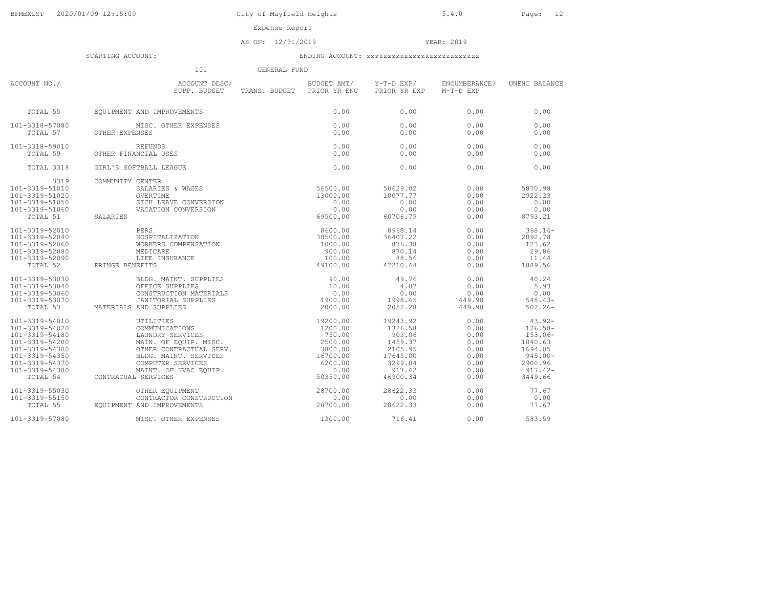AS OF: 12/31/2019 YEAR: 2019

|                                                                                                                                                          | 101                                                                                                                                                                                                                                                                                                                                                                                                                                                   | GENERAL FUND |                                     |                                                                                                  |                                                                      |                                                                                                            |
|----------------------------------------------------------------------------------------------------------------------------------------------------------|-------------------------------------------------------------------------------------------------------------------------------------------------------------------------------------------------------------------------------------------------------------------------------------------------------------------------------------------------------------------------------------------------------------------------------------------------------|--------------|-------------------------------------|--------------------------------------------------------------------------------------------------|----------------------------------------------------------------------|------------------------------------------------------------------------------------------------------------|
| ACCOUNT NO./                                                                                                                                             | ACCOUNT DESC/<br>SUPP. BUDGET<br>SUPP. BUDGET                                                                                                                                                                                                                                                                                                                                                                                                         |              | TRANS. BUDGET PRIOR YR ENC          | BUDGET AMT/ Y-T-D EXP/<br>PRIOR YR EXP                                                           | ENCUMBERANCE/<br>M-T-D EXP                                           | UNENC BALANCE                                                                                              |
| TOTAL 55                                                                                                                                                 | EOUIPMENT AND IMPROVEMENTS                                                                                                                                                                                                                                                                                                                                                                                                                            |              | 0.00                                | 0.00                                                                                             | 0.00                                                                 | 0.00                                                                                                       |
| 101-3318-57080<br>TOTAL 57                                                                                                                               | MISC. OTHER EXPENSES<br>OTHER EXPENSES                                                                                                                                                                                                                                                                                                                                                                                                                |              | 0.00<br>0.00                        | 0.00<br>0.00                                                                                     | 0.00<br>0.00                                                         | 0.00<br>0.00                                                                                               |
| 101-3318-59010<br>TOTAL 59                                                                                                                               | <b>REFUNDS</b><br>OTHER FINANCIAL USES                                                                                                                                                                                                                                                                                                                                                                                                                |              | 0.00<br>0.00                        | 0.00<br>0.00                                                                                     | 0.00<br>0.00                                                         | 0.00<br>0.00                                                                                               |
| TOTAL 3318                                                                                                                                               | GIRL'S SOFTBALL LEAGUE                                                                                                                                                                                                                                                                                                                                                                                                                                |              | 0.00                                | 0.00                                                                                             | 0.00                                                                 | 0.00                                                                                                       |
| 3319<br>101-3319-51010<br>101-3319-51020<br>101-3319-51050<br>101-3319-51060<br>TOTAL 51                                                                 | COMMUNITY CENTER<br>CENTER<br>SALARIES & WAGES<br>OVERTIME 13000.00<br>SICK LEAVE CONVERSION<br>VACATION CONVERSION<br>0.00<br>0.00<br>69500.00<br>SALARIES                                                                                                                                                                                                                                                                                           |              |                                     | 50629.02<br>10077.77<br>0.00<br>0.00<br>60706.79                                                 | 0.00<br>0.00<br>0.00<br>0.00<br>0.00                                 | 5870.98<br>2922.23<br>0.00<br>0.00<br>8793.21                                                              |
| 101-3319-52010<br>101-3319-52040<br>101-3319-52060<br>101-3319-52080<br>101-3319-52090<br>TOTAL 52                                                       | $\begin{tabular}{ll} \bf \it {ATIME} \\ \it {K} \tt \tt LEAVE \ CONVERS1O. \\ \it {CATION \ } \tt CONVERSION \\ \it {BOSPITALIZATION} \\ \it {WORERS \ } \tt{COMPENSATION} \\ \it {WORERS \ } \tt{COMPENSATION} \\ \it {MBDICARE} \\ \it {\small \bf {T}} \\ \it {NSURANCE} \\ \it {1000.0} \\ \it {90} \\ \it {1000.0} \\ \it {1000.0} \\ \it {1000.0} \\ \it {1000.0} \\ \it {1000.0} \\ \it {1000.0} \\ \it {1000.0} \\ \it {1$<br>FRINGE BENEFITS |              |                                     | 8968.14<br>36407.22<br>876.38<br>870.14<br>88.56<br>47210.44                                     | 0.00<br>0.00<br>0.00<br>0.00<br>0.00<br>0.00                         | $368.14-$<br>2092.78<br>123.62<br>29.86<br>11.44<br>1889.56                                                |
| 101-3319-53030<br>101-3319-53040<br>101-3319-53060<br>101-3319-53070<br>TOTAL 53                                                                         | <b>DIDG. MAINT. SUPPLIES<br/>OFFICE SUPPLIES<br/>CONSTRUCTION MATERIALS<br/>JANITORIAL SUPPLIES<br/>AND SUPPLIES</b><br>MATERIALS AND SUPPLIES                                                                                                                                                                                                                                                                                                        |              | 10.00<br>0.00<br>1900.00<br>2000.00 | 49.76<br>4.07<br>0.00<br>1998.45<br>2052.28                                                      | 0.00<br>0.00<br>0.00<br>449.98<br>449.98                             | 40.24<br>5.93<br>0.00<br>$548.43-$<br>$502.26 -$                                                           |
| 101-3319-54010<br>101-3319-54020<br>101-3319-54180<br>101-3319-54200<br>101-3319-54300<br>101-3319-54350<br>101-3319-54370<br>101-3319-54380<br>TOTAL 54 | $\begin{tabular}{ll} {\tt UTILITIES} & & & 19200.00 \\ \texttt{COMMUNICATIONS} & & & 1200.00 \\ \texttt{LAUNDRY SERIES} & & & 1200.00 \\ \texttt{MANDRY SERVICES} & & 750.00 \\ \texttt{OTHER CONTRACTUAL SERV.} & & 2500.00 \\ \texttt{CDG. MANT. SERVICES} & & 16700.00 \\ \texttt{COMPUTER SERVICES} & & 6200.00 \\ \texttt{MAINT. OF HVAC EQUIP.} & & 0.00 \\ \texttt{LI SERVICES} & & 50350.00 \\ \end{tabular}$<br>CONTRACUAL SERVICES          |              |                                     | 19243.92<br>1326.58<br>903.06<br>1459.37<br>2105.95<br>17645.00<br>3299.04<br>917.42<br>46900.34 | 0.00<br>0.00<br>0.00<br>0.00<br>0.00<br>0.00<br>0.00<br>0.00<br>0.00 | $43.92 -$<br>$126.58-$<br>$153.06-$<br>1040.63<br>1694.05<br>$945.00 -$<br>2900.96<br>$917.42-$<br>3449.66 |
| 101-3319-55030<br>101-3319-55150<br>TOTAL 55                                                                                                             | OTHER EQUIPMENT<br>CONTRACTOR CONSTRUCTION<br>EOUIPMENT AND IMPROVEMENTS                                                                                                                                                                                                                                                                                                                                                                              |              | 28700.00<br>0.00<br>28700.00        | 28622.33<br>0.00<br>28622.33                                                                     | 0.00<br>0.00<br>0.00                                                 | 77.67<br>0.00<br>77.67                                                                                     |
| 101-3319-57080                                                                                                                                           | MISC. OTHER EXPENSES                                                                                                                                                                                                                                                                                                                                                                                                                                  |              | 1300.00                             | 716.41                                                                                           | 0.00                                                                 | 583.59                                                                                                     |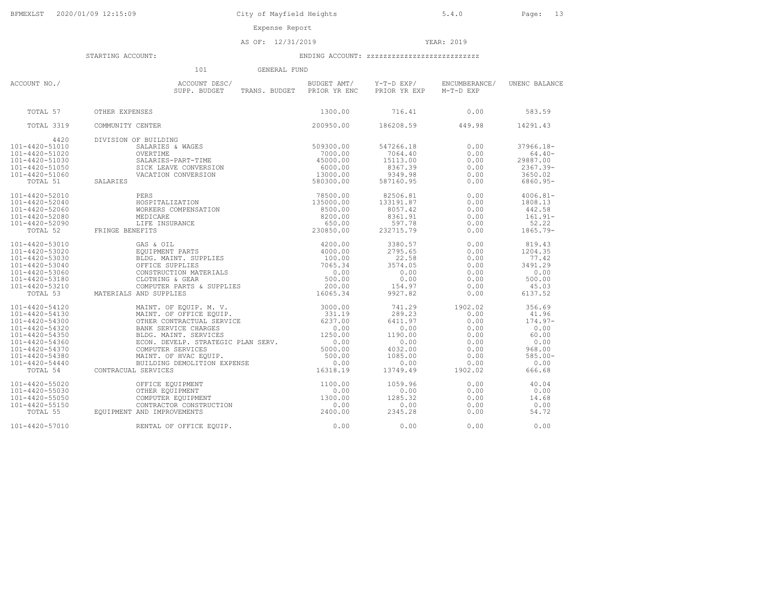Expense Report

AS OF: 12/31/2019 YEAR: 2019

|                                                                                                                                                                            | 101<br>GENERAL FUND                                                                                                                                                                                                                                                       |                                                                                                  |                                                                                                  |                                                                                    |                                                                                                 |
|----------------------------------------------------------------------------------------------------------------------------------------------------------------------------|---------------------------------------------------------------------------------------------------------------------------------------------------------------------------------------------------------------------------------------------------------------------------|--------------------------------------------------------------------------------------------------|--------------------------------------------------------------------------------------------------|------------------------------------------------------------------------------------|-------------------------------------------------------------------------------------------------|
| ACCOUNT NO./                                                                                                                                                               | ACCOUNT DESC/<br>SUPP. BUDGET<br>TRANS. BUDGET                                                                                                                                                                                                                            | BUDGET AMT/<br>PRIOR YR ENC                                                                      | Y-T-D EXP/<br>PRIOR YR EXP                                                                       | ENCUMBERANCE/<br>M-T-D EXP                                                         | UNENC BALANCE                                                                                   |
| TOTAL 57                                                                                                                                                                   | OTHER EXPENSES                                                                                                                                                                                                                                                            | 1300.00                                                                                          | 716.41                                                                                           | 0.00                                                                               | 583.59                                                                                          |
| TOTAL 3319                                                                                                                                                                 | COMMUNITY CENTER                                                                                                                                                                                                                                                          | 200950.00                                                                                        | 186208.59                                                                                        | 449.98                                                                             | 14291.43                                                                                        |
| 4420<br>101-4420-51010<br>101-4420-51020<br>101-4420-51030<br>101-4420-51050<br>101-4420-51060<br>TOTAL 51                                                                 | DIVISION OF BUILDING<br>SALARIES                                                                                                                                                                                                                                          |                                                                                                  | 547266.18<br>7064.40<br>15113.00<br>8367.39<br>9349.98<br>587160.95                              | 0.00<br>0.00<br>0.00<br>0.00<br>0.00<br>0.00                                       | $37966.18-$<br>$64.40 -$<br>29887.00<br>$2367.39-$<br>3650.02<br>6860.95-                       |
| 101-4420-52010<br>101-4420-52040<br>101-4420-52060<br>101-4420-52080<br>101-4420-52090<br>TOTAL 52                                                                         | FRINGE BENEFITS                                                                                                                                                                                                                                                           |                                                                                                  | 82506.81<br>133191.87<br>8057.42<br>8361.91<br>597.78<br>232715.79                               | 0.00<br>0.00<br>0.00<br>0.00<br>0.00<br>0.00                                       | $4006.81 -$<br>1808.13<br>442.58<br>$161.91 -$<br>52.22<br>$1865.79-$                           |
| 101-4420-53010<br>101-4420-53020<br>101-4420-53030<br>101-4420-53040<br>101-4420-53060<br>101-4420-53180<br>101-4420-53210<br>TOTAL 53                                     | MATERIALS AND SUPPLIES                                                                                                                                                                                                                                                    |                                                                                                  | 3380.57<br>2795.65<br>22.58<br>3574.05<br>0.00<br>0.00<br>154.97<br>9927.82                      | 0.00<br>0.00<br>0.00<br>0.00<br>0.00<br>0.00<br>0.00<br>0.00                       | 819.43<br>1204.35<br>77.42<br>3491.29<br>0.00<br>500.00<br>45.03<br>6137.52                     |
| 101-4420-54120<br>101-4420-54130<br>101-4420-54300<br>101-4420-54320<br>101-4420-54350<br>101-4420-54360<br>101-4420-54370<br>101-4420-54380<br>101-4420-54440<br>TOTAL 54 | MAINT, OF EOUIP, M. V.<br>MAINT. OF OFFICE EQUIP.<br>OTHER CONTRACTUAL SERVICE<br>BANK SERVICE CHARGES<br>BLDG. MAINT. SERVICES<br>ECON. DEVELP. STRATEGIC PLAN SERV.<br>COMPUTER SERVICES<br>MAINT. OF HVAC EOUIP.<br>BUILDING DEMOLITION EXPENSE<br>CONTRACUAL SERVICES | 3000.00<br>331.19<br>6237.00<br>0.00<br>1250.00<br>0.00<br>5000.00<br>500.00<br>0.00<br>16318.19 | 741.29<br>289.23<br>6411.97<br>0.00<br>1190.00<br>0.00<br>4032.00<br>1085.00<br>0.00<br>13749.49 | 1902.02<br>0.00<br>0.00<br>0.00<br>0.00<br>0.00<br>0.00<br>0.00<br>0.00<br>1902.02 | 356.69<br>41.96<br>$174.97-$<br>0.00<br>60.00<br>0.00<br>968.00<br>$585.00 -$<br>0.00<br>666.68 |
| 101-4420-55020<br>101-4420-55030<br>101-4420-55050<br>101-4420-55150<br>TOTAL 55                                                                                           | OFFICE EQUIPMENT<br>OTHER EQUIPMENT<br>COMPUTER EQUIPMENT<br>CONTRACTOR CONSTRUCTION<br>EQUIPMENT AND IMPROVEMENTS                                                                                                                                                        | 1100.00<br>0.00<br>1300.00<br>0.00<br>2400.00                                                    | 1059.96<br>0.00<br>1285.32<br>0.00<br>2345.28                                                    | 0.00<br>0.00<br>0.00<br>0.00<br>0.00                                               | 40.04<br>0.00<br>14.68<br>0.00<br>54.72                                                         |
| 101-4420-57010                                                                                                                                                             | RENTAL OF OFFICE EOUIP.                                                                                                                                                                                                                                                   | 0.00                                                                                             | 0.00                                                                                             | 0.00                                                                               | 0.00                                                                                            |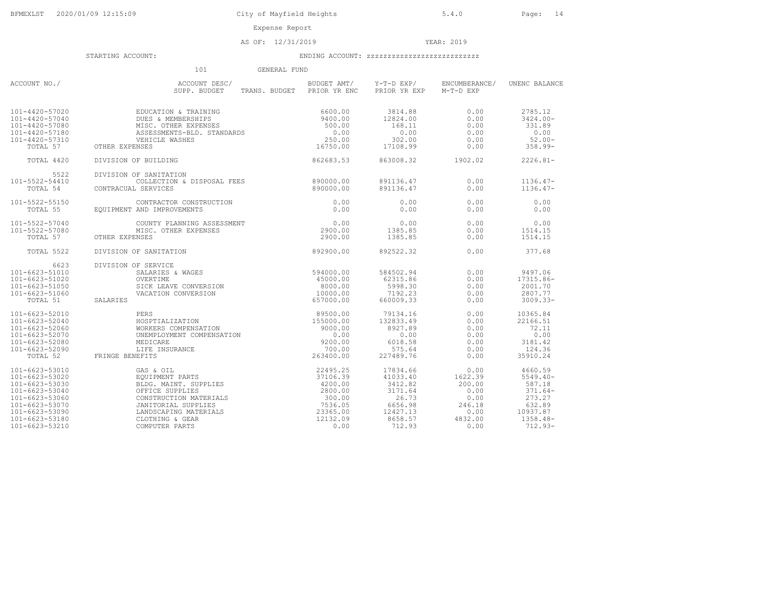Expense Report

AS OF: 12/31/2019 YEAR: 2019

|                                                                                                                                                                | 101<br>GENERAL FUND                                                                                                                                                                                                                                                                                          |                                                                                                 |                                                                                                 |                                                                                |                                                                                                        |
|----------------------------------------------------------------------------------------------------------------------------------------------------------------|--------------------------------------------------------------------------------------------------------------------------------------------------------------------------------------------------------------------------------------------------------------------------------------------------------------|-------------------------------------------------------------------------------------------------|-------------------------------------------------------------------------------------------------|--------------------------------------------------------------------------------|--------------------------------------------------------------------------------------------------------|
| ACCOUNT NO./                                                                                                                                                   | ACCOUNT DESC/<br>SUPP. BUDGET                                                                                                                                                                                                                                                                                | TRANS. BUDGET PRIOR YR ENC                                                                      | BUDGET AMT/ Y-T-D EXP/<br>PRIOR YR EXP                                                          | ENCUMBERANCE/<br>M-T-D EXP                                                     | UNENC BALANCE                                                                                          |
| 101-4420-57020<br>101-4420-57040<br>101-4420-57080<br>101-4420-57180<br>101-4420-57310<br>TOTAL 57                                                             | EDUCATION & TRAINING<br>FILSC. OTHER EXPENSES<br>ASSESSMENTS-BLD. STANDARDS<br>VEHICLE WASHES<br>NSES<br>F BUILDING<br>MISC. OTHER EXPENSES<br>OTHER EXPENSES                                                                                                                                                | 6600.00<br>9400.00<br>500.00<br>0.00<br>250.00<br>16750.00                                      | 3814.88<br>12824.00<br>168.11<br>0.00<br>302.00<br>17108.99                                     | 0.00<br>0.00<br>0.00<br>0.00<br>0.00<br>0.00                                   | 2785.12<br>$3424.00 -$<br>331.89<br>0.00<br>$52.00 -$<br>$358.99 -$                                    |
| TOTAL 4420                                                                                                                                                     | DIVISION OF BUILDING                                                                                                                                                                                                                                                                                         | 862683.53                                                                                       | 863008.32                                                                                       | 1902.02                                                                        | $2226.81 -$                                                                                            |
| 5522<br>101-5522-54410<br>TOTAL 54                                                                                                                             | DIVISION OF SANITATION<br>COLLECTION & DISPOSAL FEES<br>CONTRACUAL SERVICES                                                                                                                                                                                                                                  | 890000.00<br>890000.00                                                                          | 891136.47<br>891136.47                                                                          | 0.00<br>0.00                                                                   | $1136.47-$<br>$1136.47-$                                                                               |
| 101-5522-55150<br>TOTAL 55                                                                                                                                     | CONTRACTOR CONSTRUCTION<br>EQUIPMENT AND IMPROVEMENTS                                                                                                                                                                                                                                                        | 0.00<br>0.00                                                                                    | 0.00<br>0.00                                                                                    | 0.00<br>0.00                                                                   | 0.00<br>0.00                                                                                           |
| 101-5522-57040<br>101-5522-57080<br>TOTAL 57                                                                                                                   | COUNTY PLANNING ASSESSMENT<br>MISC. OTHER EXPENSES<br>OTHER EXPENSES                                                                                                                                                                                                                                         | 0.00<br>2900.00<br>2900.00                                                                      | 0.00<br>1385.85<br>1385.85                                                                      | 0.00<br>0.00<br>0.00                                                           | 0.00<br>1514.15<br>1514.15                                                                             |
| TOTAL 5522                                                                                                                                                     | DIVISION OF SANITATION                                                                                                                                                                                                                                                                                       | 892900.00                                                                                       | 892522.32                                                                                       | 0.00                                                                           | 377.68                                                                                                 |
| 6623<br>101-6623-51010<br>101-6623-51020<br>101-6623-51050<br>101-6623-51060<br>TOTAL 51                                                                       | DIVISION OF SERVICE<br>$594000.00$<br>$45000.00$<br>SALARIES & WAGES<br>OVERTIME<br>OVERTIME<br>SICK LEAVE CONVERSION<br>VACATION CONVERSION<br>SALARIES                                                                                                                                                     | 8000.00<br>10000.00<br>657000.00                                                                | 584502.94<br>62315.86<br>5998.30<br>7192.23<br>660009.33                                        | 0.00<br>0.00<br>0.00<br>0.00<br>0.00                                           | 9497.06<br>17315.86-<br>2001.70<br>2807.77<br>$3009.33 -$                                              |
| 101-6623-52010<br>101-6623-52040<br>101-6623-52060<br>101-6623-52070<br>101-6623-52080<br>$101 - 6623 - 52090$<br>TOTAL 52                                     | $\begin{tabular}{l l l} \texttt{PERS} & & & 89500.00 \\ \texttt{HOSFITALIZATION} & & & 155000.00 \\ \texttt{WORKERS COMPENSATION} & & & 9000.00 \\ \texttt{UNEMPLOYMENT COMPENSATION} & & & 0.00 \\ \texttt{MEDICARE} & & & 9200.00 \\ \texttt{MEPI TS} & & & 263400.00 \\ \end{tabular}$<br>FRINGE BENEFITS | 263400.00                                                                                       | 79134.16<br>132833.49<br>8927.89<br>0.00<br>6018.58<br>575.64<br>227489.76                      | 0.00<br>0.00<br>0.00<br>0.00<br>0.00<br>0.00<br>0.00                           | 10365.84<br>22166.51<br>72.11<br>0.00<br>3181.42<br>124.36<br>35910.24                                 |
| 101-6623-53010<br>101-6623-53020<br>101-6623-53030<br>101-6623-53040<br>101-6623-53060<br>101-6623-53070<br>101-6623-53090<br>101-6623-53180<br>101-6623-53210 | GAS & OIL<br>EQUIPMENT PARTS<br>BLDG. MAINT. SUPPLIES<br>OFFICE SUPPLIES<br>CONSTRUCTION MATERIALS<br>JANITORIAL SUPPLIES<br>LANDSCAPING MATERIALS<br>COMPUTER PARTS                                                                                                                                         | 22495.25<br>37106.39<br>4200.00<br>2800.00<br>300.00<br>7536.05<br>23365.00<br>12132.09<br>0.00 | 17834.66<br>41033.40<br>3412.82<br>3171.64<br>26.73<br>6656.98<br>12427.13<br>8658.57<br>712.93 | 0.00<br>1622.39<br>200.00<br>0.00<br>0.00<br>246.18<br>0.00<br>4832.00<br>0.00 | 4660.59<br>$5549.40 -$<br>587.18<br>$371.64-$<br>273.27<br>632.89<br>10937.87<br>$1358.48-$<br>712.93- |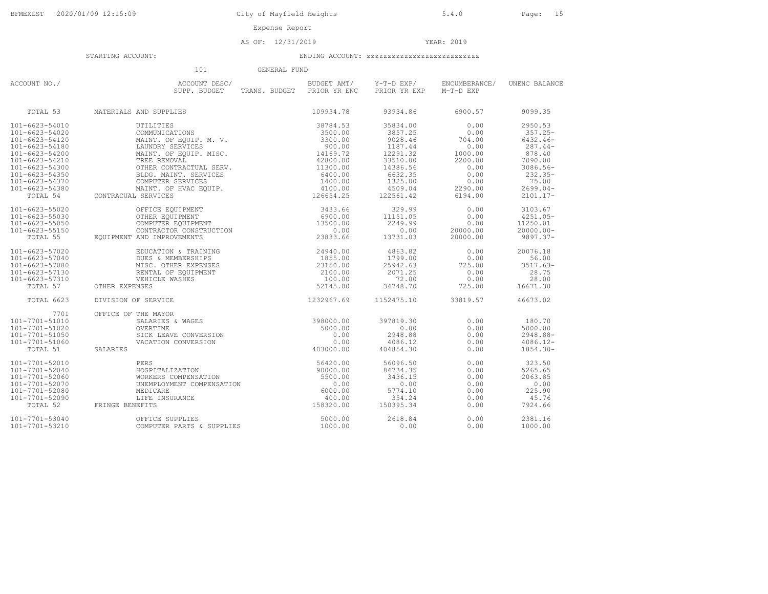878.40

28.75

#### AS OF: 12/31/2019 YEAR: 2019

## STARTING ACCOUNT: ENDING ACCOUNT: zzzzzzzzzzzzzzzzzzzzzzzzzzz

 101 GENERAL FUNDACCOUNT NO./ ACCOUNT DESC/ BUDGET AMT/ Y-T-D EXP/ ENCUMBERANCE/ UNENC BALANCE SUPP. BUDGET TRANS. BUDGET PRIOR YR ENC PRIOR YR EXP M-T-D EXP TOTAL 53 MATERIALS AND SUPPLIES 109934.78 93934.86 6900.57 9099.35101-6623-54010 UTILITIES 38784.53 35834.00 0.00 2950.53101-6623-54020 COMMUNICATIONS 3500.00 3857.25 0.00 357.25- $6432.46-$ 101-6623-54120 MAINT. OF EQUIP. M. V. 3300.00 9028.46 704.00 6432.46- $287.44-$ 101-6623-54180 LAUNDRY SERVICES 900.00 1187.44 0.00 287.44-101-6623-54200 MAINT. OF EQUIP. MISC. 14169.72 12291.32 1000.00 878.407090.00  $101-6623-54210 \mbox{\small \begin{tabular}{0.9cm}c@{}}\hline\texttt{101-6623-54210} & \texttt{TREE REMOVAI} & \texttt{SERV} \\ \hline 101-6623-54300 & \texttt{OTHER CONTRACTUAL SERV.} & 42800.00 & 33510.00 & 2200.00 & 7090.00 \\ \hline 101-6623-54350 & \texttt{DTHE R CONTRACTUAL SERVICES} & 6400.00 & 6632.35 & 0.00 & 3086.56 \\ \hline$ 101-6623-55020 OFFICE EQUIPMENT 3433.66 329.99 0.00 3103.67101-6623-55030 OTHER EQUIPMENT 6900.00 11151.05 0.00 4251.05-4251.05- 101-6623-55050 COMPUTER EQUIPMENT 13500.00 2249.99 0.00 11250.01 $20000.00$   $20000.00$ 101-6623-55150 CONTRACTOR CONSTRUCTION 0.00 0.00 20000.00 20000.00- TOTAL 55 EQUIPMENT AND IMPROVEMENTS 23833.66 13731.03 20000.00 9897.37-9897.37-101-6623-57020 EDUCATION & TRAINING 24940.00 4863.82 0.00 20076.1856.00 101-6623-57040 DUES & MEMBERSHIPS 1855.00 1799.00 0.00 56.00 $3517.63-$ 101-6623-57080 MISC. OTHER EXPENSES 23150.00 25942.63 725.00<br>101-6623-57130 RENTAL OF EQUIPMENT 2100.00 2071.25 0.00 101-6623-57130 RENTAL OF EQUIPMENT 2100.00 2071.25 0.00<br>101-6623-57310 VEHICLE MASHES 2100.00 2071.25 0.00

| 101-6623-57310<br>TOTAL 57 | VEHICLE WASHES<br>OTHER EXPENSES | 100.00<br>52145.00 | 72.00<br>34748.70 | 0.00<br>725.00 | 28.00<br>16671.30 |
|----------------------------|----------------------------------|--------------------|-------------------|----------------|-------------------|
| TOTAL 6623                 | DIVISION OF SERVICE              | 1232967.69         | 1152475.10        | 33819.57       | 46673.02          |
| 7701                       | OFFICE OF THE MAYOR              |                    |                   |                |                   |
| 101-7701-51010             | SALARIES & WAGES                 | 398000.00          | 397819.30         | 0.00           | 180.70            |
| 101-7701-51020             | OVERTIME                         | 5000.00            | 0.00              | 0.00           | 5000.00           |
| 101-7701-51050             | SICK LEAVE CONVERSION            | 0.00               | 2948.88           | 0.00           | $2948.88 -$       |
| 101-7701-51060             | VACATION CONVERSION              | 0.00               | 4086.12           | 0.00           | $4086.12 -$       |
| TOTAL 51                   | SALARIES                         | 403000.00          | 404854.30         | 0.00           | $1854.30 -$       |
| 101-7701-52010             | PERS                             | 56420.00           | 56096.50          | 0.00           | 323.50            |
| 101-7701-52040             | HOSPITALIZATION                  | 90000.00           | 84734.35          | 0.00           | 5265.65           |
| 101-7701-52060             | WORKERS COMPENSATION             | 5500.00            | 3436.15           | 0.00           | 2063.85           |
| 101-7701-52070             | UNEMPLOYMENT COMPENSATION        | 0.00               | 0.00              | 0.00           | 0.00              |
| 101-7701-52080             | MEDICARE                         | 6000.00            | 5774.10           | 0.00           | 225.90            |
| 101-7701-52090             | LIFE INSURANCE                   | 400.00             | 354.24            | 0.00           | 45.76             |
| TOTAL 52                   | FRINGE BENEFITS                  | 158320.00          | 150395.34         | 0.00           | 7924.66           |
| 101-7701-53040             | OFFICE SUPPLIES                  | 5000.00            | 2618.84           | 0.00           | 2381.16           |
| 101-7701-53210             | COMPUTER PARTS & SUPPLIES        | 1000.00            | 0.00              | 0.00           | 1000.00           |
|                            |                                  |                    |                   |                |                   |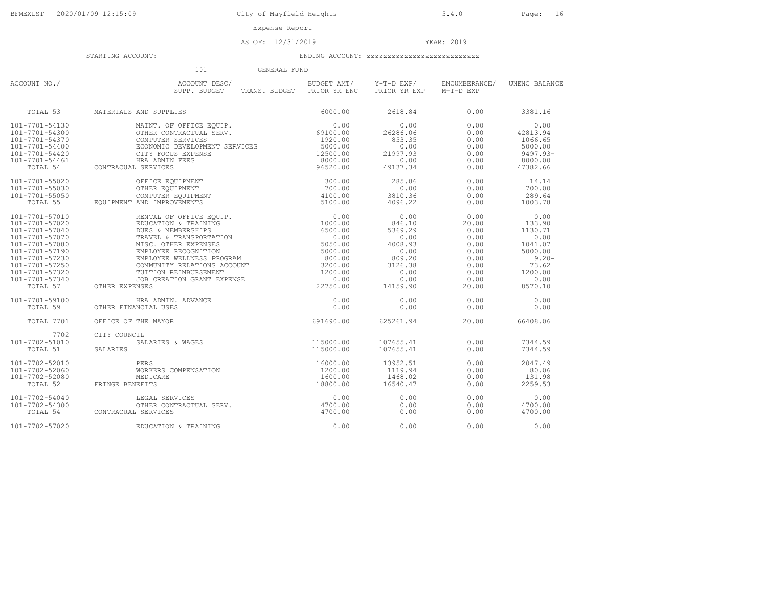AS OF: 12/31/2019 YEAR: 2019

|                                                                                                                                                                                              | 101<br>GENERAL FUND                                                                                                                                                                                                                                                                   |                                                                                                              |                                                                                                       |                                                                                        |                                                                                                            |
|----------------------------------------------------------------------------------------------------------------------------------------------------------------------------------------------|---------------------------------------------------------------------------------------------------------------------------------------------------------------------------------------------------------------------------------------------------------------------------------------|--------------------------------------------------------------------------------------------------------------|-------------------------------------------------------------------------------------------------------|----------------------------------------------------------------------------------------|------------------------------------------------------------------------------------------------------------|
| ACCOUNT NO./                                                                                                                                                                                 | ACCOUNT DESC/<br>SUPP. BUDGET                                                                                                                                                                                                                                                         | BUDGET AMT/<br>TRANS. BUDGET PRIOR YR ENC                                                                    | Y-T-D EXP/<br>PRIOR YR EXP                                                                            | ENCUMBERANCE/<br>M-T-D EXP                                                             | UNENC BALANCE                                                                                              |
| TOTAL 53                                                                                                                                                                                     | MATERIALS AND SUPPLIES                                                                                                                                                                                                                                                                | 6000.00                                                                                                      | 2618.84                                                                                               | 0.00                                                                                   | 3381.16                                                                                                    |
| 101-7701-54130<br>101-7701-54300<br>101-7701-54370<br>101-7701-54400<br>101-7701-54420<br>101-7701-54461<br>TOTAL 54                                                                         | MAINT. OF OFFICE EOUIP.<br>OTHER CONTRACTUAL SERV.<br>COMPUTER SERVICES<br>ECONOMIC DEVELOPMENT SERVICES<br>CITY FOCUS EXPENSE<br>CONTRACUAL SERVICES                                                                                                                                 | 0.00<br>69100.00<br>1920.00<br>5000.00<br>12500.00<br>8000.00<br>96520.00                                    | 0.00<br>26286.06<br>853.35<br>0.00<br>21997.93<br>0.00<br>49137.34                                    | 0.00<br>0.00<br>0.00<br>0.00<br>0.00<br>0.00<br>0.00                                   | 0.00<br>42813.94<br>1066.65<br>5000.00<br>$9497.93 -$<br>8000.00<br>47382.66                               |
| 101-7701-55020<br>101-7701-55030<br>101-7701-55050<br>TOTAL 55                                                                                                                               | HRA ADMIN FEES<br>L SERVICES<br>OFFICE EQUIPMENT<br>OTHER EQUIPMENT<br>COMPUTER EQUIPMENT<br>AND IMPROVEMENTS<br>EQUIPMENT AND IMPROVEMENTS                                                                                                                                           | 300.00<br>700.00<br>4100.00<br>5100.00                                                                       | 285.86<br>0.00<br>3810.36<br>4096.22                                                                  | 0.00<br>0.00<br>0.00<br>0.00                                                           | 14.14<br>700.00<br>289.64<br>1003.78                                                                       |
| 101-7701-57010<br>101-7701-57020<br>101-7701-57040<br>101-7701-57070<br>101-7701-57080<br>101-7701-57190<br>101-7701-57230<br>101-7701-57250<br>101-7701-57320<br>101-7701-57340<br>TOTAL 57 | RENTAL OF OFFICE EQUIP.<br>EDUCATION & TRAINING<br>DUES & MEMBERSHIPS<br>TRAVEL & TRANSPORTATION<br>MISC. OTHER EXPENSES<br>EMPLOYEE RECOGNITION<br>EMPLOYEE WELLNESS PROGRAM<br>COMMUNITY RELATIONS ACCOUNT<br>TUITION REIMBURSEMENT<br>JOB CREATION GRANT EXPENSE<br>OTHER EXPENSES | 0.00<br>1000.00<br>6500.00<br>0.00<br>5050.00<br>5000.00<br>800.00<br>3200.00<br>1200.00<br>0.00<br>22750.00 | 0.00<br>846.10<br>5369.29<br>0.00<br>4008.93<br>0.00<br>809.20<br>3126.38<br>0.00<br>0.00<br>14159.90 | 0.00<br>20.00<br>0.00<br>0.00<br>0.00<br>0.00<br>0.00<br>0.00<br>0.00<br>0.00<br>20.00 | 0.00<br>133.90<br>1130.71<br>0.00<br>1041.07<br>5000.00<br>$9.20 -$<br>73.62<br>1200.00<br>0.00<br>8570.10 |
| 101-7701-59100<br>TOTAL 59                                                                                                                                                                   | HRA ADMIN. ADVANCE<br>OTHER FINANCIAL USES                                                                                                                                                                                                                                            | 0.00<br>0.00                                                                                                 | 0.00<br>0.00                                                                                          | 0.00<br>0.00                                                                           | 0.00<br>0.00                                                                                               |
| <b>TOTAL 7701</b>                                                                                                                                                                            | OFFICE OF THE MAYOR                                                                                                                                                                                                                                                                   | 691690.00                                                                                                    | 625261.94                                                                                             | 20.00                                                                                  | 66408.06                                                                                                   |
| 7702<br>101-7702-51010<br>TOTAL 51                                                                                                                                                           | CITY COUNCIL<br>SALARIES & WAGES<br>SALARIES                                                                                                                                                                                                                                          | 115000.00<br>115000.00                                                                                       | 107655.41<br>107655.41                                                                                | 0.00<br>0.00                                                                           | 7344.59<br>7344.59                                                                                         |
| 101-7702-52010<br>101-7702-52060<br>101-7702-52080<br>TOTAL 52                                                                                                                               | PERS<br>WORKERS COMPENSATION<br>MEDICARE<br>FRINGE BENEFITS                                                                                                                                                                                                                           | 16000.00<br>1200.00<br>1600.00<br>18800.00                                                                   | 13952.51<br>1119.94<br>1468.02<br>16540.47                                                            | 0.00<br>0.00<br>0.00<br>0.00                                                           | 2047.49<br>80.06<br>131.98<br>2259.53                                                                      |
| 101-7702-54040<br>101-7702-54300<br>TOTAL 54                                                                                                                                                 | LEGAL SERVICES<br>OTHER CONTRACTUAL SERV.<br>CONTRACUAL SERVICES                                                                                                                                                                                                                      | 0.00<br>4700.00<br>4700.00                                                                                   | 0.00<br>0.00<br>0.00                                                                                  | 0.00<br>0.00<br>0.00                                                                   | 0.00<br>4700.00<br>4700.00                                                                                 |
| 101-7702-57020                                                                                                                                                                               | EDUCATION & TRAINING                                                                                                                                                                                                                                                                  | 0.00                                                                                                         | 0.00                                                                                                  | 0.00                                                                                   | 0.00                                                                                                       |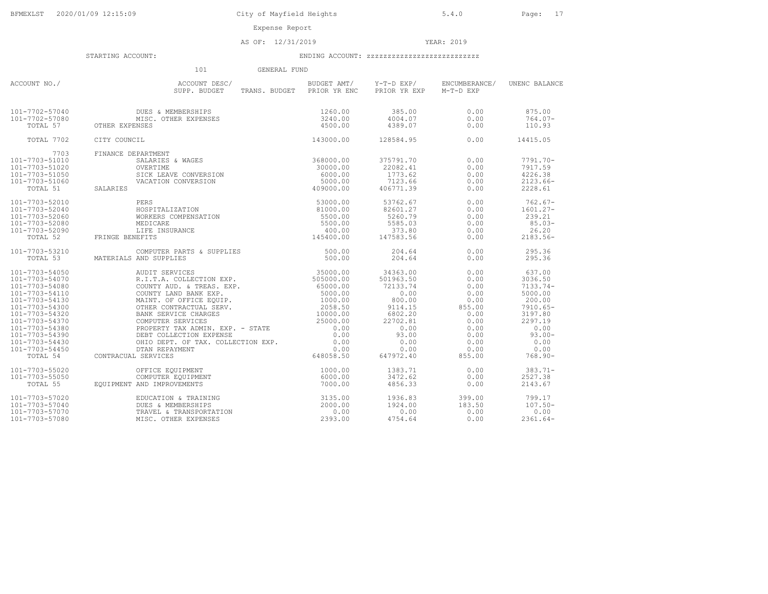Expense Report

AS OF: 12/31/2019 YEAR: 2019

#### STARTING ACCOUNT: ENDING ACCOUNT: zzzzzzzzzzzzzzzzzzzzzzzzzzz

 101 GENERAL FUNDACCOUNT NO./<br>
SUPP. BUDGET TRANS. BUDGET PRIOR YR ENC PRIOR YR EXP M-T-D EXP (UNENC BALANCE 101-7702-57040 DUES & MEMBERSHIPS 1260.00 385.00 0.00 875.00 101-7702-57080 MISC. OTHER EXPENSES 3240.00 4004.07 0.00 764.07- TOTAL 57 OTHER EXPENSES 4500.00 4389.07 0.00 110.93 TOTAL 7702 CITY COUNCIL 143000.00 128584.95 0.00 14415.05 7703 FINANCE DEPARTMENT 101-7703-51010 SALARIES & WAGES 368000.00 375791.70 0.00 7791.70- 101-7703-51020 OVERTIME 30000.00 22082.41 0.00 7917.59 101-7703-51050 SICK LEAVE CONVERSION 6000.00 1773.62 0.00 4226.38 101-7703-51060 VACATION CONVERSION 5000.00 7123.66 0.00 2123.66- TOTAL 51 SALARIES 409000.00 406771.39 0.00 2228.61 101-7703-52010 PERS 53000.00 53762.67 0.00 762.67- 101-7703-52040 HOSPITALIZATION 81000.00 82601.27 0.00 1601.27- 101-7703-52060 WORKERS COMPENSATION 5500.00 5260.79 0.00 239.21 101-7703-52080 MEDICARE 5500.00 5585.03 0.00 85.03- 101-7703-52090 LIFE INSURANCE 400.00 373.80 0.00 26.20 TOTAL 52 FRINGE BENEFITS 145400.00 147583.56 0.00 2183.56- 101-7703-53210 COMPUTER PARTS & SUPPLIES 500.00 204.64 0.00 295.36 TOTAL 53 MATERIALS AND SUPPLIES 500.00 204.64 0.00 295.36 $\begin{tabular}{cccccccc} 101-7703-54050 & \multicolumn{1}{c}{AUCI-7703-54050} & \multicolumn{1}{c}{AUCI-7703-54050} & \multicolumn{1}{c}{AUCI-7703-54080} & \multicolumn{1}{c}{AUCI-7703-54080} & \multicolumn{1}{c}{CUCI-703-54080} & \multicolumn{1}{c}{CUCI-703-54080} & \multicolumn{1}{c}{CUCI-703-54080} & \multicolumn{1}{c}{CUCI-703-54080}$ 101-7703-55020 OFFICE EQUIPMENT<br>101-7703-55050 COMPUTER EQUIPMENT (COMPUTER EQUIPMENT 6000.00 3472.62 0.00 2527.38<br>101-703-55050 EQUIPMENT AND IMPROVEMENTS (7000.00 4856.33 0.00 2143.67 101-7703-57020 EDUCATION & TRAINING 3135.00 1936.83 399.00 799.17 101-7703-57040 DUES & MEMBERSHIPS 2000.00 1924.00 183.50 107.50- 101-7703-57070 TRAVEL & TRANSPORTATION 0.00 0.00 0.00 0.00 101-7703-57080 MISC. OTHER EXPENSES 2393.00 4754.64 0.00 2361.64-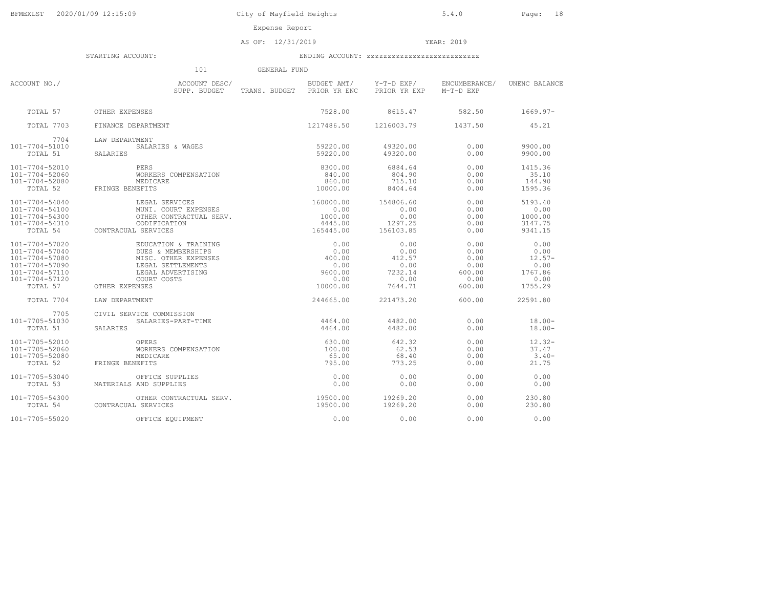Expense Report

AS OF: 12/31/2019 YEAR: 2019

|                                                                                                                      | 101<br>GENERAL FUND                                                                                                                           |                                                               |                                                              |                                                          |                                                                |
|----------------------------------------------------------------------------------------------------------------------|-----------------------------------------------------------------------------------------------------------------------------------------------|---------------------------------------------------------------|--------------------------------------------------------------|----------------------------------------------------------|----------------------------------------------------------------|
| ACCOUNT NO./                                                                                                         | ACCOUNT DESC/<br>SUPP. BUDGET                                                                                                                 | TRANS. BUDGET PRIOR YR ENC                                    | BUDGET AMT/ Y-T-D EXP/<br>PRIOR YR EXP                       | ENCUMBERANCE/<br>M-T-D EXP                               | UNENC BALANCE                                                  |
| TOTAL 57                                                                                                             | OTHER EXPENSES                                                                                                                                | 7528.00                                                       | 8615.47                                                      | 582.50                                                   | 1669.97-                                                       |
| <b>TOTAL 7703</b>                                                                                                    | FINANCE DEPARTMENT                                                                                                                            | 1217486.50 1216003.79                                         |                                                              | 1437.50                                                  | 45.21                                                          |
| 7704<br>101-7704-51010<br>TOTAL 51                                                                                   | LAW DEPARTMENT<br>SALARIES & WAGES<br>SALARIES                                                                                                | 59220.00<br>59220.00                                          | 49320.00<br>49320.00                                         | 0.00<br>0.00                                             | 9900.00<br>9900.00                                             |
| 101-7704-52010<br>101-7704-52060<br>101-7704-52080<br>TOTAL 52                                                       | PERS<br>WORKERS COMPENSATION<br>MEDICARE<br>FRINGE BENEFITS                                                                                   | 8300.00<br>840.00<br>860.00<br>10000.00                       | 6884.64<br>804.90<br>715.10<br>8404.64                       | 0.00<br>0.00<br>0.00<br>0.00                             | 1415.36<br>35.10<br>144.90<br>1595.36                          |
| 101-7704-54040<br>101-7704-54100<br>101-7704-54300<br>101-7704-54310<br>TOTAL 54                                     | LEGAL SERVICES<br>MUNI. COURT EXPENSES<br>OTHER CONTRACTUAL SERV.<br>CODIFICATION<br>CONTRACUAL SERVICES                                      | 160000.00<br>0.00<br>1000.00<br>4445.00<br>165445.00          | 154806.60<br>0.00<br>0.00<br>1297.25<br>156103.85            | 0.00<br>0.00<br>0.00<br>0.00<br>0.00                     | 5193.40<br>0.00<br>1000.00<br>3147.75<br>9341.15               |
| 101-7704-57020<br>101-7704-57040<br>101-7704-57080<br>101-7704-57090<br>101-7704-57110<br>101-7704-57120<br>TOTAL 57 | EDUCATION & TRAINING<br>DUES & MEMBERSHIPS<br>MISC. OTHER EXPENSES<br>LEGAL SETTLEMENTS<br>LEGAL ADVERTISING<br>COURT COSTS<br>OTHER EXPENSES | 0.00<br>0.00<br>400.00<br>0.00<br>9600.00<br>0.00<br>10000.00 | 0.00<br>0.00<br>412.57<br>0.00<br>7232.14<br>0.00<br>7644.71 | 0.00<br>0.00<br>0.00<br>0.00<br>600.00<br>0.00<br>600.00 | 0.00<br>0.00<br>- 12.57-<br>0.00<br>1767.86<br>0.00<br>1755.29 |
| TOTAL 7704                                                                                                           | LAW DEPARTMENT                                                                                                                                | 244665.00                                                     | 221473.20                                                    | 600.00                                                   | 22591.80                                                       |
| 7705<br>101-7705-51030<br>TOTAL 51                                                                                   | CIVIL SERVICE COMMISSION<br>SALARIES-PART-TIME<br>SALARIES                                                                                    | 4464.00<br>4464.00                                            | 4482.00<br>4482.00                                           | 0.00<br>0.00                                             | $18.00 -$<br>$18.00 -$                                         |
| $101 - 7705 - 52010$<br>101-7705-52060<br>101-7705-52080<br>TOTAL 52                                                 | OPERS<br>WORKERS COMPENSATION<br>MEDICARE<br>FRINGE BENEFITS                                                                                  | 630.00<br>100.00<br>65.00<br>795.00                           | 642.32<br>62.53<br>68.40<br>773.25                           | 0.00<br>0.00<br>0.00<br>0.00                             | $12.32 -$<br>37.47<br>$3.40-$<br>21.75                         |
| 101-7705-53040<br>TOTAL 53                                                                                           | OFFICE SUPPLIES<br>MATERIALS AND SUPPLIES                                                                                                     | 0.00<br>0.00                                                  | 0.00<br>0.00                                                 | 0.00<br>0.00                                             | 0.00<br>0.00                                                   |
| 101-7705-54300<br>TOTAL 54                                                                                           | OTHER CONTRACTUAL SERV. 19500.00<br>CONTRACUAL SERVICES                                                                                       | 19500.00                                                      | 19269.20<br>19269.20                                         | 0.00<br>0.00                                             | 230.80<br>230.80                                               |
| 101-7705-55020                                                                                                       | OFFICE EOUIPMENT                                                                                                                              | 0.00                                                          | 0.00                                                         | 0.00                                                     | 0.00                                                           |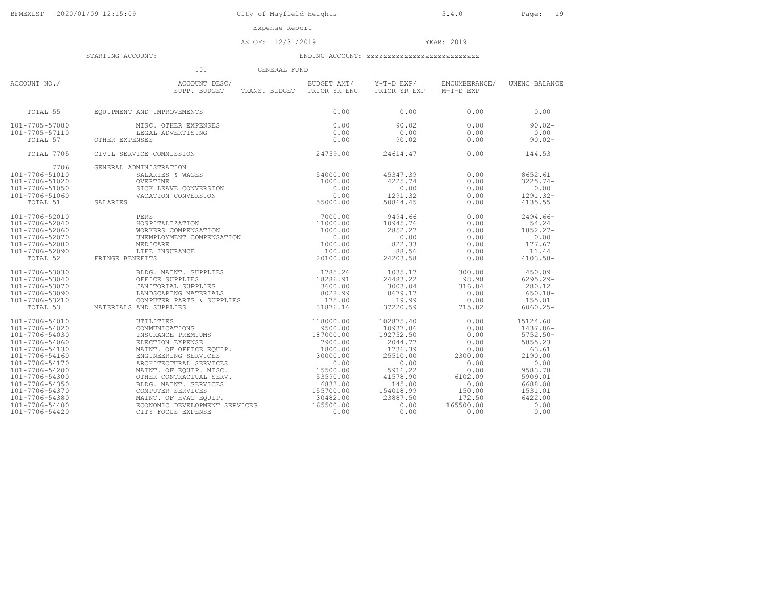AS OF: 12/31/2019 YEAR: 2019

|                | 101                                                                                                                                                                                                                                                                                                          | GENERAL FUND                                       |                                        |                            |               |
|----------------|--------------------------------------------------------------------------------------------------------------------------------------------------------------------------------------------------------------------------------------------------------------------------------------------------------------|----------------------------------------------------|----------------------------------------|----------------------------|---------------|
| ACCOUNT NO./   | ACCOUNT DESC/<br>SUPP. BUDGET<br>SUPP. BUDGET TRANS. BUDGET PRIOR YR ENC                                                                                                                                                                                                                                     |                                                    | BUDGET AMT/ Y-T-D EXP/<br>PRIOR YR EXP | ENCUMBERANCE/<br>M-T-D EXP | UNENC BALANCE |
| TOTAL 55       | EQUIPMENT AND IMPROVEMENTS                                                                                                                                                                                                                                                                                   |                                                    | 0.00                                   | 0.00                       | 0.00          |
| 101-7705-57080 | MISC. OTHER EXPENSES                                                                                                                                                                                                                                                                                         |                                                    | 90.02                                  | 0.00                       | $90.02 -$     |
| 101-7705-57110 | MISC. OTHER EXPEN:<br>LEGAL ADVERTISING                                                                                                                                                                                                                                                                      |                                                    | 0.00                                   | 0.00                       | 0.00          |
| TOTAL 57       | OTHER EXPENSES                                                                                                                                                                                                                                                                                               |                                                    | 90.02                                  | 0.00                       | $90.02 -$     |
| TOTAL 7705     | CIVIL SERVICE COMMISSION                                                                                                                                                                                                                                                                                     | $0.00$<br>0.00<br>0.00<br>0.00<br>0.00<br>24759.00 | 24614.47                               | 0.00                       | 144.53        |
| 7706           | VICE COMMISSION<br>MINISTRATION<br>SALARIES & WAGES<br>OVERTIME<br>SICK LEAVE CONVERSION<br>VACATION CONVERSION<br>VACATION CONVERSION<br>55000.00<br>55000.00<br>GENERAL ADMINISTRATION                                                                                                                     |                                                    |                                        |                            |               |
| 101-7706-51010 |                                                                                                                                                                                                                                                                                                              |                                                    | 45347.39                               | 0.00                       | 8652.61       |
| 101-7706-51020 |                                                                                                                                                                                                                                                                                                              |                                                    | 4225.74                                | 0.00                       | $3225.74-$    |
| 101-7706-51050 |                                                                                                                                                                                                                                                                                                              |                                                    | 0.00                                   | 0.00                       | 0.00          |
| 101-7706-51060 |                                                                                                                                                                                                                                                                                                              |                                                    | 1291.32                                | 0.00                       | $1291.32-$    |
| TOTAL 51       | SALARIES                                                                                                                                                                                                                                                                                                     |                                                    | 50864.45                               | 0.00                       | 4135.55       |
| 101-7706-52010 |                                                                                                                                                                                                                                                                                                              |                                                    | 9494.66                                | 0.00                       | $2494.66-$    |
| 101-7706-52040 |                                                                                                                                                                                                                                                                                                              |                                                    | 10945.76                               | 0.00                       | 54.24         |
| 101-7706-52060 |                                                                                                                                                                                                                                                                                                              |                                                    | 2852.27                                | 0.00                       | 1852.27-      |
| 101-7706-52070 |                                                                                                                                                                                                                                                                                                              |                                                    | 0.00                                   | 0.00                       | 0.00          |
| 101-7706-52080 |                                                                                                                                                                                                                                                                                                              |                                                    | 822.33                                 | 0.00                       | 177.67        |
| 101-7706-52090 |                                                                                                                                                                                                                                                                                                              |                                                    | 88.56                                  | 0.00                       | 11.44         |
| TOTAL 52       | $\begin{tabular}{ll} \bf PERS & \tt 7000.00 \\ \tt HOSSPITALIZATION & \tt 11000.00 \\ \tt WOKKERS COMPENSATION & \tt 1000.00 \\ \tt UNEMPLOYMENT COMPENSATION & \tt 0.00 \\ \tt MEDICARE & \tt 1000.00 \\ \tt LIFE INSURANCE & \tt 100.00 \\ \tt ENEFITS & \tt 20100.00 \\ \end{tabular}$<br>FRINGE BENEFITS |                                                    | 24203.58                               | 0.00                       | $4103.58 -$   |
| 101-7706-53030 | BLDG. MAINT. SUPPLIES 1785.26<br>OFFICE SUPPLIES 18286.91<br>JANITORIAL SUPPLIES 18286.91<br>LANDSCAPING MATERIALS 3600.00<br>COMPUTER PARTS & SUPPLIES 175.00<br>ALS AND SUPPLIES 31876.16                                                                                                                  |                                                    | 1035.17                                | 300.00                     | 450.09        |
| 101-7706-53040 |                                                                                                                                                                                                                                                                                                              |                                                    | 24483.22                               | 98.98                      | $6295.29 -$   |
| 101-7706-53070 |                                                                                                                                                                                                                                                                                                              |                                                    | 3003.04                                | 316.84                     | 280.12        |
| 101-7706-53090 |                                                                                                                                                                                                                                                                                                              |                                                    | 8679.17                                | 0.00                       | $650.18 -$    |
| 101-7706-53210 |                                                                                                                                                                                                                                                                                                              |                                                    | 19.99                                  | 0.00                       | 155.01        |
| TOTAL 53       | MATERIALS AND SUPPLIES                                                                                                                                                                                                                                                                                       |                                                    | 37220.59                               | 715.82                     | $6060.25 -$   |
| 101-7706-54010 | AND 30112222<br>UTILITIES 118000.00<br>COMMUNICATIONS 19500.00<br>INSURANCE PREMIUMS 187000.00<br>7900.00                                                                                                                                                                                                    |                                                    | 102875.40                              | 0.00                       | 15124.60      |
| 101-7706-54020 |                                                                                                                                                                                                                                                                                                              |                                                    | 10937.86                               | 0.00                       | 1437.86-      |
| 101-7706-54030 |                                                                                                                                                                                                                                                                                                              |                                                    | 192752.50                              | 0.00                       | $5752.50 -$   |
| 101-7706-54060 |                                                                                                                                                                                                                                                                                                              |                                                    | 2044.77                                | 0.00                       | 5855.23       |
| 101-7706-54130 |                                                                                                                                                                                                                                                                                                              |                                                    | 1736.39                                | 0.00                       | 63.61         |
| 101-7706-54160 |                                                                                                                                                                                                                                                                                                              |                                                    | 25510.00                               | 2300.00                    | 2190.00       |
| 101-7706-54170 |                                                                                                                                                                                                                                                                                                              |                                                    | 0.00                                   | 0.00                       | 0.00          |
| 101-7706-54200 | NEWSINGLETION EXPENSE<br>MAINT. OF OFFICE EQUIP. (1800.00)<br>ENGINEERING SERVICES (1800.00)<br>ARCHITECTURAL SERVICES (1800.00)<br>ARCHITECTURAL SERVICES (15500.00)<br>MAINT. OF EQUIP. MISC. (15500.00)<br>OTHER CONTRACTUAL SERV. (535                                                                   |                                                    | 5916.22                                | 0.00                       | 9583.78       |
| 101-7706-54300 |                                                                                                                                                                                                                                                                                                              |                                                    | 41578.90                               | 6102.09                    | 5909.01       |
| 101-7706-54350 |                                                                                                                                                                                                                                                                                                              |                                                    | 145.00                                 | 0.00                       | 6688.00       |
| 101-7706-54370 | COMPUTER SERVICES<br>MAINT. OF HVAC EQUIP.                                                                                                                                                                                                                                                                   | 155700.00                                          | 154018.99                              | 150.00                     | 1531.01       |
| 101-7706-54380 |                                                                                                                                                                                                                                                                                                              | 30482.00                                           | 23887.50                               | 172.50                     | 6422.00       |
| 101-7706-54400 | ECONOMIC DEVELOPMENT SERVICES<br>CITY FOCUS EXPENSE                                                                                                                                                                                                                                                          | 165500.00                                          | 0.00                                   | 165500.00                  | 0.00          |
| 101-7706-54420 | CITY FOCUS EXPENSE                                                                                                                                                                                                                                                                                           | 0.00                                               | 0.00                                   | 0.00                       | 0.00          |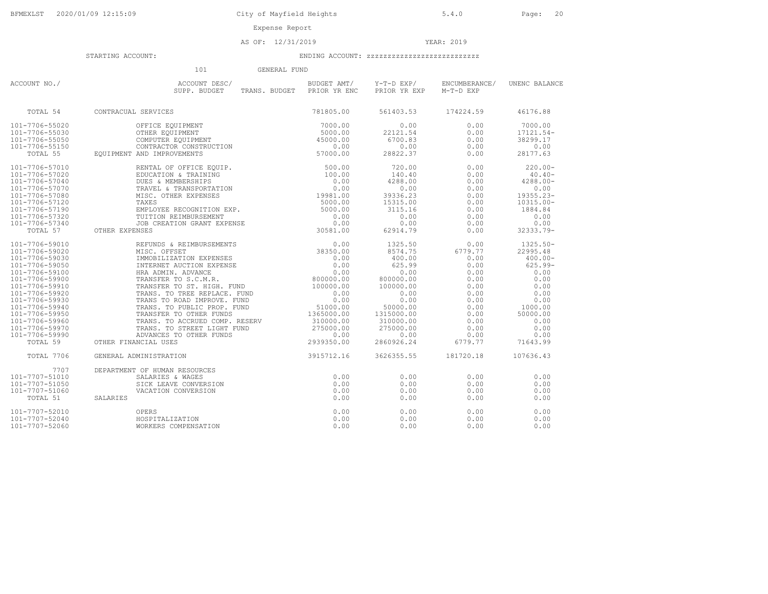### AS OF: 12/31/2019 YEAR: 2019

#### STARTING ACCOUNT: ENDING ACCOUNT: zzzzzzzzzzzzzzzzzzzzzzzzzzz

 101 GENERAL FUNDACCOUNT NO./ ACCOUNT DESC/ BUDGET AMT/ Y-T-D EXP/ ENCUMBERANCE/ UNENC BALANCE SUPP. BUDGET TRANS. BUDGET PRIOR YR ENC PRIOR YR EXP M-T-D EXP TOTAL 54 CONTRACUAL SERVICES 781805.00 561403.53 174224.59 46176.88 101-7706-55020 OFFICE EQUIPMENT 7000.00 0.00 0.00 7000.00 101-7706-55030 OTHER EQUIPMENT 5000.00 22121.54 0.00 17121.54- 101-7706-55050 COMPUTER EQUIPMENT 45000.00 6700.83 0.00 38299.17 101-7706-55150 CONTRACTOR CONSTRUCTION 0.00 0.00 0.00 0.00 TOTAL 55 EQUIPMENT AND IMPROVEMENTS 57000.00 28822.37 0.00 28177.63 101-7706-57010 RENTAL OF OFFICE EQUIP. 500.00 720.00 0.00 220.00- 101-7706-57020 EDUCATION & TRAINING 100.00 140.40 0.00 40.40- 101-7706-57040 DUES & MEMBERSHIPS 0.00 4288.00 0.00 4288.00- 101-7706-57070 TRAVEL & TRANSPORTATION 0.00 0.00 0.00 0.00 101-7706-57080 MISC. OTHER EXPENSES 19981.00 39336.23 0.00 19355.23- 101-7706-57120 TAXES 5000.00 15315.00 0.00 10315.00- 101-7706-57190 EMPLOYEE RECOGNITION EXP. 5000.00 3115.16 0.00 1884.84 101-7706-57320 TUITION REIMBURSEMENT 0.00 0.00 0.00 0.00 101-7706-57340 JOB CREATION GRANT EXPENSE 0.00 0.00 0.00 0.00 TOTAL 57 OTHER EXPENSES 30581.00 62914.79 0.00 32333.79- 101-7706-59010 REFUNDS & REIMBURSEMENTS 0.00 1325.50 0.00 1325.50- 101-7706-59020 MISC. OFFSET 38350.00 8574.75 6779.77 22995.48 101-7706-59030 IMMOBILIZATION EXPENSES 0.00 400.00 0.00 400.00- 101-7706-59050 INTERNET AUCTION EXPENSE 0.00 625.99 0.00 625.99- 101-7706-59100 HRA ADMIN. ADVANCE 0.00 0.00 0.00 0.00 101-7706-59900 TRANSFER TO S.C.M.R. 800000.00 800000.00 0.00 0.00 101-7706-59910 TRANSFER TO ST. HIGH. FUND 100000.00 100000.00 0.00 0.00 101-7706-59920 TRANS. TO TREE REPLACE. FUND 0.00 0.00 0.00 0.00 101-7706-59930 TRANS TO ROAD IMPROVE. FUND 0.00 0.00 0.00 0.00 101-7706-59940 TRANS. TO PUBLIC PROP. FUND 51000.00 50000.00 0.00 1000.00 101-7706-59950 TRANSFER TO OTHER FUNDS 1365000.00 1315000.00 0.00 50000.00 101-7706-59960 TRANS. TO ACCRUED COMP. RESERV 310000.00 310000.00 0.00 0.00 101-7706-59970 TRANS. TO STREET LIGHT FUND 275000.00 275000.00 0.00 0.00 101-7706-59990 ADVANCES TO OTHER FUNDS 0.00 0.00 0.00 0.00 TOTAL 59 OTHER FINANCIAL USES 2939350.00 2860926.24 6779.77 71643.99 TOTAL 7706 GENERAL ADMINISTRATION 3915712.16 3626355.55 181720.18 107636.437707 DEPARTMENT OF HUMAN RESOURCES<br>101-7707-51010 SALARIES & WAGES 101-7707-51010 SALARIES & WAGES 0.00 0.00 0.00 0.00101-7707-51050 SICK LEAVE CONVERSION 0.00 0.00 0.00 0.00101-7707-51060 VACATION CONVERSION 0.00 0.00 0.00 0.00 TOTAL 51 SALARIES 0.00 0.00 0.00 0.00 $0.00$  $0.00$  $0.00$ 101-7707-52010 OPERS 0.00 0.00 0.00 0.00 101-7707-52040 HOSPITALIZATION 0.00 0.00 0.00 0.00 101-7707-52060 WORKERS COMPENSATION 0.00 0.00 0.00 0.00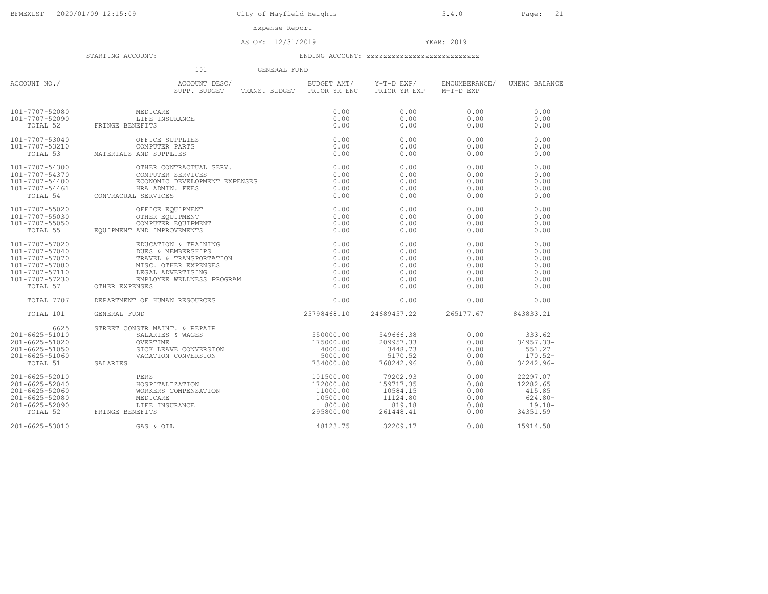Expense Report

AS OF: 12/31/2019 YEAR: 2019

|                                                                                                                      | 101<br>GENERAL FUND                                                                                                                                                                                                                                            |                                                                       |                                                                      |                                                      |                                                                       |
|----------------------------------------------------------------------------------------------------------------------|----------------------------------------------------------------------------------------------------------------------------------------------------------------------------------------------------------------------------------------------------------------|-----------------------------------------------------------------------|----------------------------------------------------------------------|------------------------------------------------------|-----------------------------------------------------------------------|
| ACCOUNT NO./                                                                                                         | ACCOUNT DESC/<br>SUPP. BUDGET<br>SUPP. BUDGET                                                                                                                                                                                                                  | TRANS. BUDGET PRIOR YR ENC                                            | BUDGET AMT/ Y-T-D EXP/<br>PRIOR YR EXP                               | ENCUMBERANCE/<br>M-T-D EXP                           | UNENC BALANCE                                                         |
| 101-7707-52080<br>101-7707-52090<br>TOTAL 52                                                                         | MEDICARE<br>LIFE INSURANCE<br>FRINGE BENEFITS                                                                                                                                                                                                                  | 0.00<br>0.00<br>0.00                                                  | 0.00<br>0.00<br>0.00                                                 | 0.00<br>0.00<br>0.00                                 | 0.00<br>0.00<br>0.00                                                  |
| 101-7707-53040<br>101-7707-53210<br>TOTAL 53                                                                         | OFFICE SUPPLIES<br>COMPUTER PARTS<br>MATERIALS AND SUPPLIES                                                                                                                                                                                                    | 0.00<br>0.00<br>0.00                                                  | 0.00<br>0.00<br>0.00                                                 | 0.00<br>0.00<br>0.00                                 | 0.00<br>0.00<br>0.00                                                  |
| 101-7707-54300<br>101-7707-54370<br>101-7707-54400<br>101-7707-54461<br>TOTAL 54                                     | OTHER CONTRACTUAL SERV.<br>COMPUTER SERVICES<br>ECONOMIC DEVELOPMENT EXPENSES<br>HRA ADMIN. FEES<br>CONTRACUAL SERVICES                                                                                                                                        | 0.00<br>0.00<br>0.00<br>0.00<br>0.00                                  | 0.00<br>0.00<br>0.00<br>0.00<br>0.00                                 | 0.00<br>0.00<br>0.00<br>0.00<br>0.00                 | 0.00<br>0.00<br>0.00<br>0.00<br>0.00                                  |
| 101-7707-55020<br>101-7707-55030<br>101-7707-55050<br>TOTAL 55                                                       | EQUIPMENT AND IMPROVEMENTS                                                                                                                                                                                                                                     | 0.00<br>0.00<br>0.00<br>0.00                                          | 0.00<br>0.00<br>0.00<br>0.00                                         | 0.00<br>0.00<br>0.00<br>0.00                         | 0.00<br>0.00<br>0.00<br>0.00                                          |
| 101-7707-57020<br>101-7707-57040<br>101-7707-57070<br>101-7707-57080<br>101-7707-57110<br>101-7707-57230<br>TOTAL 57 | OFFICE EQUIPMENT<br>COMPUTER EQUIPMENT<br>COMPUTER EQUIPMENT<br>AND IMPROVEMENTS<br>EDUCATION & TRAINING<br>DUES & MEMBERSHITS<br>TRAVEL & TRANSPORTATION<br>MISC. OTHER EXPENSES<br>LEGAL ADVERTISING<br>EMPLOYEE WELLNESS PROGRAM<br>ENSES<br>OTHER EXPENSES | 0.00<br>0.00<br>0.00<br>0.00<br>0.00<br>0.00<br>0.00                  | 0.00<br>0.00<br>0.00<br>0.00<br>0.00<br>0.00<br>0.00                 | 0.00<br>0.00<br>0.00<br>0.00<br>0.00<br>0.00<br>0.00 | 0.00<br>0.00<br>0.00<br>0.00<br>0.00<br>0.00<br>0.00                  |
| TOTAL 7707                                                                                                           | DEPARTMENT OF HUMAN RESOURCES                                                                                                                                                                                                                                  | 0.00                                                                  | 0.00                                                                 | 0.00                                                 | 0.00                                                                  |
| TOTAL 101                                                                                                            | GENERAL FUND                                                                                                                                                                                                                                                   | 25798468.10                                                           | 24689457.22                                                          | 265177.67                                            | 843833.21                                                             |
| 6625<br>201-6625-51010<br>201-6625-51020<br>201-6625-51050<br>201-6625-51060<br>TOTAL 51                             | STREET CONSTR MAINT, & REPAIR<br>NSTR MAINT. & REPAIR<br>SALARIES & WAGES<br>OVERTIME<br>SICK LEAVE CONVERSION<br>VACATION CONVERSION<br>SALARIES                                                                                                              | 550000.00<br>175000.00<br>4000.00<br>5000.00<br>734000.00             | 549666.38<br>209957.33<br>3448.73<br>5170.52<br>768242.96            | 0.00<br>0.00<br>0.00<br>0.00<br>0.00                 | 333.62<br>$34957.33 -$<br>551.27<br>$170.52 -$<br>34242.96-           |
| 201-6625-52010<br>201-6625-52040<br>201-6625-52060<br>201-6625-52080<br>201-6625-52090<br>TOTAL 52                   | PERS<br>HOSPITALIZATION<br>WORKERS COMPENSATION<br>MEDICARE<br>LIFE INSURANCE<br>NEFITS<br>FRINGE BENEFITS                                                                                                                                                     | 101500.00<br>172000.00<br>11000.00<br>10500.00<br>800.00<br>295800.00 | 79202.93<br>159717.35<br>10584.15<br>11124.80<br>819.18<br>261448.41 | 0.00<br>0.00<br>0.00<br>0.00<br>0.00<br>0.00         | 22297.07<br>12282.65<br>415.85<br>$624.80 -$<br>$19.18 -$<br>34351.59 |
| 201-6625-53010                                                                                                       | GAS & OIL                                                                                                                                                                                                                                                      | 48123.75                                                              | 32209.17                                                             | 0.00                                                 | 15914.58                                                              |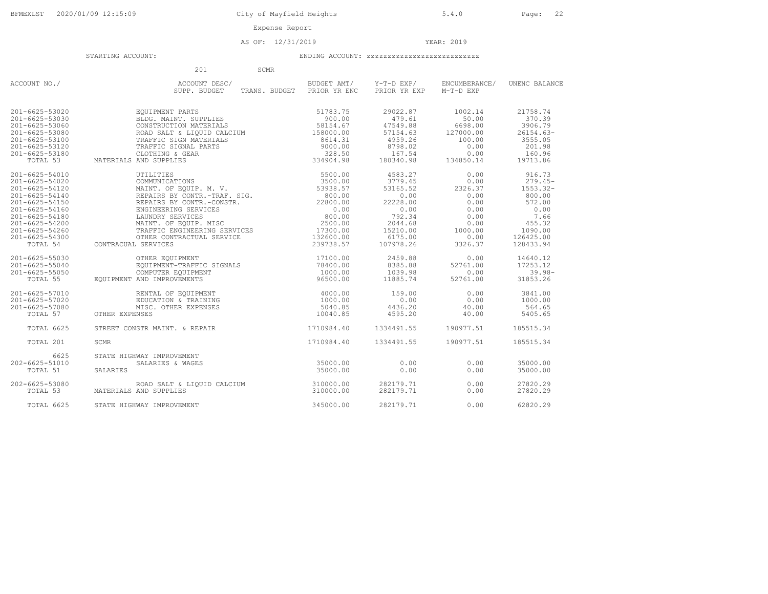AS OF: 12/31/2019 YEAR: 2019

|                                                          | 201<br>SCMR                                                                            |                                |                                |                             |                               |
|----------------------------------------------------------|----------------------------------------------------------------------------------------|--------------------------------|--------------------------------|-----------------------------|-------------------------------|
| ACCOUNT NO./                                             | ACCOUNT DESC/<br>SUPP. BUDGET<br>TRANS. BUDGET                                         | BUDGET AMT/<br>PRIOR YR ENC    | Y-T-D EXP/<br>PRIOR YR EXP     | ENCUMBERANCE/<br>M-T-D EXP  | UNENC BALANCE                 |
| 201-6625-53020<br>$201 - 6625 - 53030$<br>201-6625-53060 | EQUIPMENT PARTS<br>BLDG. MAINT. SUPPLIES<br>CONSTRUCTION MATERIALS                     | 51783.75<br>900.00<br>58154.67 | 29022.87<br>479.61<br>47549.88 | 1002.14<br>50.00<br>6698.00 | 21758.74<br>370.39<br>3906.79 |
| 201-6625-53080<br>201-6625-53100                         | ROAD SALT & LIQUID CALCIUM<br>TRAFFIC SIGN MATERIALS                                   | 158000.00<br>8614.31           | 57154.63<br>4959.26            | 127000.00<br>100.00         | $26154.63-$<br>3555.05        |
| 201-6625-53120                                           | TRAFFIC SIGNAL PARTS                                                                   |                                | 8798.02                        | 0.00                        | 201.98                        |
| 201-6625-53180<br>TOTAL 53                               | 9000.00<br>9000.00<br>328.50<br>334904.98<br>CLOTHING & GEAR<br>MATERIALS AND SUPPLIES |                                | 167.54<br>180340.98            | 0.00<br>134850.14           | 160.96<br>19713.86            |
| $201 - 6625 - 54010$                                     | UTILITIES                                                                              | 5500.00                        | 4583.27                        | 0.00                        | 916.73                        |
| 201-6625-54020<br>201-6625-54120                         | COMMUNICATIONS<br>MAINT, OF EOUIP, M. V.                                               | 3500.00<br>53938.57            | 3779.45<br>53165.52            | 0.00<br>2326.37             | $279.45-$<br>$1553.32 -$      |
| $201 - 6625 - 54140$                                     | REPAIRS BY CONTR.-TRAF. SIG.                                                           | 800.00                         | 0.00                           | 0.00                        | 800.00                        |
| 201-6625-54150                                           | REPAIRS BY CONTR. - CONSTR.                                                            | 22800.00                       | 22228.00                       | 0.00                        | 572.00                        |
| 201-6625-54160                                           | ENGINEERING SERVICES                                                                   | 0.00                           | 0.00                           | 0.00                        | 0.00                          |
| 201-6625-54180<br>201-6625-54200                         | LAUNDRY SERVICES                                                                       | 800.00                         | 792.34                         | 0.00                        | 7.66<br>455.32                |
| 201-6625-54260                                           | MAINT, OF EOUIP, MISC<br>MAINT. OF EQUIP. HILL<br>TRAFFIC ENGINEERING SERVICES         | 2500.00<br>17300.00            | 2044.68<br>15210.00            | 0.00<br>1000.00             | 1090.00                       |
| 201-6625-54300                                           |                                                                                        | 132600.00                      | 6175.00                        | 0.00                        | 126425.00                     |
| TOTAL 54                                                 | CONTRACUAL SERVICES                                                                    | 239738.57                      | 107978.26                      | 3326.37                     | 128433.94                     |
| $201 - 6625 - 55030$                                     | OTHER EQUIPMENT                                                                        | 17100.00                       | 2459.88                        | 0.00                        | 14640.12                      |
| 201-6625-55040<br>201-6625-55050                         | EQUIPMENT-TRAFFIC SIGNALS                                                              | 78400.00<br>1000.00            | 8385.88<br>1039.98             | 52761.00<br>0.00            | 17253.12<br>$39.98 -$         |
| TOTAL 55                                                 | COMPUTER EQUIPMENT<br>EQUIPMENT AND IMPROVEMENTS                                       | 96500.00                       | 11885.74                       | 52761.00                    | 31853.26                      |
| 201-6625-57010                                           | RENTAL OF EQUIPMENT                                                                    | 4000.00                        | 159.00                         | 0.00                        | 3841.00                       |
| 201-6625-57020<br>201-6625-57080                         | EDUCATION & TRAINING                                                                   | 1000.00<br>5040.85             | 0.00<br>4436.20                | 0.00                        | 1000.00<br>564.65             |
| TOTAL 57                                                 | MISC. OTHER EXPENSES<br>OTHER EXPENSES                                                 | 10040.85                       | 4595.20                        | 40.00<br>40.00              | 5405.65                       |
| TOTAL 6625                                               | STREET CONSTR MAINT. & REPAIR                                                          | 1710984.40                     | 1334491.55                     | 190977.51                   | 185515.34                     |
| TOTAL 201                                                | SCMR                                                                                   | 1710984.40                     | 1334491.55                     | 190977.51                   | 185515.34                     |
| 6625                                                     | STATE HIGHWAY IMPROVEMENT                                                              |                                |                                |                             |                               |
| 202-6625-51010<br>TOTAL 51                               | SALARIES & WAGES<br>SALARIES                                                           | 35000.00<br>35000.00           | 0.00<br>0.00                   | 0.00<br>0.00                | 35000.00<br>35000.00          |
| 202-6625-53080<br>TOTAL 53                               | ROAD SALT & LIQUID CALCIUM<br>MATERIALS AND SUPPLIES                                   | 310000.00<br>310000.00         | 282179.71<br>282179.71         | 0.00<br>0.00                | 27820.29<br>27820.29          |
| TOTAL 6625                                               | STATE HIGHWAY IMPROVEMENT                                                              | 345000.00                      | 282179.71                      | 0.00                        | 62820.29                      |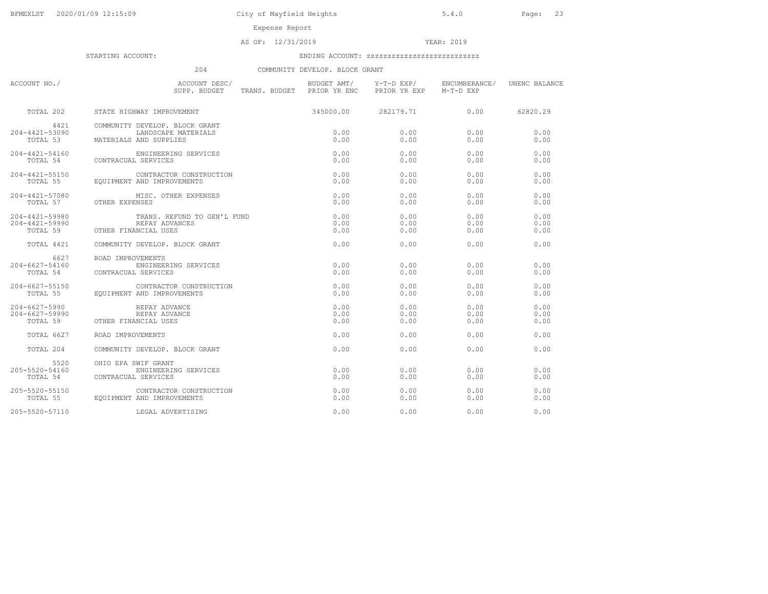Expense Report

### AS OF: 12/31/2019 YEAR: 2019

STARTING ACCOUNT: ENDING ACCOUNT: zzzzzzzzzzzzzzzzzzzzzzzzzzz

## 204 COMMUNITY DEVELOP. BLOCK GRANT

| ACCOUNT NO./                                 | ACCOUNT DESC/<br>SUPP. BUDGET<br>TRANS. BUDGET PRIOR YR ENC                     | BUDGET AMT/          | Y-T-D EXP/<br>PRIOR YR EXP | ENCUMBERANCE/<br>M-T-D EXP | UNENC BALANCE        |
|----------------------------------------------|---------------------------------------------------------------------------------|----------------------|----------------------------|----------------------------|----------------------|
| TOTAL 202                                    | STATE HIGHWAY IMPROVEMENT                                                       | 345000.00            | 282179.71                  | 0.00                       | 62820.29             |
| 4421<br>204-4421-53090<br>TOTAL 53           | COMMUNITY DEVELOP. BLOCK GRANT<br>LANDSCAPE MATERIALS<br>MATERIALS AND SUPPLIES | 0.00<br>0.00         | 0.00<br>0.00               | 0.00<br>0.00               | 0.00<br>0.00         |
| $204 - 4421 - 54160$<br>TOTAL 54             | ENGINEERING SERVICES<br>CONTRACUAL SERVICES                                     | 0.00<br>0.00         | 0.00<br>0.00               | 0.00<br>0.00               | 0.00<br>0.00         |
| 204-4421-55150<br>TOTAL 55                   | CONTRACTOR CONSTRUCTION<br>EOUIPMENT AND IMPROVEMENTS                           | 0.00<br>0.00         | 0.00<br>0.00               | 0.00<br>0.00               | 0.00<br>0.00         |
| 204-4421-57080<br>TOTAL 57                   | MISC. OTHER EXPENSES<br>OTHER EXPENSES                                          | 0.00<br>0.00         | 0.00<br>0.00               | 0.00<br>0.00               | 0.00<br>0.00         |
| 204-4421-59980<br>204-4421-59990<br>TOTAL 59 | TRANS. REFUND TO GEN'L FUND<br>REPAY ADVANCES<br>OTHER FINANCIAL USES           | 0.00<br>0.00<br>0.00 | 0.00<br>0.00<br>0.00       | 0.00<br>0.00<br>0.00       | 0.00<br>0.00<br>0.00 |
| TOTAL 4421                                   | COMMUNITY DEVELOP. BLOCK GRANT                                                  | 0.00                 | 0.00                       | 0.00                       | 0.00                 |
| 6627<br>204-6627-54160<br>TOTAL 54           | ROAD IMPROVEMENTS<br>ENGINEERING SERVICES<br>CONTRACUAL SERVICES                | 0.00<br>0.00         | 0.00<br>0.00               | 0.00<br>0.00               | 0.00<br>0.00         |
| $204 - 6627 - 55150$                         | יש ו-0627-55150<br>TOTAL 55 EQUIPMENT אות הוא ב-155 EQUIPMENT איז הוא ב-155     | 0.00<br>0.00         | 0.00<br>0.00               | 0.00<br>0.00               | 0.00<br>0.00         |
| 204-6627-5990<br>204-6627-59990<br>TOTAL 59  | REPAY ADVANCE<br>REPAY ADVANCE<br>OTHER FINANCIAL USES                          | 0.00<br>0.00<br>0.00 | 0.00<br>0.00<br>0.00       | 0.00<br>0.00<br>0.00       | 0.00<br>0.00<br>0.00 |
| <b>TOTAL 6627</b>                            | ROAD IMPROVEMENTS                                                               | 0.00                 | 0.00                       | 0.00                       | 0.00                 |
| TOTAL 204                                    | COMMUNITY DEVELOP. BLOCK GRANT                                                  | 0.00                 | 0.00                       | 0.00                       | 0.00                 |
| 5520<br>$205 - 5520 - 54160$<br>TOTAL 54     | OHIO EPA SWIF GRANT<br>ENGINEERING SERVICES<br>CONTRACUAL SERVICES              | 0.00<br>0.00         | 0.00<br>0.00               | 0.00<br>0.00               | 0.00<br>0.00         |
| $205 - 5520 - 55150$<br>TOTAL 55             | CONTRACTOR CONSTRUCTION<br>EQUIPMENT AND IMPROVEMENTS                           | 0.00<br>0.00         | 0.00<br>0.00               | 0.00<br>0.00               | 0.00<br>0.00         |
| 205-5520-57110                               | LEGAL ADVERTISING                                                               | 0.00                 | 0.00                       | 0.00                       | 0.00                 |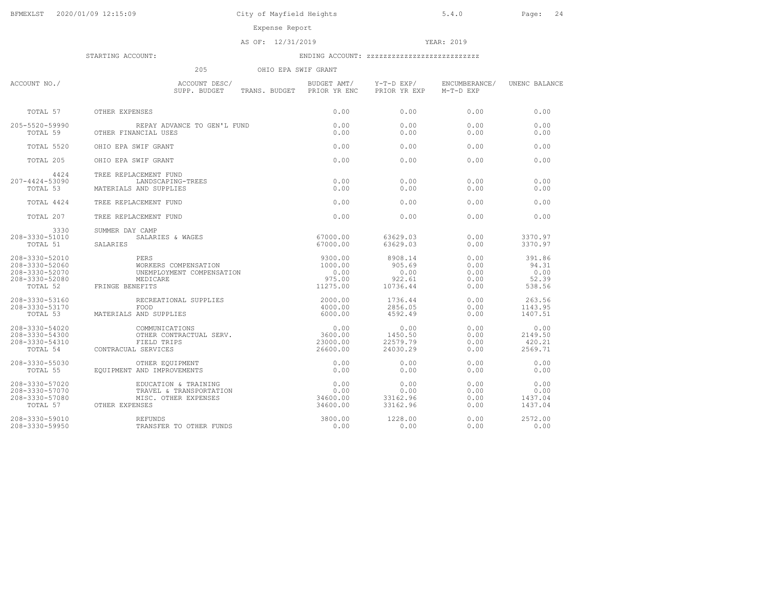Expense Report

### AS OF: 12/31/2019 YEAR: 2019

| 205<br>OHIO EPA SWIF GRANT                                           |                                                                                                                                                                                                                                                                                                  |                                      |                                                 |                                          |                                            |  |
|----------------------------------------------------------------------|--------------------------------------------------------------------------------------------------------------------------------------------------------------------------------------------------------------------------------------------------------------------------------------------------|--------------------------------------|-------------------------------------------------|------------------------------------------|--------------------------------------------|--|
| ACCOUNT NO./                                                         | ACCOUNT DESC/<br>SUPP. BUDGET     T<br>SUPP. BUDGET TRANS. BUDGET PRIOR YR ENC PRIOR YR EXP                                                                                                                                                                                                      |                                      | BUDGET AMT/ Y-T-D EXP/                          | ENCUMBERANCE/ UNENC BALANCE<br>M-T-D EXP |                                            |  |
|                                                                      | TOTAL 57 OTHER EXPENSES                                                                                                                                                                                                                                                                          | 0.00                                 | 0.00                                            | 0.00                                     | 0.00                                       |  |
| 205-5520-59990                                                       | -5520-59990 REPAY ADVANCE TO GEN'L FUND<br>TOTAL 59 OTHER FINANCIAL USES                                                                                                                                                                                                                         | 0.00<br>0.00                         | 0.00<br>0.00                                    | 0.00<br>0.00                             | 0.00<br>0.00                               |  |
| TOTAL 5520                                                           | OHIO EPA SWIF GRANT                                                                                                                                                                                                                                                                              | 0.00                                 | 0.00                                            | 0.00                                     | 0.00                                       |  |
| TOTAL 205                                                            | OHIO EPA SWIF GRANT                                                                                                                                                                                                                                                                              | 0.00                                 | 0.00                                            | 0.00                                     | 0.00                                       |  |
| 4424<br>207-4424-53090<br>TOTAL 53                                   | TREE REPLACEMENT FUND<br>LANDSCAPING-TREES<br>MATERIALS AND SUPPLIES                                                                                                                                                                                                                             | 0.00<br>0.00                         | 0.00<br>0.00                                    | 0.00<br>0.00                             | 0.00<br>0.00                               |  |
| TOTAL 4424                                                           | TREE REPLACEMENT FUND                                                                                                                                                                                                                                                                            | 0.00                                 | 0.00                                            | 0.00                                     | 0.00                                       |  |
| TOTAL 207                                                            | TREE REPLACEMENT FUND                                                                                                                                                                                                                                                                            | 0.00                                 | 0.00                                            | 0.00                                     | 0.00                                       |  |
| 3330<br>208-3330-51010<br>TOTAL 51                                   | SUMMER DAY CAMP<br>SALARIES & WAGES<br>SALARIES                                                                                                                                                                                                                                                  | 67000.00<br>67000.00                 | 63629.03<br>63629.03                            | 0.00<br>0.00                             | 3370.97<br>3370.97                         |  |
| 208-3330-52010<br>208-3330-52060<br>208-3330-52070<br>208-3330-52080 | PERS<br>WORKERS COMPENSATION<br>UNEMPLOYMENT COMPENSATION<br>MEDICARE<br>$\frac{11275.00}{11275.00}$<br>TOTAL 52 FRINGE BENEFITS                                                                                                                                                                 | 9300.00<br>1000.00<br>0.00<br>975.00 | 8908.14<br>905.69<br>0.00<br>922.61<br>10736.44 | 0.00<br>0.00<br>0.00<br>0.00<br>0.00     | 391.86<br>94.31<br>0.00<br>52.39<br>538.56 |  |
| 208-3330-53160<br>$208 - 3330 - 53170$                               | RECREATIONAL SUPPLIES<br>FOOD<br>S AND SUPPLIES<br>TOTAL 53 MATERIALS AND SUPPLIES                                                                                                                                                                                                               | 2000.00<br>4000.00<br>6000.00        | 1736.44<br>2856.05<br>4592.49                   | 0.00<br>0.00<br>0.00                     | 263.56<br>1143.95<br>1407.51               |  |
| 208-3330-54020<br>208-3330-54300<br>208-3330-54310                   | 0.00<br>COMMUNICATIONS 0.00<br>OTHER CONTRACTUAL SERV. 3600.00<br>----- 23000.00<br>TOTAL 54 CONTRACUAL SERVICES                                                                                                                                                                                 | 26600.00                             | 0.00<br>1450.50<br>22579.79<br>24030.29         | 0.00<br>0.00<br>0.00<br>0.00             | 0.00<br>2149.50<br>420.21<br>2569.71       |  |
| 208-3330-55030<br>TOTAL 55                                           | OTHER EQUIPMENT<br>EOUIPMENT AND IMPROVEMENTS                                                                                                                                                                                                                                                    | 0.00<br>0.00                         | 0.00<br>0.00                                    | 0.00<br>0.00                             | 0.00<br>0.00                               |  |
|                                                                      | $\begin{array}{llll} 208-3330-57020 & \text{EDUCATION & \text{TRAINING} & \text{0.00} \\ 208-3330-57070 & \text{TRAVEL} & \text{TRANSPORTATION} & \text{0.00} \\ 208-3330-57080 & \text{MISC. OTHER EXPENSES} & 34600.00 \\ \text{TOTAL} & 57 & \text{OTHER EXPENSES} & 34600.00 \\ \end{array}$ |                                      | 0.00<br>0.00<br>33162.96<br>33162.96            | 0.00<br>0.00<br>0.00<br>0.00             | 0.00<br>0.00<br>1437.04<br>1437.04         |  |
| 208-3330-59010<br>208-3330-59950                                     | REFUNDS<br>TRANSFER TO OTHER FUNDS<br><b>REFUNDS</b>                                                                                                                                                                                                                                             | 3800.00<br>0.00                      | 1228.00<br>0.00                                 | 0.00<br>0.00                             | 2572.00<br>0.00                            |  |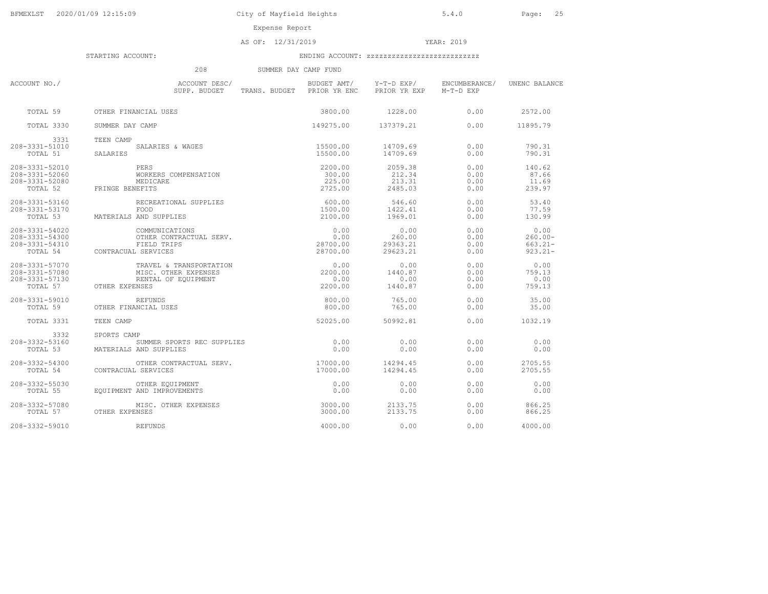Expense Report

AS OF: 12/31/2019 YEAR: 2019

|                                                                | 208                                                                                      | SUMMER DAY CAMP FUND                      |                                        |                              |                                                |
|----------------------------------------------------------------|------------------------------------------------------------------------------------------|-------------------------------------------|----------------------------------------|------------------------------|------------------------------------------------|
| ACCOUNT NO./                                                   | ACCOUNT DESC/<br>SUPP. BUDGET                                                            | BUDGET AMT/<br>TRANS. BUDGET PRIOR YR ENC | Y-T-D EXP/<br>PRIOR YR EXP             | ENCUMBERANCE/<br>M-T-D EXP   | UNENC BALANCE                                  |
| TOTAL 59                                                       | OTHER FINANCIAL USES                                                                     | 3800.00                                   | 1228.00                                | 0.00                         | 2572.00                                        |
| TOTAL 3330                                                     | SUMMER DAY CAMP                                                                          | 149275.00                                 | 137379.21                              | 0.00                         | 11895.79                                       |
| 3331<br>208-3331-51010<br>TOTAL 51                             | TEEN CAMP<br>SALARIES & WAGES<br>SALARIES                                                | 15500.00<br>15500.00                      | 14709.69<br>14709.69                   | 0.00<br>0.00                 | 790.31<br>790.31                               |
| 208-3331-52010<br>208-3331-52060<br>208-3331-52080<br>TOTAL 52 | PERS<br>WORKERS COMPENSATION<br>MEDICARE<br>FRINGE BENEFITS                              | 2200.00<br>300.00<br>225.00<br>2725.00    | 2059.38<br>212.34<br>213.31<br>2485.03 | 0.00<br>0.00<br>0.00<br>0.00 | 140.62<br>87.66<br>11.69<br>239.97             |
| 208-3331-53160<br>208-3331-53170<br>TOTAL 53                   | RECREATIONAL SUPPLIES<br>FOOD<br>MATERIALS AND SUPPLIES                                  | 600.00<br>1500.00<br>2100.00              | 546.60<br>1422.41<br>1969.01           | 0.00<br>0.00<br>0.00         | 53.40<br>77.59<br>130.99                       |
| 208-3331-54020<br>208-3331-54300<br>208-3331-54310<br>TOTAL 54 | COMMUNICATIONS<br>OTHER CONTRACTUAL SERV.<br>FIELD TRIPS<br>CONTRACUAL SERVICES          | 0.00<br>$0.00$<br>28700.00<br>28700.00    | 0.00<br>260.00<br>29363.21<br>29623.21 | 0.00<br>0.00<br>0.00<br>0.00 | 0.00<br>$260.00 -$<br>$663.21 -$<br>$923.21 -$ |
| 208-3331-57070<br>208-3331-57080<br>208-3331-57130<br>TOTAL 57 | TRAVEL & TRANSPORTATION<br>MISC. OTHER EXPENSES<br>RENTAL OF EQUIPMENT<br>OTHER EXPENSES | 0.00<br>2200.00<br>0.00<br>2200.00        | 0.00<br>1440.87<br>0.00<br>1440.87     | 0.00<br>0.00<br>0.00<br>0.00 | 0.00<br>759.13<br>0.00<br>759.13               |
| 208-3331-59010<br>TOTAL 59                                     | REFUNDS<br>OTHER FINANCIAL USES                                                          | 800.00<br>800.00                          | 765.00<br>765.00                       | 0.00<br>0.00                 | 35.00<br>35.00                                 |
| TOTAL 3331                                                     | TEEN CAMP                                                                                | 52025.00                                  | 50992.81                               | 0.00                         | 1032.19                                        |
| 3332<br>$208 - 3332 - 53160$<br>TOTAL 53                       | SPORTS CAMP<br>SUMMER SPORTS REC SUPPLIES<br>MATERIALS AND SUPPLIES                      | 0.00<br>0.00                              | 0.00<br>0.00                           | 0.00<br>0.00                 | 0.00<br>0.00                                   |
| 208-3332-54300<br>TOTAL 54                                     | OTHER CONTRACTUAL SERV.<br>CONTRACUAL SERVICES                                           | 17000.00<br>17000.00                      | 14294.45<br>14294.45                   | 0.00<br>0.00                 | 2705.55<br>2705.55                             |
| 208-3332-55030<br>TOTAL 55                                     | OTHER EQUIPMENT<br>EOUIPMENT AND IMPROVEMENTS                                            | 0.00<br>0.00                              | 0.00<br>0.00                           | 0.00<br>0.00                 | 0.00<br>0.00                                   |
| 208-3332-57080<br>TOTAL 57                                     | MISC. OTHER EXPENSES<br>OTHER EXPENSES                                                   | 3000.00<br>3000.00                        | 2133.75<br>2133.75                     | 0.00<br>0.00                 | 866.25<br>866.25                               |
| 208-3332-59010                                                 | REFUNDS                                                                                  | 4000.00                                   | 0.00                                   | 0.00                         | 4000.00                                        |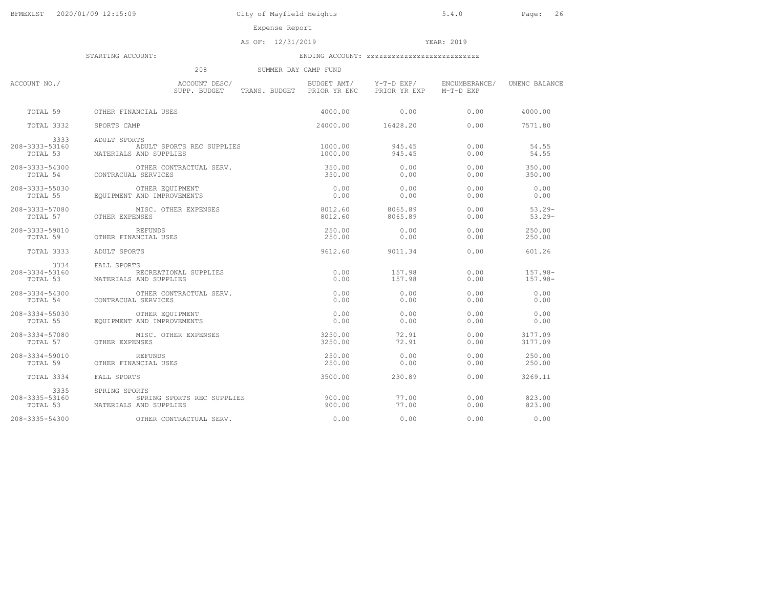Expense Report

AS OF: 12/31/2019 YEAR: 2019

|                                    | 208                                                                            | SUMMER DAY CAMP FUND |                        |                                      |                          |
|------------------------------------|--------------------------------------------------------------------------------|----------------------|------------------------|--------------------------------------|--------------------------|
| ACCOUNT NO./                       | ACCOUNT DESC/<br>SUPP. BUDGET TRANS. BUDGET PRIOR YR ENC                       |                      | PRIOR YR EXP M-T-D EXP | BUDGET AMT/ Y-T-D EXP/ ENCUMBERANCE/ | UNENC BALANCE            |
| TOTAL 59                           | OTHER FINANCIAL USES                                                           | 4000.00              | 0.00                   | 0.00                                 | 4000.00                  |
| TOTAL 3332                         | SPORTS CAMP                                                                    |                      | 24000.00 16428.20      | 0.00                                 | 7571.80                  |
| 3333<br>208-3333-53160<br>TOTAL 53 | ADULT SPORTS<br>ADULT SPORTS REC SUPPLIES<br>MATERIALS AND SUPPLIES            | 1000.00<br>1000.00   | 945.45<br>945.45       | 0.00<br>0.00                         | 54.55<br>54.55           |
| 208-3333-54300<br>TOTAL 54         | OTHER CONTRACTUAL SERV.<br>CONTRACUAL SERVICES                                 | 350.00<br>350.00     | 0.00<br>0.00           | 0.00<br>0.00                         | 350.00<br>350.00         |
| 208-3333-55030<br>TOTAL 55         | OTHER EQUIPMENT<br>EQUIPMENT AND IMPROVEMENTS                                  | 0.00<br>0.00         | 0.00<br>0.00           | 0.00<br>0.00                         | 0.00<br>0.00             |
| 208-3333-57080<br>TOTAL 57         | MISC. OTHER EXPENSES<br>OTHER EXPENSES                                         | 8012.60<br>8012.60   | 8065.89<br>8065.89     | 0.00<br>0.00                         | $53.29 -$<br>$53.29 -$   |
| 208-3333-59010<br>TOTAL 59         | REFUNDS<br>OTHER FINANCIAL USES                                                | 250.00<br>250.00     | 0.00<br>0.00           | 0.00<br>0.00                         | 250.00<br>250.00         |
| TOTAL 3333                         | ADULT SPORTS                                                                   | 9612.60              | 9011.34                | 0.00                                 | 601.26                   |
| 3334<br>208-3334-53160<br>TOTAL 53 | FALL SPORTS<br>RECREATIONAL SUPPLIES<br>MATERIALS AND SUPPLIES                 | 0.00<br>0.00         | 157.98<br>157.98       | 0.00<br>0.00                         | $157.98 -$<br>$157.98 -$ |
| 208-3334-54300                     | OTHER CONTRACTUAL SERV.<br>TOTAL 54 CONTRACUAL SERVICES                        | 0.00<br>0.00         | 0.00<br>0.00           | 0.00<br>0.00                         | 0.00<br>0.00             |
| 208-3334-55030<br>TOTAL 55         | OTHER EQUIPMENT<br>EQUIPMENT AND IMPROVEMENTS                                  | 0.00<br>0.00         | 0.00<br>0.00           | 0.00<br>0.00                         | 0.00<br>0.00             |
| $208 - 3334 - 57080$               | MISC. OTHER EXPENSES<br>TOTAL 57 OTHER EXPENSES                                | 3250.00<br>3250.00   | 72.91<br>72.91         | 0.00<br>0.00                         | 3177.09<br>3177.09       |
| 208-3334-59010<br>TOTAL 59         | REFUNDS<br>OTHER FINANCIAL USES                                                | 250.00<br>250.00     | 0.00<br>0.00           | 0.00<br>0.00                         | 250.00<br>250.00         |
| TOTAL 3334                         | FALL SPORTS                                                                    | 3500.00              | 230.89                 | 0.00                                 | 3269.11                  |
| 3335<br>208-3335-53160             | SPRING SPORTS<br>SPRING SPORTS REC SUPPLIES<br>TOTAL 53 MATERIALS AND SUPPLIES | 900.00<br>900.00     | 77.00<br>77.00         | 0.00<br>0.00                         | 823.00<br>823.00         |
| 208-3335-54300                     | OTHER CONTRACTUAL SERV.                                                        | 0.00                 | 0.00                   | 0.00                                 | 0.00                     |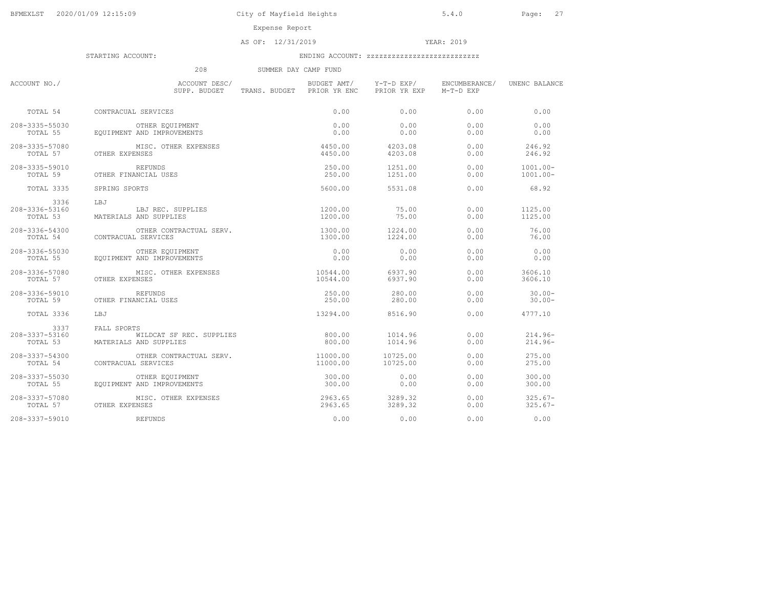Expense Report

AS OF: 12/31/2019 YEAR: 2019

|                                    | 208                                                               | SUMMER DAY CAMP FUND       |                                        |                            |                        |
|------------------------------------|-------------------------------------------------------------------|----------------------------|----------------------------------------|----------------------------|------------------------|
| ACCOUNT NO./                       | ACCOUNT DESC/<br>SUPP. BUDGET                                     | TRANS. BUDGET PRIOR YR ENC | BUDGET AMT/ Y-T-D EXP/<br>PRIOR YR EXP | ENCUMBERANCE/<br>M-T-D EXP | UNENC BALANCE          |
| TOTAL 54                           | CONTRACUAL SERVICES                                               | 0.00                       | 0.00                                   | 0.00                       | 0.00                   |
| 208-3335-55030                     | OTHER EOUIPMENT                                                   | 0.00                       | 0.00                                   | 0.00                       | 0.00                   |
| TOTAL 55                           | EOUIPMENT AND IMPROVEMENTS                                        | 0.00                       | 0.00                                   | 0.00                       | 0.00                   |
| 208-3335-57080                     | MISC. OTHER EXPENSES                                              | 4450.00                    | 4203.08                                | 0.00                       | 246.92                 |
| TOTAL 57                           | OTHER EXPENSES                                                    | 4450.00                    | 4203.08                                | 0.00                       | 246.92                 |
| 208-3335-59010                     | REFUNDS                                                           | 250.00                     | 1251.00                                | 0.00                       | $1001.00 -$            |
| TOTAL 59                           | OTHER FINANCIAL USES                                              | 250.00                     | 1251.00                                | 0.00                       | $1001.00 -$            |
| TOTAL 3335                         | SPRING SPORTS                                                     | 5600.00                    | 5531.08                                | 0.00                       | 68.92                  |
| 3336<br>208-3336-53160<br>TOTAL 53 | T.B.T<br>LBJ REC. SUPPLIES<br>MATERIALS AND SUPPLIES              | 1200.00<br>1200.00         | 75.00<br>75.00                         | 0.00<br>0.00               | 1125.00<br>1125.00     |
| 208-3336-54300                     | OTHER CONTRACTUAL SERV.                                           | 1300.00                    | 1224.00                                | 0.00                       | 76.00                  |
| TOTAL 54                           | CONTRACUAL SERVICES                                               | 1300.00                    | 1224.00                                | 0.00                       | 76.00                  |
| 208-3336-55030                     | OTHER EQUIPMENT                                                   | 0.00                       | 0.00                                   | 0.00                       | 0.00                   |
| TOTAL 55                           | EQUIPMENT AND IMPROVEMENTS                                        | 0.00                       | 0.00                                   | 0.00                       | 0.00                   |
| 208-3336-57080                     | MISC. OTHER EXPENSES                                              | 10544.00                   | 6937.90                                | 0.00                       | 3606.10                |
| TOTAL 57                           | OTHER EXPENSES                                                    | 10544.00                   | 6937.90                                | 0.00                       | 3606.10                |
| 208-3336-59010                     | REFUNDS                                                           | 250.00                     | 280.00                                 | 0.00                       | $30.00 -$              |
| TOTAL 59                           | OTHER FINANCIAL USES                                              | 250.00                     | 280.00                                 | 0.00                       | $30.00 -$              |
| TOTAL 3336                         | LBJ                                                               | 13294.00                   | 8516.90                                | 0.00                       | 4777.10                |
| 3337<br>208-3337-53160<br>TOTAL 53 | FALL SPORTS<br>WILDCAT SF REC. SUPPLIES<br>MATERIALS AND SUPPLIES | 800.00<br>800.00           | 1014.96<br>1014.96                     | 0.00<br>0.00               | $214.96-$<br>$214.96-$ |
| 208-3337-54300                     | OTHER CONTRACTUAL SERV.                                           | 11000.00                   | 10725.00                               | 0.00                       | 275.00                 |
| TOTAL 54                           | CONTRACUAL SERVICES                                               | 11000.00                   | 10725.00                               | 0.00                       | 275.00                 |
| $208 - 3337 - 55030$               | OTHER EQUIPMENT                                                   | 300.00                     | 0.00                                   | 0.00                       | 300.00                 |
| TOTAL 55                           | EQUIPMENT AND IMPROVEMENTS                                        | 300.00                     | 0.00                                   | 0.00                       | 300.00                 |
| 208-3337-57080                     | MISC. OTHER EXPENSES                                              | 2963.65                    | 3289.32                                | 0.00                       | $325.67-$              |
| TOTAL 57                           | OTHER EXPENSES                                                    | 2963.65                    | 3289.32                                | 0.00                       | $325.67-$              |
| 208-3337-59010                     | REFUNDS                                                           | 0.00                       | 0.00                                   | 0.00                       | 0.00                   |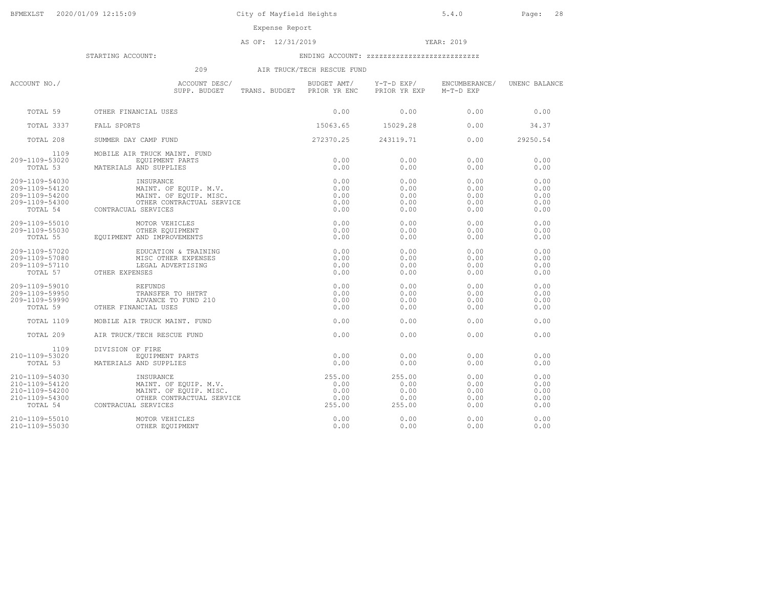City of Mayfield Heights 5.4.0 Page: 28

Expense Re

| eport |  |
|-------|--|
|-------|--|

AS OF: 12/31/2019 YEAR: 2019

STARTING ACCOUNT: ENDING ACCOUNT: zzzzzzzzzzzzzzzzzzzzzzzzzzz

# 209 AIR TRUCK/TECH RESCUE FUND

| ACCOUNT NO./                                                                     | ACCOUNT DESC/<br>SUPP. BUDGET TRANS. BUDGET PRIOR YR ENC                                                                                                                                                                   | BUDGET AMT/                  | Y-T-D EXP/<br>PRIOR YR EXP               | ENCUMBERANCE/<br>M-T-D EXP           | UNENC BALANCE                        |
|----------------------------------------------------------------------------------|----------------------------------------------------------------------------------------------------------------------------------------------------------------------------------------------------------------------------|------------------------------|------------------------------------------|--------------------------------------|--------------------------------------|
| TOTAL 59                                                                         | OTHER FINANCIAL USES                                                                                                                                                                                                       |                              | 0.00                                     | 0.00                                 | 0.00                                 |
| TOTAL 3337                                                                       | FALL SPORTS                                                                                                                                                                                                                | 15063.65                     | 15029.28                                 | 0.00                                 | 34.37                                |
| TOTAL 208                                                                        | $0.00$<br>15063.65<br>272370.25<br>SUMMER DAY CAMP FUND                                                                                                                                                                    |                              | 243119.71                                | 0.00                                 | 29250.54                             |
| 1109<br>209-1109-53020<br>TOTAL 53                                               | MOBILE AIR TRUCK MAINT. FUND<br>EQUIPMENT PARTS<br>MATERIALS AND SUPPLIES                                                                                                                                                  | 0.00<br>0.00                 | 0.00<br>0.00                             | 0.00<br>0.00                         | 0.00<br>0.00                         |
| 209-1109-54030<br>209-1109-54120<br>209-1109-54200<br>209-1109-54300<br>TOTAL 54 | INSURANCE<br>INSURANCE 0.00<br>MAINT. OF EQUIP. M.V. 0.00<br>MAINT. OF EQUIP. MISC. 0.00<br>OTHER CONTRACTUAL SERVICE 0.00<br>CUAL SERVICE 0.00<br>MAINT. OF EQUIP. MISC.<br>MAINT. OF EQUIP. MISC.<br>CONTRACUAL SERVICES | 0.00<br>0.00                 | 0.00<br>0.00<br>0.00<br>0.00<br>0.00     | 0.00<br>0.00<br>0.00<br>0.00<br>0.00 | 0.00<br>0.00<br>0.00<br>0.00<br>0.00 |
| 209-1109-55010<br>209-1109-55030<br>TOTAL 55                                     | MOTOR VEHICLES<br>OTHER EQUIPMENT<br>EQUIPMENT AND IMPROVEMENTS                                                                                                                                                            | 0.00<br>0.00<br>0.00         | 0.00<br>0.00<br>0.00                     | 0.00<br>0.00<br>0.00                 | 0.00<br>0.00<br>0.00                 |
| 209-1109-57020<br>209-1109-57080<br>209-1109-57110                               | EDUCATION & TRAINING<br>MISC OTHER EXPENSES<br>LEGAL ADVERTISING<br>TOTAL 57 OTHER EXPENSES                                                                                                                                | 0.00<br>0.00<br>0.00<br>0.00 | 0.00<br>0.00<br>0.00<br>0.00             | 0.00<br>0.00<br>0.00<br>0.00         | 0.00<br>0.00<br>0.00<br>0.00         |
| 209-1109-59010<br>209-1109-59950<br>209-1109-59990<br>TOTAL 59                   | REFUNDS<br>TRANSFER TO HHTRT<br>ADVANCE TO FUND 210<br>OTHER FINANCIAL USES                                                                                                                                                | 0.00<br>0.00<br>0.00<br>0.00 | 0.00<br>0.00<br>0.00<br>0.00             | 0.00<br>0.00<br>0.00<br>0.00         | 0.00<br>0.00<br>0.00<br>0.00         |
| TOTAL 1109                                                                       | MOBILE AIR TRUCK MAINT. FUND                                                                                                                                                                                               | 0.00                         | 0.00                                     | 0.00                                 | 0.00                                 |
| TOTAL 209                                                                        | AIR TRUCK/TECH RESCUE FUND                                                                                                                                                                                                 | 0.00                         | 0.00                                     | 0.00                                 | 0.00                                 |
| 1109<br>210-1109-53020<br>TOTAL 53                                               | DIVISION OF FIRE<br>EQUIPMENT PARTS<br>MATERIALS AND SUPPLIES                                                                                                                                                              | 0.00<br>0.00                 | 0.00<br>0.00                             | 0.00<br>0.00                         | 0.00<br>0.00                         |
| 210-1109-54030<br>210-1109-54120<br>210-1109-54200<br>210-1109-54300             | 1NSURANCE<br>MAINT. OF EQUIP. M.V. (255.00<br>MAINT. OF EQUIP. MISC. (2000)<br>OTHER CONTRACTUAL SERVICE (255.00)<br>OTHER CONTRACTUAL SERVICE (255.00)<br>-1109-54300 OTHER CONT<br>TOTAL 54 CONTRACUAL SERVICES          |                              | 255.00<br>0.00<br>0.00<br>0.00<br>255.00 | 0.00<br>0.00<br>0.00<br>0.00<br>0.00 | 0.00<br>0.00<br>0.00<br>0.00<br>0.00 |
| 210-1109-55010<br>210-1109-55030                                                 | MOTOR VEHICLES<br>OTHER EQUIPMENT                                                                                                                                                                                          | 0.00<br>0.00                 | 0.00<br>0.00                             | 0.00<br>0.00                         | 0.00<br>0.00                         |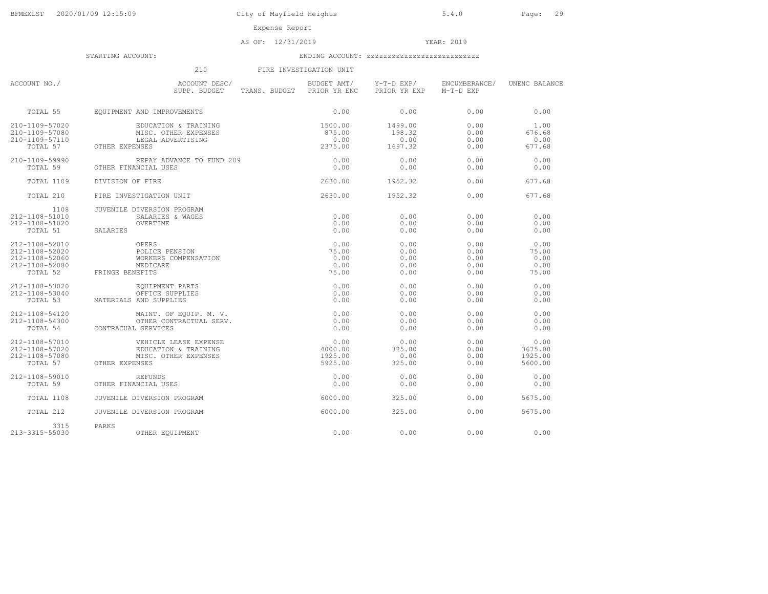### AS OF: 12/31/2019 YEAR: 2019

|                                                                                  | 210                                                                                     | FIRE INVESTIGATION UNIT                |                                      |                                      |                                        |
|----------------------------------------------------------------------------------|-----------------------------------------------------------------------------------------|----------------------------------------|--------------------------------------|--------------------------------------|----------------------------------------|
| ACCOUNT NO./                                                                     | ACCOUNT DESC/<br>SUPP. BUDGET<br>TRANS. BUDGET PRIOR YR ENC                             | BUDGET AMT/                            | Y-T-D EXP/<br>PRIOR YR EXP           | ENCUMBERANCE/<br>M-T-D EXP           | UNENC BALANCE                          |
| TOTAL 55                                                                         | EQUIPMENT AND IMPROVEMENTS                                                              | 0.00                                   | 0.00                                 | 0.00                                 | 0.00                                   |
| 210-1109-57020<br>210-1109-57080<br>210-1109-57110<br>TOTAL 57                   | EDUCATION & TRAINING<br>MISC. OTHER EXPENSES<br>LEGAL ADVERTISING<br>OTHER EXPENSES     | 1500.00<br>875.00<br>0.00<br>2375.00   | 1499.00<br>198.32<br>0.00<br>1697.32 | 0.00<br>0.00<br>0.00<br>0.00         | 1.00<br>676.68<br>0.00<br>677.68       |
| $210 - 1109 - 59990$<br>TOTAL 59                                                 | REPAY ADVANCE TO FUND 209<br>OTHER FINANCIAL USES                                       | 0.00<br>0.00                           | 0.00<br>0.00                         | 0.00<br>0.00                         | 0.00<br>0.00                           |
| TOTAL 1109                                                                       | DIVISION OF FIRE                                                                        | 2630.00                                | 1952.32                              | 0.00                                 | 677.68                                 |
| TOTAL 210                                                                        | FIRE INVESTIGATION UNIT                                                                 | 2630.00                                | 1952.32                              | 0.00                                 | 677.68                                 |
| 1108<br>$212 - 1108 - 51010$<br>212-1108-51020<br>TOTAL 51                       | JUVENILE DIVERSION PROGRAM<br>SALARIES & WAGES<br>OVERTIME<br>SALARIES                  | 0.00<br>0.00<br>0.00                   | 0.00<br>0.00<br>0.00                 | 0.00<br>0.00<br>0.00                 | 0.00<br>0.00<br>0.00                   |
| 212-1108-52010<br>212-1108-52020<br>212-1108-52060<br>212-1108-52080<br>TOTAL 52 | OPERS<br>POLICE PENSION<br>WORKERS COMPENSATION<br>MEDICARE<br>FRINGE BENEFITS          | 0.00<br>75.00<br>0.00<br>0.00<br>75.00 | 0.00<br>0.00<br>0.00<br>0.00<br>0.00 | 0.00<br>0.00<br>0.00<br>0.00<br>0.00 | 0.00<br>75.00<br>0.00<br>0.00<br>75.00 |
| 212-1108-53020<br>212-1108-53040<br>TOTAL 53                                     | EQUIPMENT PARTS<br>OFFICE SUPPLIES<br>MATERIALS AND SUPPLIES                            | 0.00<br>0.00<br>0.00                   | 0.00<br>0.00<br>0.00                 | 0.00<br>0.00<br>0.00                 | 0.00<br>0.00<br>0.00                   |
| $212 - 1108 - 54120$<br>212-1108-54300<br>TOTAL 54                               | MAINT, OF EOUIP, M. V.<br>OTHER CONTRACTUAL SERV.<br>CONTRACUAL SERVICES                | 0.00<br>0.00<br>0.00                   | 0.00<br>0.00<br>0.00                 | 0.00<br>0.00<br>0.00                 | 0.00<br>0.00<br>0.00                   |
| 212-1108-57010<br>212-1108-57020<br>212-1108-57080<br>TOTAL 57                   | VEHICLE LEASE EXPENSE<br>EDUCATION & TRAINING<br>MISC. OTHER EXPENSES<br>OTHER EXPENSES | 0.00<br>4000.00<br>1925.00<br>5925.00  | 0.00<br>325.00<br>0.00<br>325.00     | 0.00<br>0.00<br>0.00<br>0.00         | 0.00<br>3675.00<br>1925.00<br>5600.00  |
| 212-1108-59010<br>TOTAL 59                                                       | <b>REFUNDS</b><br>OTHER FINANCIAL USES                                                  | 0.00<br>0.00                           | 0.00<br>0.00                         | 0.00<br>0.00                         | 0.00<br>0.00                           |
| TOTAL 1108                                                                       | JUVENILE DIVERSION PROGRAM                                                              | 6000.00                                | 325.00                               | 0.00                                 | 5675.00                                |
| TOTAL 212                                                                        | JUVENILE DIVERSION PROGRAM                                                              | 6000.00                                | 325.00                               | 0.00                                 | 5675.00                                |
| 3315<br>213-3315-55030                                                           | PARKS<br>OTHER EQUIPMENT                                                                | 0.00                                   | 0.00                                 | 0.00                                 | 0.00                                   |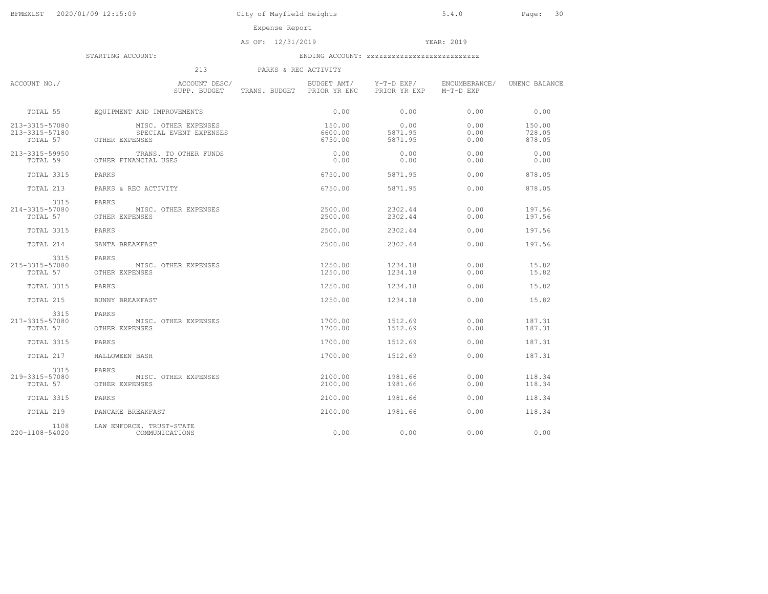Expense Report

AS OF: 12/31/2019 YEAR: 2019

## STARTING ACCOUNT: ENDING ACCOUNT: zzzzzzzzzzzzzzzzzzzzzzzzzzz

 213 PARKS & REC ACTIVITYACCOUNT NO./ ACCOUNT DESC/ BUDGET AMT/ Y-T-D EXP/ ENCUMBERANCE/ UNENC BALANCESUPP. BUDGET TRANS. BUDGET PRIOR YR ENC TOTAL 55 EQUIPMENT AND IMPROVEMENTS 0.00 0.00 0.00 0.00213-3315-57080 MISC. OTHER EXPENSES 150.00 0.00 0.00 150.00728.05 213-3315-57180 SPECIAL EVENT EXPENSES 6600.00 5871.95 0.00 728.05878.05 TOTAL 57 0THER EXPENSES 6750.00 5871.95 0.00 213-3315-59950 TRANS. TO OTHER FUNDS 0.00 0.00 0.00 0.00 $0.00$  TOTAL 59 OTHER FINANCIAL USES 0.00 0.00 0.00 0.00 TOTAL 3315 PARKS 6750.00 5871.95 0.00 878.05 TOTAL 213 PARKS & REC ACTIVITY 6750.00 5871.95 0.00 878.05 3315 PARKS214-3315-57080 MISC. OTHER EXPENSES 2500.00 2302.44 0.00 197.56197.56 TOTAL 57 OTHER EXPENSES 2500.00 2302.44 0.00 TOTAL 3315 PARKS 2500.00 2302.44 0.00 197.56 TOTAL 214 SANTA BREAKFAST 2500.00 2302.44 0.00 197.56 3315 PARKS215-3315-57080 MISC. OTHER EXPENSES 1250.00 1234.18 0.00 15.8215.82 TOTAL 57 OTHER EXPENSES 6.00 1250.00 1234.18 0.00 TOTAL 3315 PARKS 1250.00 1234.18 0.00 15.82 TOTAL 215 BUNNY BREAKFAST 1250.00 1234.18 0.00 15.823315 PARKS<br>217-3315-57080 MISC. OTHER EXPENSES 1700.00 1512.69 0.00 187.31 187.31 TOTAL 57 OTHER EXPENSES 6 0.00 1700.00 1512.69 0.00 TOTAL 3315 PARKS 1700.00 1512.69 0.00 187.31 TOTAL 217 HALLOWEEN BASH 1700.00 1512.69 0.00 187.313315 PARKS<br>219-3315-57080 219-3315-57080 MISC. OTHER EXPENSES 2100.00 1981.66 0.00 118.34118.34 TOTAL 57 OTHER EXPENSES 6 0.00 2100.00 1981.66 0.00 TOTAL 3315 PARKS 2100.00 1981.66 0.00 118.34 TOTAL 219 PANCAKE BREAKFAST 2100.00 1981.66 0.00 118.341108 LAW ENFORCE. TRUST-STATE<br>220-1108-54020 COMMUNICATIONS 220-1108-54020 COMMUNICATIONS 0.00 0.00 0.00 0.00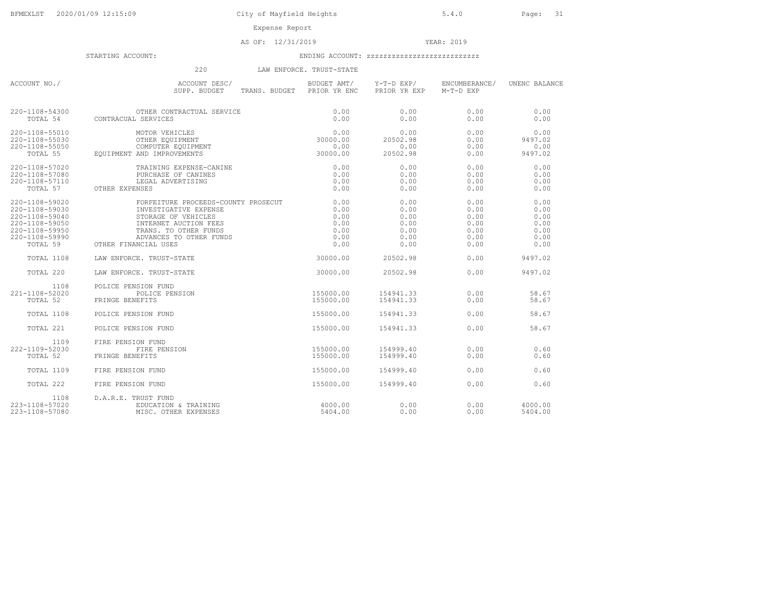AS OF: 12/31/2019 YEAR: 2019

STARTING ACCOUNT: ENDING ACCOUNT: zzzzzzzzzzzzzzzzzzzzzzzzzzz

# 220 LAW ENFORCE. TRUST-STATE

| ACCOUNT NO./                                                                                                         | ACCOUNT DESC/<br>TRANS. BUDGET PRIOR YR ENC<br>SUPP. BUDGET                                                                                                                                                                                | BUDGET AMT/                                          | Y-T-D EXP/<br>PRIOR YR EXP                           | ENCUMBERANCE/<br>M-T-D EXP                           | UNENC BALANCE                                        |
|----------------------------------------------------------------------------------------------------------------------|--------------------------------------------------------------------------------------------------------------------------------------------------------------------------------------------------------------------------------------------|------------------------------------------------------|------------------------------------------------------|------------------------------------------------------|------------------------------------------------------|
|                                                                                                                      | $220\mbox{--}1108\mbox{--}54\,300$ $$\tt{OTHER}$ CONTRACUAL SERVICES $$\tt{TOTAL}$ $$\tt{S}{\tt{ERVICE}}$$                                                                                                                                 | 0.00<br>0.00                                         | 0.00<br>0.00                                         | 0.00<br>0.00                                         | 0.00<br>0.00                                         |
| 220-1108-55010<br>220-1108-55030<br>220-1108-55050<br>TOTAL 55                                                       | 0.00 0<br>OTHER EQUIPMENT 30000.00<br>COMPUTER EQUIPMENT 0.00<br>CAND IMPROVEMENTS 30000.00<br>OTHER EQUIPMENT<br>EQUIPMENT AND IMPROVEMENTS                                                                                               |                                                      | 0.00<br>20502.98<br>0.00<br>20502.98                 | 0.00<br>0.00<br>0.00<br>0.00                         | 0.00<br>9497.02<br>0.00<br>9497.02                   |
| 220-1108-57020<br>220-1108-57080<br>220-1108-57110<br>TOTAL 57                                                       | TRAINING EXPENSE-CANINE<br>PURCHASE OF CANINES<br>LEGAL ADVERTISING<br>TRAINING EXPENSE-CAN<br>PURCHASE OF CANINES<br>OTHER EXPENSES                                                                                                       | 0.00<br>0.00<br>0.00<br>0.00                         | 0.00<br>0.00<br>0.00<br>0.00                         | 0.00<br>0.00<br>0.00<br>0.00                         | 0.00<br>0.00<br>0.00<br>0.00                         |
| 220-1108-59020<br>220-1108-59030<br>220-1108-59040<br>220-1108-59050<br>220-1108-59950<br>220-1108-59990<br>TOTAL 59 | FORFEITURE PROCEEDS-COUNTY PROSECUT<br>INVESTIGATIVE EXPENSE<br>INVESTIGATIVE EXPENSE<br>STORAGE OF VEHICLES<br>INTERNET AUCTION FEES<br>TRANS. TO OTHER FUNDS<br>ADVANCES TO OTHER FUNDS<br>INTERNET AUCTION FEES<br>OTHER FINANCIAL USES | 0.00<br>0.00<br>0.00<br>0.00<br>0.00<br>0.00<br>0.00 | 0.00<br>0.00<br>0.00<br>0.00<br>0.00<br>0.00<br>0.00 | 0.00<br>0.00<br>0.00<br>0.00<br>0.00<br>0.00<br>0.00 | 0.00<br>0.00<br>0.00<br>0.00<br>0.00<br>0.00<br>0.00 |
| TOTAL 1108                                                                                                           | LAW ENFORCE. TRUST-STATE                                                                                                                                                                                                                   | 30000.00                                             | 20502.98                                             | 0.00                                                 | 9497.02                                              |
| TOTAL 220                                                                                                            | LAW ENFORCE. TRUST-STATE                                                                                                                                                                                                                   | 30000.00                                             | 20502.98                                             | 0.00                                                 | 9497.02                                              |
| 1108<br>221-1108-52020<br>TOTAL 52                                                                                   | POLICE PENSION FUND<br>POLICE PENSION<br>FRINGE BENEFITS                                                                                                                                                                                   | 155000.00<br>155000.00                               | 154941.33<br>154941.33                               | 0.00<br>0.00                                         | 58.67<br>58.67                                       |
| TOTAL 1108                                                                                                           | POLICE PENSION FUND                                                                                                                                                                                                                        | 155000.00                                            | 154941.33                                            | 0.00                                                 | 58.67                                                |
| TOTAL 221                                                                                                            | POLICE PENSION FUND                                                                                                                                                                                                                        | 155000.00                                            | 154941.33                                            | 0.00                                                 | 58.67                                                |
| 1109<br>222-1109-52030<br>TOTAL 52                                                                                   | FIRE PENSION FUND<br>FIRE PENSION<br>FRINGE BENEFITS                                                                                                                                                                                       | 155000.00<br>155000.00                               | 154999.40<br>154999.40                               | 0.00<br>0.00                                         | 0.60<br>0.60                                         |
| TOTAL 1109                                                                                                           | FIRE PENSION FUND                                                                                                                                                                                                                          | 155000.00                                            | 154999.40                                            | 0.00                                                 | 0.60                                                 |
| TOTAL 222                                                                                                            | FIRE PENSION FUND                                                                                                                                                                                                                          | 155000.00                                            | 154999.40                                            | 0.00                                                 | 0.60                                                 |
| 1108<br>223-1108-57020<br>223-1108-57080                                                                             | D.A.R.E. TRUST FUND<br>EDUCATION & TRAINING<br>MISC. OTHER EXPENSES                                                                                                                                                                        | 4000.00<br>5404.00                                   | 0.00<br>0.00                                         | 0.00<br>0.00                                         | 4000.00<br>5404.00                                   |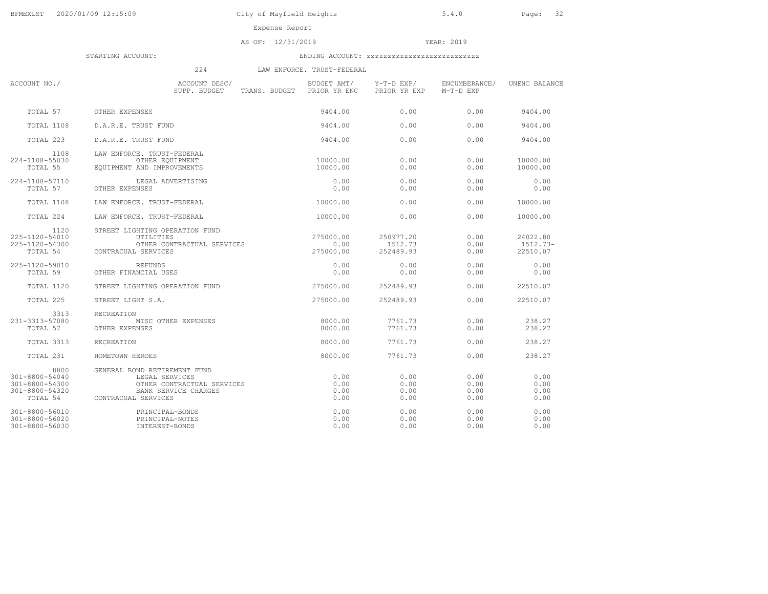Expense Report

### AS OF: 12/31/2019 YEAR: 2019

STARTING ACCOUNT: ENDING ACCOUNT: zzzzzzzzzzzzzzzzzzzzzzzzzzz

224 LAW ENFORCE. TRUST-FEDERAL

| ACCOUNT NO./                                                           | ACCOUNT DESC/<br>SUPP. BUDGET                                                                                               | BUDGET AMT/<br>TRANS. BUDGET<br>PRIOR YR ENC | Y-T-D EXP/<br>PRIOR YR EXP        | ENCUMBERANCE/<br>M-T-D EXP   | UNENC BALANCE                    |
|------------------------------------------------------------------------|-----------------------------------------------------------------------------------------------------------------------------|----------------------------------------------|-----------------------------------|------------------------------|----------------------------------|
| TOTAL 57                                                               | OTHER EXPENSES                                                                                                              | 9404.00                                      | 0.00                              | 0.00                         | 9404.00                          |
| TOTAL 1108                                                             | D.A.R.E. TRUST FUND                                                                                                         | 9404.00                                      | 0.00                              | 0.00                         | 9404.00                          |
| TOTAL 223                                                              | D.A.R.E. TRUST FUND                                                                                                         | 9404.00                                      | 0.00                              | 0.00                         | 9404.00                          |
| 1108<br>224-1108-55030<br>TOTAL 55                                     | LAW ENFORCE. TRUST-FEDERAL<br>OTHER EQUIPMENT<br>EQUIPMENT AND IMPROVEMENTS                                                 | 10000.00<br>10000.00                         | 0.00<br>0.00                      | 0.00<br>0.00                 | 10000.00<br>10000.00             |
| 224-1108-57110<br>TOTAL 57                                             | LEGAL ADVERTISING<br>OTHER EXPENSES                                                                                         | 0.00<br>0.00                                 | 0.00<br>0.00                      | 0.00<br>0.00                 | 0.00<br>0.00                     |
| TOTAL 1108                                                             | LAW ENFORCE. TRUST-FEDERAL                                                                                                  | 10000.00                                     | 0.00                              | 0.00                         | 10000.00                         |
| TOTAL 224                                                              | LAW ENFORCE. TRUST-FEDERAL                                                                                                  | 10000.00                                     | 0.00                              | 0.00                         | 10000.00                         |
| 1120<br>225-1120-54010<br>225-1120-54300<br>TOTAL 54                   | STREET LIGHTING OPERATION FUND<br>UTILITIES<br>OTHER CONTRACTUAL SERVICES<br>CONTRACUAL SERVICES                            | 275000.00<br>0.00<br>275000.00               | 250977.20<br>1512.73<br>252489.93 | 0.00<br>0.00<br>0.00         | 24022.80<br>1512.73-<br>22510.07 |
| 225-1120-59010<br>TOTAL 59                                             | REFUNDS<br>OTHER FINANCIAL USES                                                                                             | 0.00<br>0.00                                 | 0.00<br>0.00                      | 0.00<br>0.00                 | 0.00<br>0.00                     |
| TOTAL 1120                                                             | STREET LIGHTING OPERATION FUND                                                                                              | 275000.00                                    | 252489.93                         | 0.00                         | 22510.07                         |
| TOTAL 225                                                              | STREET LIGHT S.A.                                                                                                           | 275000.00                                    | 252489.93                         | 0.00                         | 22510.07                         |
| 3313<br>231-3313-57080<br>TOTAL 57                                     | RECREATION<br>MISC OTHER EXPENSES<br>OTHER EXPENSES                                                                         | 8000.00<br>8000.00                           | 7761.73<br>7761.73                | 0.00<br>0.00                 | 238.27<br>238.27                 |
| TOTAL 3313                                                             | RECREATION                                                                                                                  | 8000.00                                      | 7761.73                           | 0.00                         | 238.27                           |
| TOTAL 231                                                              | HOMETOWN HEROES                                                                                                             | 8000.00                                      | 7761.73                           | 0.00                         | 238.27                           |
| 8800<br>301-8800-54040<br>301-8800-54300<br>301-8800-54320<br>TOTAL 54 | GENERAL BOND RETIREMENT FUND<br>LEGAL SERVICES<br>OTHER CONTRACTUAL SERVICES<br>BANK SERVICE CHARGES<br>CONTRACUAL SERVICES | 0.00<br>0.00<br>0.00<br>0.00                 | 0.00<br>0.00<br>0.00<br>0.00      | 0.00<br>0.00<br>0.00<br>0.00 | 0.00<br>0.00<br>0.00<br>0.00     |
| 301-8800-56010<br>301-8800-56020<br>301-8800-56030                     | PRINCIPAL-BONDS<br>PRINCIPAL-NOTES<br>INTEREST-BONDS                                                                        | 0.00<br>0.00<br>0.00                         | 0.00<br>0.00<br>0.00              | 0.00<br>0.00<br>0.00         | 0.00<br>0.00<br>0.00             |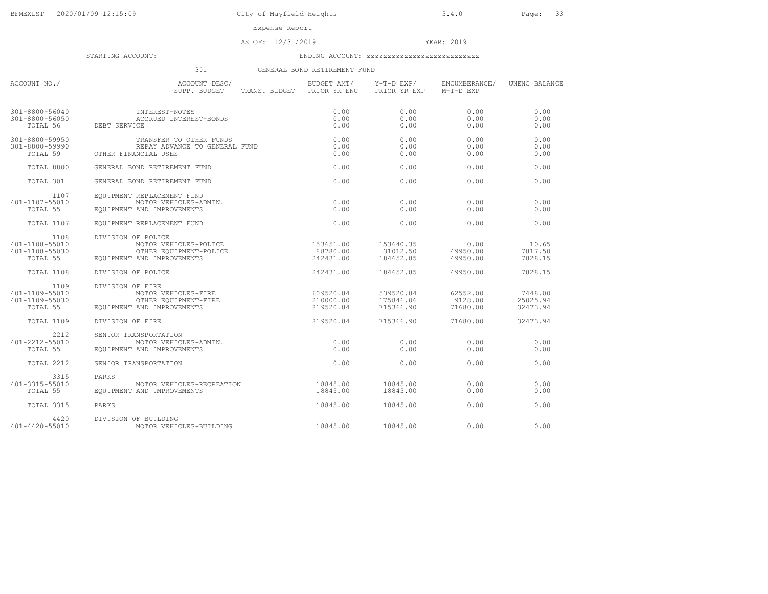Expense Report

AS OF: 12/31/2019 YEAR: 2019

STARTING ACCOUNT: ENDING ACCOUNT: zzzzzzzzzzzzzzzzzzzzzzzzzzz

# 301 GENERAL BOND RETIREMENT FUND

| ACCOUNT NO./                                         | ACCOUNT DESC/<br>SUPP. BUDGET<br>TRANS. BUDGET PRIOR YR ENC                                         | BUDGET AMT/                         | Y-T-D EXP/<br>PRIOR YR EXP          | ENCUMBERANCE/<br>M-T-D EXP      | UNENC BALANCE                   |
|------------------------------------------------------|-----------------------------------------------------------------------------------------------------|-------------------------------------|-------------------------------------|---------------------------------|---------------------------------|
| 301-8800-56040<br>301-8800-56050<br>TOTAL 56         | INTEREST-NOTES<br>ACCRUED INTEREST-BONDS<br>DEBT SERVICE                                            | 0.00<br>0.00<br>0.00                | 0.00<br>0.00<br>0.00                | 0.00<br>0.00<br>0.00            | 0.00<br>0.00<br>0.00            |
| 301-8800-59950<br>301-8800-59990<br>TOTAL 59         | TRANSFER TO OTHER FUNDS<br>REPAY ADVANCE TO GENERAL FUND<br>OTHER FINANCIAL USES                    | 0.00<br>0.00<br>0.00                | 0.00<br>0.00<br>0.00                | 0.00<br>0.00<br>0.00            | 0.00<br>0.00<br>0.00            |
| TOTAL 8800                                           | GENERAL BOND RETIREMENT FUND                                                                        | 0.00                                | 0.00                                | 0.00                            | 0.00                            |
| TOTAL 301                                            | GENERAL BOND RETIREMENT FUND                                                                        | 0.00                                | 0.00                                | 0.00                            | 0.00                            |
| 1107<br>401-1107-55010<br>TOTAL 55                   | EQUIPMENT REPLACEMENT FUND<br>MOTOR VEHICLES-ADMIN.<br>EQUIPMENT AND IMPROVEMENTS                   | 0.00<br>0.00                        | 0.00<br>0.00                        | 0.00<br>0.00                    | 0.00<br>0.00                    |
| TOTAL 1107                                           | EOUIPMENT REPLACEMENT FUND                                                                          | 0.00                                | 0.00                                | 0.00                            | 0.00                            |
| 1108<br>401-1108-55010<br>401-1108-55030<br>TOTAL 55 | DIVISION OF POLICE<br>MOTOR VEHICLES-POLICE<br>OTHER EQUIPMENT-POLICE<br>EQUIPMENT AND IMPROVEMENTS | 153651.00<br>88780.00<br>242431.00  | 153640.35<br>31012.50<br>184652.85  | 0.00<br>49950.00<br>49950.00    | 10.65<br>7817.50<br>7828.15     |
| TOTAL 1108                                           | DIVISION OF POLICE                                                                                  | 242431.00                           | 184652.85                           | 49950.00                        | 7828.15                         |
| 1109<br>401-1109-55010<br>401-1109-55030<br>TOTAL 55 | DIVISION OF FIRE<br>MOTOR VEHICLES-FIRE<br>OTHER EQUIPMENT-FIRE<br>EOUIPMENT AND IMPROVEMENTS       | 609520.84<br>210000.00<br>819520.84 | 539520.84<br>175846.06<br>715366.90 | 62552.00<br>9128.00<br>71680.00 | 7448.00<br>25025.94<br>32473.94 |
| TOTAL 1109                                           | DIVISION OF FIRE                                                                                    | 819520.84                           | 715366.90                           | 71680.00                        | 32473.94                        |
| 2212<br>401-2212-55010<br>TOTAL 55                   | SENIOR TRANSPORTATION<br>MOTOR VEHICLES-ADMIN.<br>EQUIPMENT AND IMPROVEMENTS                        | 0.00<br>0.00                        | 0.00<br>0.00                        | 0.00<br>0.00                    | 0.00<br>0.00                    |
| TOTAL 2212                                           | SENIOR TRANSPORTATION                                                                               | 0.00                                | 0.00                                | 0.00                            | 0.00                            |
| 3315<br>401-3315-55010<br>TOTAL 55                   | PARKS<br>MOTOR VEHICLES-RECREATION<br>EOUIPMENT AND IMPROVEMENTS                                    | 18845.00<br>18845.00                | 18845.00<br>18845.00                | 0.00<br>0.00                    | 0.00<br>0.00                    |
| TOTAL 3315                                           | PARKS                                                                                               | 18845.00                            | 18845.00                            | 0.00                            | 0.00                            |
| 4420<br>401-4420-55010                               | DIVISION OF BUILDING<br>MOTOR VEHICLES-BUILDING                                                     | 18845.00                            | 18845.00                            | 0.00                            | 0.00                            |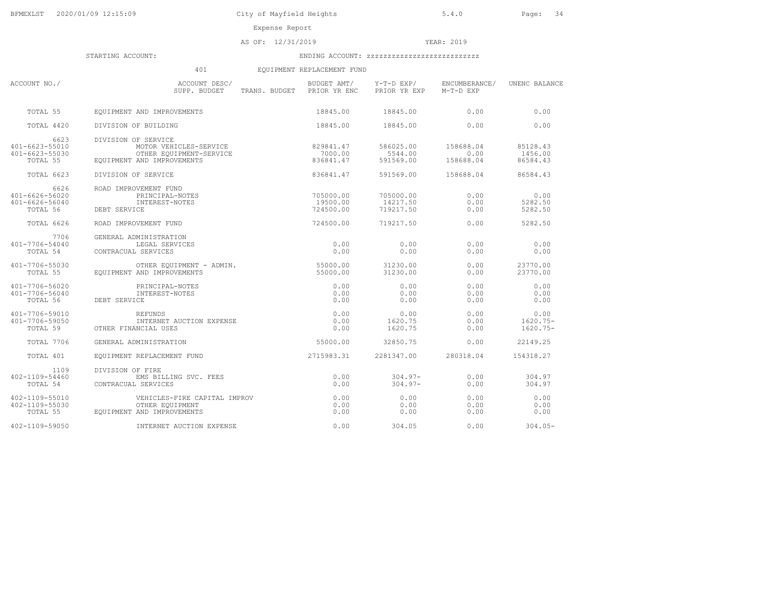Expense Report

AS OF: 12/31/2019 YEAR: 2019

STARTING ACCOUNT: ENDING ACCOUNT: zzzzzzzzzzzzzzzzzzzzzzzzzzz

# 401 EQUIPMENT REPLACEMENT FUND

| ACCOUNT NO./                                               | ACCOUNT DESC/<br>SUPP. BUDGET                                                                          | BUDGET AMT/<br>TRANS. BUDGET PRIOR YR ENC | Y-T-D EXP/<br>PRIOR YR EXP         | ENCUMBERANCE/<br>M-T-D EXP     | UNENC BALANCE                    |
|------------------------------------------------------------|--------------------------------------------------------------------------------------------------------|-------------------------------------------|------------------------------------|--------------------------------|----------------------------------|
| TOTAL 55                                                   | EOUIPMENT AND IMPROVEMENTS                                                                             | 18845.00                                  | 18845.00                           | 0.00                           | 0.00                             |
| TOTAL 4420                                                 | DIVISION OF BUILDING                                                                                   | 18845.00                                  | 18845.00                           | 0.00                           | 0.00                             |
| 6623<br>401-6623-55010<br>401-6623-55030<br>TOTAL 55       | DIVISION OF SERVICE<br>MOTOR VEHICLES-SERVICE<br>OTHER EQUIPMENT-SERVICE<br>EQUIPMENT AND IMPROVEMENTS | 829841.47<br>7000.00<br>836841.47         | 586025.00<br>5544.00<br>591569.00  | 158688.04<br>0.00<br>158688.04 | 85128.43<br>1456.00<br>86584.43  |
| TOTAL 6623                                                 | DIVISION OF SERVICE                                                                                    | 836841.47                                 | 591569.00                          | 158688.04                      | 86584.43                         |
| 6626<br>401-6626-56020<br>$401 - 6626 - 56040$<br>TOTAL 56 | ROAD IMPROVEMENT FUND<br>PRINCIPAL-NOTES<br>INTEREST-NOTES<br>DEBT SERVICE                             | 705000.00<br>19500.00<br>724500.00        | 705000.00<br>14217.50<br>719217.50 | 0.00<br>0.00<br>0.00           | 0.00<br>5282.50<br>5282.50       |
| TOTAL 6626                                                 | ROAD IMPROVEMENT FUND                                                                                  | 724500.00                                 | 719217.50                          | 0.00                           | 5282.50                          |
| 7706<br>401-7706-54040<br>TOTAL 54                         | GENERAL ADMINISTRATION<br>LEGAL SERVICES<br>CONTRACUAL SERVICES                                        | 0.00<br>0.00                              | 0.00<br>0.00                       | 0.00<br>0.00                   | 0.00<br>0.00                     |
| 401-7706-55030<br>TOTAL 55                                 | OTHER EQUIPMENT - ADMIN.<br>EOUIPMENT AND IMPROVEMENTS                                                 | 55000.00<br>55000.00                      | 31230.00<br>31230.00               | 0.00<br>0.00                   | 23770.00<br>23770.00             |
| 401-7706-56020<br>401-7706-56040<br>TOTAL 56               | PRINCIPAL-NOTES<br>INTEREST-NOTES<br>DEBT SERVICE                                                      | 0.00<br>0.00<br>0.00                      | 0.00<br>0.00<br>0.00               | 0.00<br>0.00<br>0.00           | 0.00<br>0.00<br>0.00             |
| 401-7706-59010<br>401-7706-59050<br>TOTAL 59               | REFUNDS<br>INTERNET AUCTION EXPENSE<br>OTHER FINANCIAL USES                                            | 0.00<br>0.00<br>0.00                      | 0.00<br>1620.75<br>1620.75         | 0.00<br>0.00<br>0.00           | 0.00<br>$1620.75-$<br>$1620.75-$ |
| TOTAL 7706                                                 | GENERAL ADMINISTRATION                                                                                 | 55000.00                                  | 32850.75                           | 0.00                           | 22149.25                         |
| TOTAL 401                                                  | EOUIPMENT REPLACEMENT FUND                                                                             | 2715983.31                                | 2281347.00                         | 280318.04                      | 154318.27                        |
| 1109<br>$402 - 1109 - 54460$<br>TOTAL 54                   | DIVISION OF FIRE<br>EMS BILLING SVC. FEES<br>CONTRACUAL SERVICES                                       | 0.00<br>0.00                              | $304.97 -$<br>$304.97 -$           | 0.00<br>0.00                   | 304.97<br>304.97                 |
| 402-1109-55010<br>402-1109-55030<br>TOTAL 55               | VEHICLES-FIRE CAPITAL IMPROV<br>OTHER EQUIPMENT<br>EQUIPMENT AND IMPROVEMENTS                          | 0.00<br>0.00<br>0.00                      | 0.00<br>0.00<br>0.00               | 0.00<br>0.00<br>0.00           | 0.00<br>0.00<br>0.00             |
| 402-1109-59050                                             | INTERNET AUCTION EXPENSE                                                                               | 0.00                                      | 304.05                             | 0.00                           | $304.05 -$                       |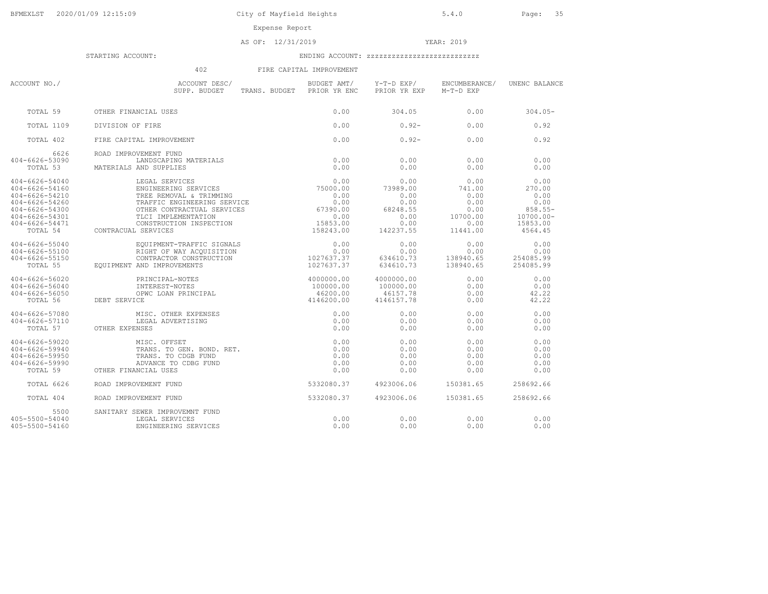AS OF: 12/31/2019 YEAR: 2019

STARTING ACCOUNT: ENDING ACCOUNT: zzzzzzzzzzzzzzzzzzzzzzzzzzz

402 FIRE CAPITAL IMPROVEMENT

| ACCOUNT NO./                                                                                                               | ACCOUNT DESC/<br>SUPP. BUDGET TRANS. BUDGET PRIOR YR ENC                                                                                                                                                                                                                          | BUDGET AMT/           | Y-T-D EXP/<br>PRIOR YR EXP M-T-D EXP                                      | ENCUMBERANCE/                                                          | UNENC BALANCE                                                                 |
|----------------------------------------------------------------------------------------------------------------------------|-----------------------------------------------------------------------------------------------------------------------------------------------------------------------------------------------------------------------------------------------------------------------------------|-----------------------|---------------------------------------------------------------------------|------------------------------------------------------------------------|-------------------------------------------------------------------------------|
| TOTAL 59                                                                                                                   | OTHER FINANCIAL USES                                                                                                                                                                                                                                                              | 0.00                  | 304.05                                                                    | 0.00                                                                   | $304.05 -$                                                                    |
| TOTAL 1109                                                                                                                 | DIVISION OF FIRE                                                                                                                                                                                                                                                                  | 0.00                  | $0.92 -$                                                                  | 0.00                                                                   | 0.92                                                                          |
| TOTAL 402                                                                                                                  | FIRE CAPITAL IMPROVEMENT                                                                                                                                                                                                                                                          | 0.00                  | $0.92 -$                                                                  | 0.00                                                                   | 0.92                                                                          |
| 6626<br>404-6626-53090<br>TOTAL 53                                                                                         | ROAD IMPROVEMENT FUND<br>LANDSCAPING MATERIALS<br>MATERIALS AND SUPPLIES                                                                                                                                                                                                          | 0.00<br>0.00          | 0.00<br>0.00                                                              | 0.00<br>0.00                                                           | 0.00<br>0.00                                                                  |
| 404-6626-54040<br>404-6626-54160<br>404-6626-54210<br>404-6626-54260<br>404-6626-54300<br>404-6626-54301<br>404-6626-54471 | LEGAL SERVICES 0.00<br>ENGINEERING SERVICES 1999 1999 1999 1999<br>TREE REMOVAL & TRIMMING<br>TLCI IMPLEMENTATION<br>OTHER CONTRACTOR DELICE TREE (0.00)<br>TLCT IMPLEMENTATION TREE (1983).00<br>CONSTRUCTION INSPECTION (15853.00)<br>158243.00<br>TOTAL 54 CONTRACUAL SERVICES | 0.00                  | 0.00<br>73989.00<br>0.00<br>0.00<br>68248.55<br>0.00<br>0.00<br>142237.55 | 0.00<br>741.00<br>0.00<br>0.00<br>0.00<br>10700.00<br>0.00<br>11441.00 | 0.00<br>270.00<br>0.00<br>0.00<br>858.55-<br>10700.00-<br>15853.00<br>4564.45 |
| 404-6626-55040<br>404-6626-55100<br>404-6626-55150<br>TOTAL 55                                                             | $\begin{tabular}{l c c c c} \hline \texttt{EQUIPMENT-TRAFFIC} \texttt{SICNALS} & 0.00 \\ \texttt{RIGHT OF MAY ACQUISITION} & 0.00 \\ \texttt{CONTRACTOR CONSTRUCTION} & 1027637.37 \\ \hline \end{tabular}$<br>RIGHT OF WAY ACOUISITION<br>EQUIPMENT AND IMPROVEMENTS             | 1027637.37            | 0.00<br>0.00<br>634610.73<br>634610.73                                    | 0.00<br>0.00<br>138940.65<br>138940.65                                 | 0.00<br>0.00<br>254085.99<br>254085.99                                        |
| 404-6626-56020<br>404-6626-56040<br>404-6626-56050<br>TOTAL 56                                                             | PRINCIPAL-NOTES<br>INTEREST-NOTES<br>OPWC LOAN PRINCIPAL<br>$4000000.00$<br>$100000.00$<br>$46200.00$<br>$4146200.00$<br>PRINCIPAL-NOTES<br>DEBT SERVICE                                                                                                                          |                       | 4000000.00<br>100000.00<br>46157.78<br>4146157.78                         | 0.00<br>0.00<br>0.00<br>0.00                                           | 0.00<br>0.00<br>42.22<br>42.22                                                |
| 404-6626-57080<br>404-6626-57110<br>TOTAL 57                                                                               | ICE<br>MISC. OTHER EXPENSES<br>LEGAL ADVERTISING<br>MISC. OTHER EXPENSES<br>OTHER EXPENSES                                                                                                                                                                                        | 0.00<br>0.00<br>0.00  | 0.00<br>0.00<br>0.00                                                      | 0.00<br>0.00<br>0.00                                                   | 0.00<br>0.00<br>0.00                                                          |
| 404-6626-59020<br>404-6626-59940<br>404-6626-59950<br>404-6626-59990<br>TOTAL 59                                           | MISC. OFFSET<br>TRANS. TO GEN. BOND. RET. (0.00)<br>TRANS. TO CDGB FUND (0.00)<br>ADVANCE TO CDBG FUND<br>OTHER FINANCIAL USES                                                                                                                                                    | 0.00<br>0.00          | 0.00<br>0.00<br>0.00<br>0.00<br>0.00                                      | 0.00<br>0.00<br>0.00<br>0.00<br>0.00                                   | 0.00<br>0.00<br>0.00<br>0.00<br>0.00                                          |
| TOTAL 6626                                                                                                                 | ROAD IMPROVEMENT FUND                                                                                                                                                                                                                                                             | 5332080.37 4923006.06 |                                                                           | 150381.65                                                              | 258692.66                                                                     |
| TOTAL 404                                                                                                                  | ROAD IMPROVEMENT FUND                                                                                                                                                                                                                                                             | 5332080.37 4923006.06 |                                                                           | 150381.65                                                              | 258692.66                                                                     |
| 5500<br>405-5500-54040<br>405-5500-54160                                                                                   | SANITARY SEWER IMPROVEMNT FUND<br>LEGAL SERVICES<br>ENGINEERING SERVICES                                                                                                                                                                                                          | 0.00<br>0.00          | 0.00<br>0.00                                                              | 0.00<br>0.00                                                           | 0.00<br>0.00                                                                  |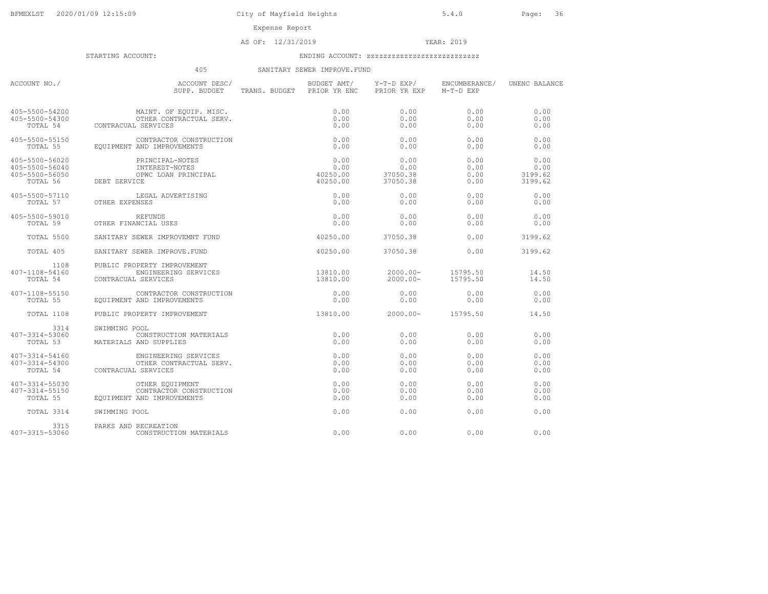Expense Report

### AS OF: 12/31/2019 YEAR: 2019

STARTING ACCOUNT: ENDING ACCOUNT: zzzzzzzzzzzzzzzzzzzzzzzzzzz

### 405 SANITARY SEWER IMPROVE.FUND

| ACCOUNT NO./                                       | ACCOUNT DESC/<br>SUPP. BUDGET                                                                                                                                     | TRANS. BUDGET PRIOR YR ENC PRIOR YR EXP M-T-D EXP | BUDGET AMT/ Y-T-D EXP/                 | ENCUMBERANCE/                | UNENC BALANCE                                 |
|----------------------------------------------------|-------------------------------------------------------------------------------------------------------------------------------------------------------------------|---------------------------------------------------|----------------------------------------|------------------------------|-----------------------------------------------|
|                                                    | 405-5500-54200 MAINT. OF EQUIP. MISC.<br>405-5500-54300 OTHER CONTRACTUAL SERV.<br>TOTAL 54 CONTRACUAL SERVICES                                                   | 0.00<br>0.00<br>0.00                              | 0.00<br>0.00<br>0.00                   | 0.00<br>0.00<br>0.00         | 0.00<br>0.00<br>0.00                          |
| 405-5500-55150                                     | CONTRACTOR CONSTRUCTION<br>TOTAL 55 EQUIPMENT AND IMPROVEMENTS                                                                                                    | 0.00<br>0.00                                      | 0.00<br>0.00                           | 0.00<br>0.00                 | 0.00<br>0.00                                  |
| 405-5500-56020<br>405-5500-56040<br>405-5500-56050 | PRINCIPAL-NOTES<br>INTEREST-NOTES<br>15-5500-56050 OPWC LOAN PRINCIPAL<br>TOTAL 56 DEBT SERVICE                                                                   | 0.00<br>0.00<br>0.00<br>40250.00<br>40250.00      | $0.00$<br>0.00<br>37050.38<br>37050.38 | 0.00<br>0.00<br>0.00<br>0.00 | 0.00<br>0.00<br>3199.62<br>3199.62<br>3199.62 |
| TOTAL 57                                           | 405-5500-57110 LEGAL ADVERTISING<br>OTHER EXPENSES                                                                                                                | 0.00<br>0.00                                      | 0.00<br>0.00                           | 0.00<br>0.00                 | 0.00<br>0.00                                  |
| 405-5500-59010                                     | REFUNDS<br>TOTAL 59 OTHER FINANCIAL USES                                                                                                                          | 0.00<br>0.00                                      | 0.00<br>0.00                           | 0.00<br>0.00                 | 0.00<br>0.00                                  |
| TOTAL 5500                                         | SANITARY SEWER IMPROVEMNT FUND                                                                                                                                    | 40250.00 37050.38                                 |                                        | 0.00                         | 3199.62                                       |
| TOTAL 405                                          | SANITARY SEWER IMPROVE.FUND                                                                                                                                       | 40250.00                                          | 37050.38                               | 0.00                         | 3199.62                                       |
| 1108<br>407-1108-54160<br>TOTAL 54                 | PUBLIC PROPERTY IMPROVEMENT<br>ENGINEERING SERVICES<br>CONTRACUAL SERVICES                                                                                        | 13810.00  2000.00-  15795.50<br>13810.00          | $2000.00 -$                            | 15795.50                     | 14.50<br>14.50                                |
| 407-1108-55150<br>TOTAL 55                         | CONTRACTOR CONSTRUCTION<br>EQUIPMENT AND IMPROVEMENTS                                                                                                             | 0.00<br>0.00                                      | 0.00<br>0.00                           | 0.00<br>0.00                 | 0.00<br>0.00                                  |
| TOTAL 1108                                         | PUBLIC PROPERTY IMPROVEMENT                                                                                                                                       |                                                   |                                        |                              | 14.50                                         |
| 3314                                               | SWIMMING POOL<br>407-3314-53060 CONSTRUCTION<br>TOTAL 53 MATERIALS AND SUPPLIES<br>CONSTRUCTION MATERIALS                                                         | 0.00<br>0.00                                      | 0.00<br>0.00                           | 0.00<br>0.00                 | 0.00<br>0.00                                  |
| 407-3314-54160<br>407-3314-54300                   | ENGINEERING SERVICES<br>OTHER CONTRACTUAL SERV.<br>TOTAL 54 CONTRACUAL SERVICES                                                                                   | 0.00<br>0.00<br>0.00                              | 0.00<br>0.00<br>0.00                   | 0.00<br>0.00<br>0.00         | 0.00<br>0.00<br>0.00                          |
|                                                    | 407-3314-55030 OTHER EQUIPMENT<br>407-3314-55150 CONTRACTOR CONST<br>TOTAL 55 EQUIPMENT AND IMPROVEMENTS<br>CONTRACTOR CONSTRUCTION<br>EOUIPMENT AND IMPROVEMENTS | 0.00<br>0.00<br>0.00                              | 0.00<br>0.00<br>0.00                   | 0.00<br>0.00<br>0.00         | 0.00<br>0.00<br>0.00                          |
| TOTAL 3314                                         | SWIMMING POOL                                                                                                                                                     | 0.00                                              | 0.00                                   | 0.00                         | 0.00                                          |
| 3315<br>407-3315-53060                             | PARKS AND RECREATION<br>CONSTRUCTION MATERIALS                                                                                                                    | 0.00                                              | 0.00                                   | 0.00                         | 0.00                                          |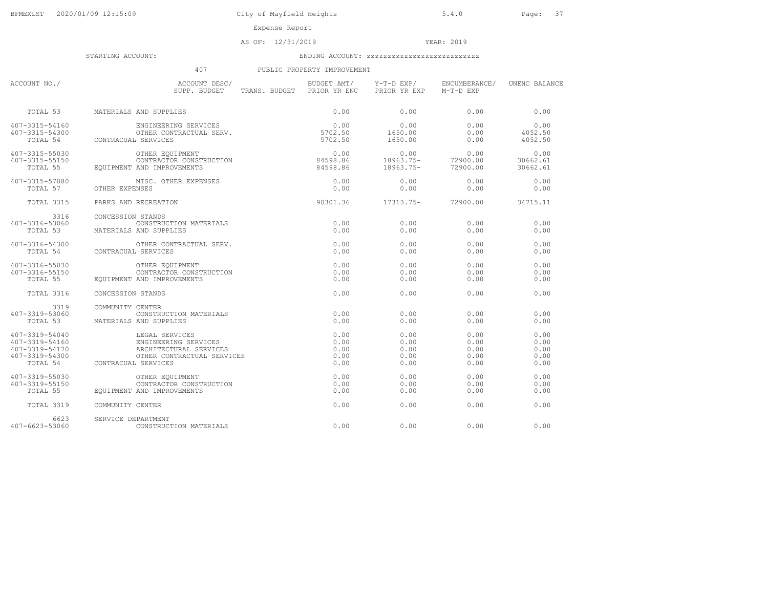Expense Report

AS OF: 12/31/2019 YEAR: 2019

STARTING ACCOUNT: ENDING ACCOUNT: zzzzzzzzzzzzzzzzzzzzzzzzzzz

## 407 PUBLIC PROPERTY IMPROVEMENT

| ACCOUNT NO./                                                         | ACCOUNT DESC/<br>SUPP. BUDGET                                                                                                  | BUDGET AMT/<br>TRANS. BUDGET PRIOR YR ENC | Y-T-D EXP/<br>PRIOR YR EXP           | ENCUMBERANCE/<br>M-T-D EXP           | UNENC BALANCE                        |
|----------------------------------------------------------------------|--------------------------------------------------------------------------------------------------------------------------------|-------------------------------------------|--------------------------------------|--------------------------------------|--------------------------------------|
| TOTAL 53                                                             | MATERIALS AND SUPPLIES                                                                                                         | 0.00                                      | 0.00                                 | 0.00                                 | 0.00                                 |
| 407-3315-54160<br>407-3315-54300<br>TOTAL 54                         | ENGINEERING SERVICES<br>CONTRACUAL SERVICES                                                                                    | 0.00<br>5702.50                           | 0.00<br>1650.00<br>1650.00           | 0.00<br>0.00<br>0.00                 | 0.00<br>4052.50<br>4052.50           |
| 407-3315-55030<br>407-3315-55150<br>TOTAL 55                         | OTHER EQUIPMENT<br>CONTRACTOR CONSTRUCTION<br>EOUIPMENT AND IMPROVEMENTS                                                       | 0.00<br>84598.86<br>84598.86              | 0.00<br>18963.75-<br>18963.75-       | 0.00<br>72900.00<br>72900.00         | 0.00<br>30662.61<br>30662.61         |
| 407-3315-57080<br>TOTAL 57                                           | MISC. OTHER EXPENSES<br>OTHER EXPENSES                                                                                         | 0.00<br>0.00                              | 0.00<br>0.00                         | 0.00<br>0.00                         | 0.00<br>0.00                         |
| TOTAL 3315                                                           | PARKS AND RECREATION                                                                                                           | 90301.36                                  | 17313.75-                            | 72900.00                             | 34715.11                             |
| 3316<br>407-3316-53060<br>TOTAL 53                                   | CONCESSION STANDS<br>CONSTRUCTION MATERIALS<br>MATERIALS AND SUPPLIES                                                          | 0.00<br>0.00                              | 0.00<br>0.00                         | 0.00<br>0.00                         | 0.00<br>0.00                         |
| 407-3316-54300<br>TOTAL 54                                           | OTHER CONTRACTUAL SERV.<br>CONTRACUAL SERVICES                                                                                 | 0.00<br>0.00                              | 0.00<br>0.00                         | 0.00<br>0.00                         | 0.00<br>0.00                         |
| 407-3316-55030<br>407-3316-55150<br>TOTAL 55                         | OTHER EQUIPMENT<br>CONTRACTOR CONSTRUCTION<br>EQUIPMENT AND IMPROVEMENTS                                                       | 0.00<br>0.00<br>0.00                      | 0.00<br>0.00<br>0.00                 | 0.00<br>0.00<br>0.00                 | 0.00<br>0.00<br>0.00                 |
| TOTAL 3316                                                           | CONCESSION STANDS                                                                                                              | 0.00                                      | 0.00                                 | 0.00                                 | 0.00                                 |
| 3319<br>407-3319-53060<br>TOTAL 53                                   | COMMUNITY CENTER<br>CONSTRUCTION MATERIALS<br>MATERIALS AND SUPPLIES                                                           | 0.00<br>0.00                              | 0.00<br>0.00                         | 0.00<br>0.00                         | 0.00<br>0.00                         |
| 407-3319-54040<br>407-3319-54160<br>407-3319-54170<br>407-3319-54300 | LEGAL SERVICES<br>ENGINEERING SERVICES<br>ARCHITECTURAL SERVICES<br>OTHER CONTRACTUAL SERVICES<br>TOTAL 54 CONTRACUAL SERVICES | 0.00<br>0.00<br>0.00<br>0.00<br>0.00      | 0.00<br>0.00<br>0.00<br>0.00<br>0.00 | 0.00<br>0.00<br>0.00<br>0.00<br>0.00 | 0.00<br>0.00<br>0.00<br>0.00<br>0.00 |
| 407-3319-55030<br>407-3319-55150<br>TOTAL 55                         | OTHER EQUIPMENT<br>CONTRACTOR CONSTRUCTION<br>EOUIPMENT AND IMPROVEMENTS                                                       | 0.00<br>0.00<br>0.00                      | 0.00<br>0.00<br>0.00                 | 0.00<br>0.00<br>0.00                 | 0.00<br>0.00<br>0.00                 |
| TOTAL 3319                                                           | COMMUNITY CENTER                                                                                                               | 0.00                                      | 0.00                                 | 0.00                                 | 0.00                                 |
| 6623<br>407-6623-53060                                               | SERVICE DEPARTMENT<br>CONSTRUCTION MATERIALS                                                                                   | 0.00                                      | 0.00                                 | 0.00                                 | 0.00                                 |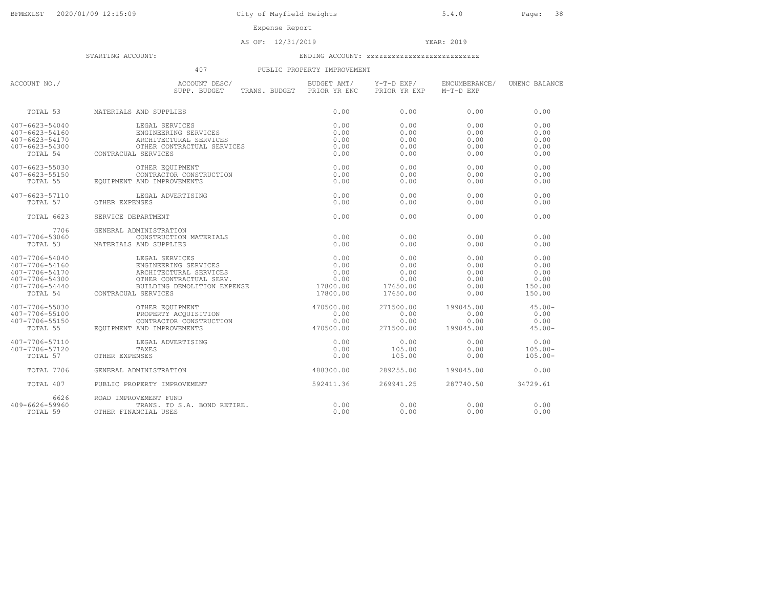### AS OF: 12/31/2019 YEAR: 2019

STARTING ACCOUNT: ENDING ACCOUNT: zzzzzzzzzzzzzzzzzzzzzzzzzzz

## 407 PUBLIC PROPERTY IMPROVEMENT

| ACCOUNT NO./                                                                           | ACCOUNT DESC/<br>SUPP. BUDGET TRANS. BUDGET PRIOR YR ENC                                                                                                                                                                                                                                    | BUDGET AMT/                          | Y-T-D EXP/<br>PRIOR YR EXP                           | ENCUMBERANCE/<br>M-T-D EXP                   | UNENC BALANCE                                    |
|----------------------------------------------------------------------------------------|---------------------------------------------------------------------------------------------------------------------------------------------------------------------------------------------------------------------------------------------------------------------------------------------|--------------------------------------|------------------------------------------------------|----------------------------------------------|--------------------------------------------------|
| TOTAL 53                                                                               | MATERIALS AND SUPPLIES                                                                                                                                                                                                                                                                      | 0.00                                 | 0.00                                                 | 0.00                                         | 0.00                                             |
| $407 - 6623 - 54040$<br>407-6623-54160<br>407-6623-54170<br>407-6623-54300<br>TOTAL 54 | AND SUPPLIES<br>LEGAL SERVICES<br>ENGINEERING SERVICES<br>ARCHITECTURAL SERVICES<br>OTHER CONTRACTUAL SERVICES<br>- APRULOFS<br>CONTRACUAL SERVICES                                                                                                                                         | 0.00<br>0.00<br>0.00<br>0.00<br>0.00 | 0.00<br>0.00<br>0.00<br>0.00<br>0.00                 | 0.00<br>0.00<br>0.00<br>0.00<br>0.00         | 0.00<br>0.00<br>0.00<br>0.00<br>0.00             |
| $407 - 6623 - 55030$<br>407-6623-55150<br>TOTAL 55                                     | OTHER EQUIPMENT<br>CONTRACTOR CONSTRUCTION<br>EOUIPMENT AND IMPROVEMENTS                                                                                                                                                                                                                    | 0.00<br>0.00<br>0.00                 | 0.00<br>0.00<br>0.00                                 | 0.00<br>0.00<br>0.00                         | 0.00<br>0.00<br>0.00                             |
| 407-6623-57110<br>TOTAL 57                                                             | LEGAL ADVERTISING<br>LO LEGAL CONTRER EXPENSES                                                                                                                                                                                                                                              | 0.00<br>0.00                         | 0.00<br>0.00                                         | 0.00<br>0.00                                 | 0.00<br>0.00                                     |
| TOTAL 6623                                                                             | SERVICE DEPARTMENT                                                                                                                                                                                                                                                                          | 0.00                                 | 0.00                                                 | 0.00                                         | 0.00                                             |
| 7706<br>407-7706-53060<br>TOTAL 53                                                     | GENERAL ADMINISTRATION<br>CONSTRUCTION MATERIALS<br>MATERIALS AND SUPPLIES                                                                                                                                                                                                                  | 0.00<br>0.00                         | 0.00<br>0.00                                         | 0.00<br>0.00                                 | 0.00<br>0.00                                     |
| 407-7706-54040<br>407-7706-54160<br>407-7706-54170<br>407-7706-54300<br>407-7706-54440 | 7-7706-54440 BUILDING I<br>TOTAL 54 CONTRACUAL SERVICES                                                                                                                                                                                                                                     | 17800.00                             | 0.00<br>0.00<br>0.00<br>0.00<br>17650.00<br>17650.00 | 0.00<br>0.00<br>0.00<br>0.00<br>0.00<br>0.00 | 0.00<br>0.00<br>0.00<br>0.00<br>150.00<br>150.00 |
| 407-7706-55030<br>407-7706-55100<br>407-7706-55150<br>$7700-33130$<br>TOTAL 55         | $\begin{tabular}{ll} \texttt{CUMEDC} & \texttt{CNOT} & \texttt{CNOT} \\ \texttt{OPHER EQUIPMENT} & \texttt{AQUISTION} & \texttt{0.00} \\ \texttt{CONTRACTOR CONSTRUCTION} & \texttt{0.00} \\ \texttt{AND IMPROVEMENTS} & \texttt{470500.00} \\ \end{tabular}$<br>EQUIPMENT AND IMPROVEMENTS |                                      | 271500.00<br>0.00<br>0.00<br>271500.00               | 199045.00<br>0.00<br>0.00<br>199045.00       | $45.00 -$<br>0.00<br>0.00<br>$45.00 -$           |
| 407-7706-57110<br>407-7706-57120<br>TOTAL 57                                           | LEGAL ADVERTISING<br>TAXES<br>OTHER EXPENSES                                                                                                                                                                                                                                                | 0.00<br>0.00<br>0.00                 | 0.00<br>105.00<br>105.00                             | 0.00<br>0.00<br>0.00                         | 0.00<br>$105.00 -$<br>$105.00 -$                 |
| TOTAL 7706                                                                             | GENERAL ADMINISTRATION                                                                                                                                                                                                                                                                      | 488300.00                            | 289255.00                                            | 199045.00                                    | 0.00                                             |
| TOTAL 407                                                                              | PUBLIC PROPERTY IMPROVEMENT                                                                                                                                                                                                                                                                 | 592411.36                            | 269941.25                                            | 287740.50                                    | 34729.61                                         |
| 6626<br>409-6626-59960<br>TOTAL 59                                                     | ROAD IMPROVEMENT FUND<br>TRANS. TO S.A. BOND RETIRE.<br>OTHER FINANCIAL USES                                                                                                                                                                                                                | 0.00<br>0.00                         | 0.00<br>0.00                                         | 0.00<br>0.00                                 | 0.00<br>0.00                                     |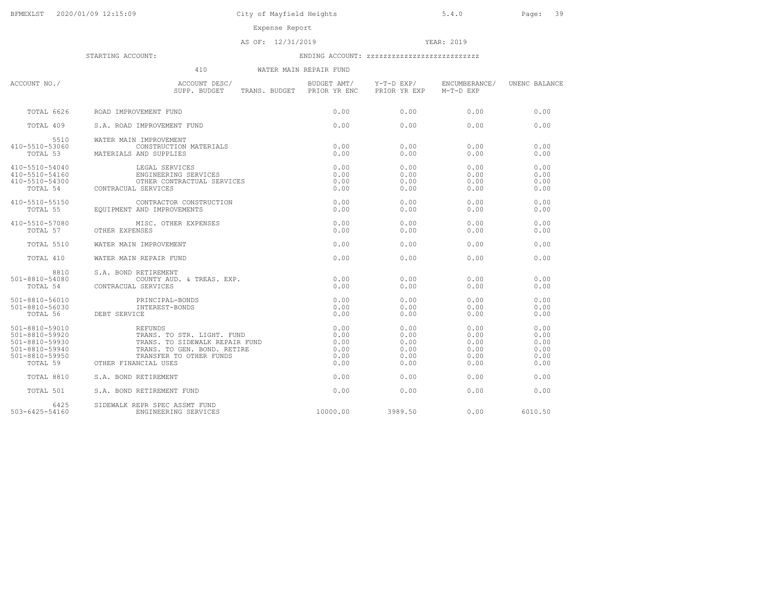Expense Report

### AS OF: 12/31/2019 YEAR: 2019

|                                                                                        | 410<br>WATER MAIN REPAIR FUND                                                                                                                                      |                                              |                                              |                                              |                                              |
|----------------------------------------------------------------------------------------|--------------------------------------------------------------------------------------------------------------------------------------------------------------------|----------------------------------------------|----------------------------------------------|----------------------------------------------|----------------------------------------------|
| ACCOUNT NO./                                                                           | ACCOUNT DESC/<br>SUPP. BUDGET<br>TRANS. BUDGET PRIOR YR ENC                                                                                                        |                                              | BUDGET AMT/ Y-T-D EXP/<br>PRIOR YR EXP       | ENCUMBERANCE/<br>M-T-D EXP                   | UNENC BALANCE                                |
| TOTAL 6626                                                                             | ROAD IMPROVEMENT FUND                                                                                                                                              | 0.00                                         | 0.00                                         | 0.00                                         | 0.00                                         |
| TOTAL 409                                                                              | S.A. ROAD IMPROVEMENT FUND                                                                                                                                         | 0.00                                         | 0.00                                         | 0.00                                         | 0.00                                         |
| 5510<br>410-5510-53060<br>TOTAL 53                                                     | WATER MAIN IMPROVEMENT<br>CONSTRUCTION MATERIALS<br>MATERIALS AND SUPPLIES                                                                                         | 0.00<br>0.00                                 | 0.00<br>0.00                                 | 0.00<br>0.00                                 | 0.00<br>0.00                                 |
| 410-5510-54040<br>410-5510-54160<br>410-5510-54300<br>TOTAL 54                         | LEGAL SERVICES<br>ENGINEERING SERVICES<br>OTHER CONTRACTUAL SERVICES<br>CONTRACUAL SERVICES                                                                        | 0.00<br>0.00<br>0.00<br>0.00                 | 0.00<br>0.00<br>0.00<br>0.00                 | 0.00<br>0.00<br>0.00<br>0.00                 | 0.00<br>0.00<br>0.00<br>0.00                 |
| 410-5510-55150<br>TOTAL 55                                                             | CONTRACTOR CONSTRUCTION<br>EOUIPMENT AND IMPROVEMENTS                                                                                                              | 0.00<br>0.00                                 | 0.00<br>0.00                                 | 0.00<br>0.00                                 | 0.00<br>0.00                                 |
| 410-5510-57080                                                                         | MISC. OTHER EXPENSES<br>TOTAL 57 OTHER EXPENSES                                                                                                                    | 0.00<br>0.00                                 | 0.00<br>0.00                                 | 0.00<br>0.00                                 | 0.00<br>0.00                                 |
| TOTAL 5510                                                                             | WATER MAIN IMPROVEMENT                                                                                                                                             | 0.00                                         | 0.00                                         | 0.00                                         | 0.00                                         |
| TOTAL 410                                                                              | WATER MAIN REPAIR FUND                                                                                                                                             | 0.00                                         | 0.00                                         | 0.00                                         | 0.00                                         |
| 8810<br>501-8810-54080<br>TOTAL 54                                                     | S.A. BOND RETIREMENT<br>COUNTY AUD. & TREAS. EXP.<br>CONTRACUAL SERVICES                                                                                           | 0.00<br>0.00                                 | 0.00<br>0.00                                 | 0.00<br>0.00                                 | 0.00<br>0.00                                 |
| 501-8810-56010<br>501-8810-56030<br>TOTAL 56                                           | PRINCIPAL-BONDS<br>INTEREST-BONDS<br>DEBT SERVICE                                                                                                                  | 0.00<br>0.00<br>0.00                         | 0.00<br>0.00<br>0.00                         | 0.00<br>0.00<br>0.00                         | 0.00<br>0.00<br>0.00                         |
| 501-8810-59010<br>501-8810-59920<br>501-8810-59930<br>501-8810-59940<br>501-8810-59950 | REFUNDS<br>TRANS, TO STR, LIGHT, FUND<br>TRANS. TO SIDEWALK REPAIR FUND<br>TRANS. TO GEN. BOND. RETIRE<br>TRANSFER TO OTHER FUNDS<br>TOTAL 59 OTHER FINANCIAL USES | 0.00<br>0.00<br>0.00<br>0.00<br>0.00<br>0.00 | 0.00<br>0.00<br>0.00<br>0.00<br>0.00<br>0.00 | 0.00<br>0.00<br>0.00<br>0.00<br>0.00<br>0.00 | 0.00<br>0.00<br>0.00<br>0.00<br>0.00<br>0.00 |
| TOTAL 8810                                                                             | S.A. BOND RETIREMENT                                                                                                                                               | 0.00                                         | 0.00                                         | 0.00                                         | 0.00                                         |
| TOTAL 501                                                                              | S.A. BOND RETIREMENT FUND                                                                                                                                          | 0.00                                         | 0.00                                         | 0.00                                         | 0.00                                         |
| 6425<br>503-6425-54160                                                                 | SIDEWALK REPR SPEC ASSMT FUND<br>ENGINEERING SERVICES                                                                                                              | 10000.00                                     | 3989.50                                      | 0.00                                         | 6010.50                                      |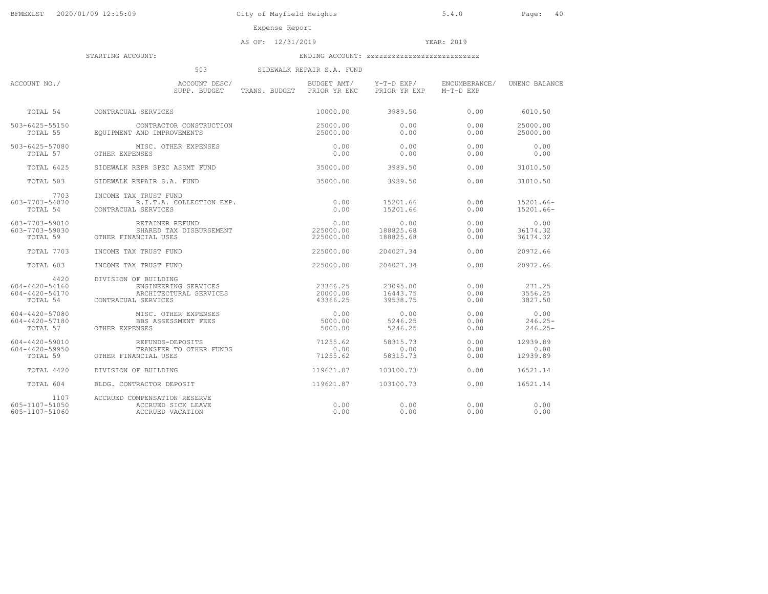AS OF: 12/31/2019 YEAR: 2019

| 503<br>SIDEWALK REPAIR S.A. FUND                     |                                                                                               |                                           |                                  |                            |                                  |  |  |
|------------------------------------------------------|-----------------------------------------------------------------------------------------------|-------------------------------------------|----------------------------------|----------------------------|----------------------------------|--|--|
| ACCOUNT NO./                                         | ACCOUNT DESC/<br>SUPP. BUDGET                                                                 | BUDGET AMT/<br>TRANS. BUDGET PRIOR YR ENC | Y-T-D EXP/<br>PRIOR YR EXP       | ENCUMBERANCE/<br>M-T-D EXP | UNENC BALANCE                    |  |  |
| TOTAL 54                                             | CONTRACUAL SERVICES                                                                           | 10000.00                                  | 3989.50                          | 0.00                       | 6010.50                          |  |  |
| 503-6425-55150<br>TOTAL 55                           | CONTRACTOR CONSTRUCTION<br>EOUIPMENT AND IMPROVEMENTS                                         | 25000.00<br>25000.00                      | 0.00<br>0.00                     | 0.00<br>0.00               | 25000.00<br>25000.00             |  |  |
| 503-6425-57080<br>TOTAL 57                           | MISC. OTHER EXPENSES<br>OTHER EXPENSES                                                        | 0.00<br>0.00                              | 0.00<br>0.00                     | 0.00<br>0.00               | 0.00<br>0.00                     |  |  |
| TOTAL 6425                                           | SIDEWALK REPR SPEC ASSMT FUND                                                                 | 35000.00                                  | 3989.50                          | 0.00                       | 31010.50                         |  |  |
| TOTAL 503                                            | SIDEWALK REPAIR S.A. FUND                                                                     | 35000.00                                  | 3989.50                          | 0.00                       | 31010.50                         |  |  |
| 7703<br>603-7703-54070<br>TOTAL 54                   | INCOME TAX TRUST FUND<br>R.I.T.A. COLLECTION EXP.<br>CONTRACUAL SERVICES                      | 0.00<br>0.00                              | 15201.66<br>15201.66             | 0.00<br>0.00               | 15201.66-<br>15201.66-           |  |  |
| 603-7703-59010<br>603-7703-59030<br>TOTAL 59         | RETAINER REFUND<br>SHARED TAX DISBURSEMENT<br>OTHER FINANCIAL USES                            | 0.00<br>225000.00<br>225000.00            | 0.00<br>188825.68<br>188825.68   | 0.00<br>0.00<br>0.00       | 0.00<br>36174.32<br>36174.32     |  |  |
| TOTAL 7703                                           | INCOME TAX TRUST FUND                                                                         | 225000.00                                 | 204027.34                        | 0.00                       | 20972.66                         |  |  |
| TOTAL 603                                            | INCOME TAX TRUST FUND                                                                         | 225000.00                                 | 204027.34                        | 0.00                       | 20972.66                         |  |  |
| 4420<br>604-4420-54160<br>604-4420-54170<br>TOTAL 54 | DIVISION OF BUILDING<br>ENGINEERING SERVICES<br>ARCHITECTURAL SERVICES<br>CONTRACUAL SERVICES | 23366.25<br>20000.00<br>43366.25          | 23095.00<br>16443.75<br>39538.75 | 0.00<br>0.00<br>0.00       | 271.25<br>3556.25<br>3827.50     |  |  |
| 604-4420-57080<br>604-4420-57180<br>TOTAL 57         | MISC. OTHER EXPENSES<br>BBS ASSESSMENT FEES<br>OTHER EXPENSES                                 | 0.00<br>5000.00<br>5000.00                | 0.00<br>5246.25<br>5246.25       | 0.00<br>0.00<br>0.00       | 0.00<br>$246.25 -$<br>$246.25 -$ |  |  |
| 604-4420-59010<br>604-4420-59950<br>TOTAL 59         | REFUNDS-DEPOSITS<br>TRANSFER TO OTHER FUNDS<br>OTHER FINANCIAL USES                           | 71255.62<br>0.00<br>71255.62              | 58315.73<br>0.00<br>58315.73     | 0.00<br>0.00<br>0.00       | 12939.89<br>0.00<br>12939.89     |  |  |
| TOTAL 4420                                           | DIVISION OF BUILDING                                                                          | 119621.87                                 | 103100.73                        | 0.00                       | 16521.14                         |  |  |
| TOTAL 604                                            | BLDG. CONTRACTOR DEPOSIT                                                                      | 119621.87                                 | 103100.73                        | 0.00                       | 16521.14                         |  |  |
| 1107<br>605-1107-51050<br>605-1107-51060             | ACCRUED COMPENSATION RESERVE<br>ACCRUED SICK LEAVE<br>ACCRUED VACATION                        | 0.00<br>0.00                              | 0.00<br>0.00                     | 0.00<br>0.00               | 0.00<br>0.00                     |  |  |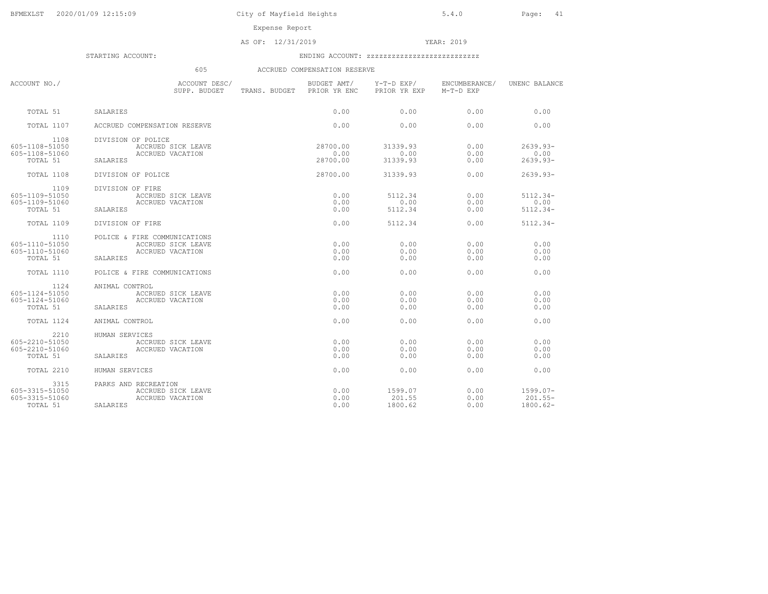Expense Report

AS OF: 12/31/2019 YEAR: 2019

| もしこ | ACCRUED COMPENSATION RESERVE |  |
|-----|------------------------------|--|
|     |                              |  |

| ACCOUNT NO./                                         | ACCOUNT DESC/<br>SUPP. BUDGET TRANS. BUDGET PRIOR YR ENC                           | BUDGET AMT/                  | PRIOR YR EXP                 | Y-T-D EXP/ ENCUMBERANCE/<br>M-T-D EXP | UNENC BALANCE                        |
|------------------------------------------------------|------------------------------------------------------------------------------------|------------------------------|------------------------------|---------------------------------------|--------------------------------------|
| TOTAL 51                                             | SALARIES                                                                           | 0.00                         | 0.00                         | 0.00                                  | 0.00                                 |
| <b>TOTAL 1107</b>                                    | ACCRUED COMPENSATION RESERVE                                                       | 0.00                         | 0.00                         | 0.00                                  | 0.00                                 |
| 1108<br>605-1108-51050<br>605-1108-51060<br>TOTAL 51 | DIVISION OF POLICE<br>ACCRUED SICK LEAVE<br>ACCRUED VACATION<br>SALARIES           | 28700.00<br>0.00<br>28700.00 | 31339.93<br>0.00<br>31339.93 | 0.00<br>0.00<br>0.00                  | $2639.93 -$<br>0.00<br>$2639.93 -$   |
| TOTAL 1108                                           | DIVISION OF POLICE                                                                 | 28700.00                     | 31339.93                     | 0.00                                  | $2639.93 -$                          |
| 1109<br>605-1109-51050<br>605-1109-51060<br>TOTAL 51 | DIVISION OF FIRE<br>ACCRUED SICK LEAVE<br>ACCRUED VACATION<br>SALARIES             | 0.00<br>0.00<br>0.00         | 5112.34<br>0.00<br>5112.34   | 0.00<br>0.00<br>0.00                  | $5112.34-$<br>0.00<br>$5112.34 -$    |
| TOTAL 1109                                           | DIVISION OF FIRE                                                                   | 0.00                         | 5112.34                      | 0.00                                  | $5112.34-$                           |
| 1110<br>605-1110-51050<br>605-1110-51060<br>TOTAL 51 | POLICE & FIRE COMMUNICATIONS<br>ACCRUED SICK LEAVE<br>ACCRUED VACATION<br>SALARIES | 0.00<br>0.00<br>0.00         | 0.00<br>0.00<br>0.00         | 0.00<br>0.00<br>0.00                  | 0.00<br>0.00<br>0.00                 |
| TOTAL 1110                                           | POLICE & FIRE COMMUNICATIONS                                                       | 0.00                         | 0.00                         | 0.00                                  | 0.00                                 |
| 1124<br>605-1124-51050<br>605-1124-51060<br>TOTAL 51 | ANIMAL CONTROL<br>ACCRUED SICK LEAVE<br>ACCRUED VACATION<br>SALARIES               | 0.00<br>0.00<br>0.00         | 0.00<br>0.00<br>0.00         | 0.00<br>0.00<br>0.00                  | 0.00<br>0.00<br>0.00                 |
| TOTAL 1124                                           | ANIMAL CONTROL                                                                     | 0.00                         | 0.00                         | 0.00                                  | 0.00                                 |
| 2210<br>605-2210-51050<br>605-2210-51060<br>TOTAL 51 | HUMAN SERVICES<br>ACCRUED SICK LEAVE<br>ACCRUED VACATION<br>SALARIES               | 0.00<br>0.00<br>0.00         | 0.00<br>0.00<br>0.00         | 0.00<br>0.00<br>0.00                  | 0.00<br>0.00<br>0.00                 |
| TOTAL 2210                                           | HUMAN SERVICES                                                                     | 0.00                         | 0.00                         | 0.00                                  | 0.00                                 |
| 3315<br>605-3315-51050<br>605-3315-51060<br>TOTAL 51 | PARKS AND RECREATION<br>ACCRUED SICK LEAVE<br>ACCRUED VACATION<br>SALARIES         | 0.00<br>0.00<br>0.00         | 1599.07<br>201.55<br>1800.62 | 0.00<br>0.00<br>0.00                  | $1599.07 -$<br>201.55-<br>$1800.62-$ |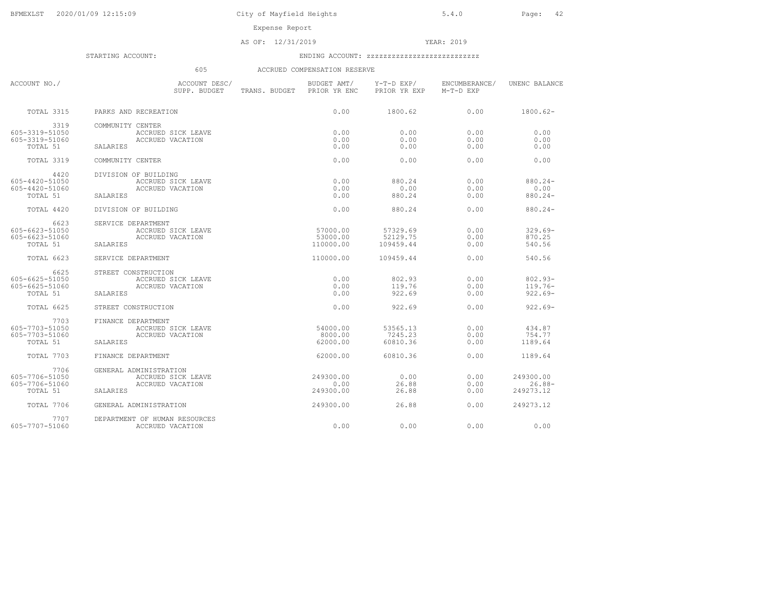AS OF: 12/31/2019 YEAR: 2019

STARTING ACCOUNT: ENDING ACCOUNT: zzzzzzzzzzzzzzzzzzzzzzzzzzz

## 605 ACCRUED COMPENSATION RESERVE

| ACCOUNT NO./      | ACCOUNT DESC/<br>SUPP. BUDGET | BUDGET AMT/<br>TRANS. BUDGET PRIOR YR ENC | Y-T-D EXP/<br>PRIOR YR EXP | ENCUMBERANCE/<br>M-T-D EXP | UNENC BALANCE |
|-------------------|-------------------------------|-------------------------------------------|----------------------------|----------------------------|---------------|
| TOTAL 3315        | PARKS AND RECREATION          | 0.00                                      | 1800.62                    | 0.00                       | $1800.62-$    |
| 3319              | COMMUNITY CENTER              |                                           |                            |                            |               |
| 605-3319-51050    | ACCRUED SICK LEAVE            | 0.00                                      | 0.00                       | 0.00                       | 0.00          |
| 605-3319-51060    | ACCRUED VACATION              | 0.00                                      | 0.00                       | 0.00                       | 0.00          |
| TOTAL 51          | SALARIES                      | 0.00                                      | 0.00                       | 0.00                       | 0.00          |
| TOTAL 3319        | COMMUNITY CENTER              | 0.00                                      | 0.00                       | 0.00                       | 0.00          |
| 4420              | DIVISION OF BUILDING          |                                           |                            |                            |               |
| 605-4420-51050    | ACCRUED SICK LEAVE            | 0.00                                      | 880.24                     | 0.00                       | $880.24 -$    |
| 605-4420-51060    | ACCRUED VACATION              | 0.00                                      | 0.00                       | 0.00                       | 0.00          |
| TOTAL 51          | SALARIES                      | 0.00                                      | 880.24                     | 0.00                       | $880.24 -$    |
| TOTAL 4420        | DIVISION OF BUILDING          | 0.00                                      | 880.24                     | 0.00                       | $880.24 -$    |
| 6623              | SERVICE DEPARTMENT            |                                           |                            |                            |               |
| 605-6623-51050    | ACCRUED SICK LEAVE            | 57000.00                                  | 57329.69                   | 0.00                       | $329.69 -$    |
| 605-6623-51060    | ACCRUED VACATION              | 53000.00                                  | 52129.75                   | 0.00                       | 870.25        |
| TOTAL 51          | SALARIES                      | 110000.00                                 | 109459.44                  | 0.00                       | 540.56        |
| <b>TOTAL 6623</b> | SERVICE DEPARTMENT            | 110000.00                                 | 109459.44                  | 0.00                       | 540.56        |
| 6625              | STREET CONSTRUCTION           |                                           |                            |                            |               |
| 605-6625-51050    | ACCRUED SICK LEAVE            | 0.00                                      | 802.93                     | 0.00                       | $802.93 -$    |
| 605-6625-51060    | ACCRUED VACATION              | 0.00                                      | 119.76                     | 0.00                       | $119.76-$     |
| TOTAL 51          | SALARIES                      | 0.00                                      | 922.69                     | 0.00                       | $922.69 -$    |
| <b>TOTAL 6625</b> | STREET CONSTRUCTION           | 0.00                                      | 922.69                     | 0.00                       | $922.69 -$    |
| 7703              | FINANCE DEPARTMENT            |                                           |                            |                            |               |
| 605-7703-51050    | ACCRUED SICK LEAVE            | 54000.00                                  | 53565.13                   | 0.00                       | 434.87        |
| 605-7703-51060    | ACCRUED VACATION              | 8000.00                                   | 7245.23                    | 0.00                       | 754.77        |
| TOTAL 51          | SALARIES                      | 62000.00                                  | 60810.36                   | 0.00                       | 1189.64       |
|                   |                               |                                           |                            |                            |               |
| TOTAL 7703        | FINANCE DEPARTMENT            | 62000.00                                  | 60810.36                   | 0.00                       | 1189.64       |
| 7706              | GENERAL ADMINISTRATION        |                                           |                            |                            |               |
| 605-7706-51050    | ACCRUED SICK LEAVE            | 249300.00                                 | 0.00                       | 0.00                       | 249300.00     |
| 605-7706-51060    | ACCRUED VACATION              | 0.00                                      | 26.88                      | 0.00                       | $26.88-$      |
| TOTAL 51          | SALARIES                      | 249300.00                                 | 26.88                      | 0.00                       | 249273.12     |
| TOTAL 7706        | GENERAL ADMINISTRATION        | 249300.00                                 | 26.88                      | 0.00                       | 249273.12     |
| 7707              | DEPARTMENT OF HUMAN RESOURCES |                                           |                            |                            |               |
| 605-7707-51060    | ACCRUED VACATION              | 0.00                                      | 0.00                       | 0.00                       | 0.00          |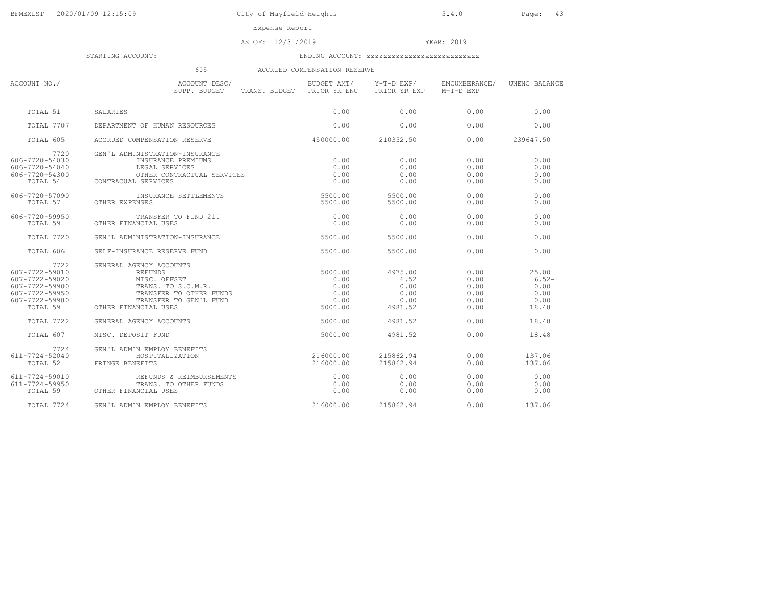AS OF: 12/31/2019 YEAR: 2019

STARTING ACCOUNT: ENDING ACCOUNT: zzzzzzzzzzzzzzzzzzzzzzzzzzz

## 605 ACCRUED COMPENSATION RESERVE

| ACCOUNT NO./                                                                                   | ACCOUNT DESC/<br>SUPP. BUDGET TRANS. BUDGET PRIOR YR ENC                                                                                                       | BUDGET AMT/                                        | Y-T-D EXP/<br>PRIOR YR EXP                         | ENCUMBERANCE/<br>M-T-D EXP                   | UNENC BALANCE                                     |
|------------------------------------------------------------------------------------------------|----------------------------------------------------------------------------------------------------------------------------------------------------------------|----------------------------------------------------|----------------------------------------------------|----------------------------------------------|---------------------------------------------------|
| TOTAL 51                                                                                       | SALARIES                                                                                                                                                       | 0.00                                               | 0.00                                               | 0.00                                         | 0.00                                              |
| TOTAL 7707                                                                                     | DEPARTMENT OF HUMAN RESOURCES                                                                                                                                  | 0.00                                               | 0.00                                               | 0.00                                         | 0.00                                              |
| TOTAL 605                                                                                      | ACCRUED COMPENSATION RESERVE                                                                                                                                   | 450000.00                                          | 210352.50                                          | 0.00                                         | 239647.50                                         |
| 7720<br>606-7720-54030<br>606-7720-54040<br>606-7720-54300                                     | GEN'L ADMINISTRATION-INSURANCE<br>INSURANCE PREMIUMS<br>LEGAL SERVICES<br>OTHER CONTRACTUAL SERVICES<br>-7720-54300 OTHER CONT<br>TOTAL 54 CONTRACUAL SERVICES | 0.00<br>0.00<br>0.00<br>0.00                       | 0.00<br>0.00<br>0.00<br>0.00                       | 0.00<br>0.00<br>0.00<br>0.00                 | 0.00<br>0.00<br>0.00<br>0.00                      |
| 606-7720-57090<br>TOTAL 57                                                                     | INSURANCE SETTLEMENTS<br>OTHER EXPENSES                                                                                                                        | 5500.00<br>5500.00                                 | 5500.00<br>5500.00                                 | 0.00<br>0.00                                 | 0.00<br>0.00                                      |
| 606-7720-59950<br>TOTAL 59                                                                     | TRANSFER TO FUND 211<br>OTHER FINANCIAL USES                                                                                                                   | 0.00<br>0.00                                       | 0.00<br>0.00                                       | 0.00<br>0.00                                 | 0.00<br>0.00                                      |
| TOTAL 7720                                                                                     | GEN'L ADMINISTRATION-INSURANCE                                                                                                                                 | 5500.00                                            | 5500.00                                            | 0.00                                         | 0.00                                              |
| TOTAL 606                                                                                      | SELF-INSURANCE RESERVE FUND                                                                                                                                    | 5500.00                                            | 5500.00                                            | 0.00                                         | 0.00                                              |
| 7722<br>607-7722-59010<br>607-7722-59020<br>607-7722-59900<br>607-7722-59950<br>607-7722-59980 | GENERAL AGENCY ACCOUNTS<br>REFUNDS<br>MISC. OFFSET<br>TRANS. TO S.C.M.R.<br>TRANSFER TO OTHER FUNDS<br>TRANSFER TO GEN'L FUND<br>TOTAL 59 OTHER FINANCIAL USES | 5000.00<br>0.00<br>0.00<br>0.00<br>0.00<br>5000.00 | 4975.00<br>6.52<br>0.00<br>0.00<br>0.00<br>4981.52 | 0.00<br>0.00<br>0.00<br>0.00<br>0.00<br>0.00 | 25.00<br>$6.52-$<br>0.00<br>0.00<br>0.00<br>18.48 |
| <b>TOTAL 7722</b>                                                                              | GENERAL AGENCY ACCOUNTS                                                                                                                                        | 5000.00                                            | 4981.52                                            | 0.00                                         | 18.48                                             |
| TOTAL 607                                                                                      | MISC. DEPOSIT FUND                                                                                                                                             | 5000.00                                            | 4981.52                                            | 0.00                                         | 18.48                                             |
| 7724<br>611-7724-52040<br>TOTAL 52                                                             | GEN'L ADMIN EMPLOY BENEFITS<br>HOSPITALIZATION<br>FRINGE BENEFITS                                                                                              | 216000.00<br>216000.00                             | 215862.94<br>215862.94                             | 0.00<br>0.00                                 | 137.06<br>137.06                                  |
| 611-7724-59010<br>611-7724-59950<br>TOTAL 59                                                   | REFUNDS & REIMBURSEMENTS<br>TRANS. TO OTHER FUNDS<br>OTHER FINANCIAL USES                                                                                      | $\sim$ 0.00<br>0.00<br>0.00                        | 0.00<br>0.00<br>0.00                               | 0.00<br>0.00<br>0.00                         | 0.00<br>0.00<br>0.00                              |
| TOTAL 7724                                                                                     | GEN'L ADMIN EMPLOY BENEFITS                                                                                                                                    | 216000.00                                          | 215862.94                                          | 0.00                                         | 137.06                                            |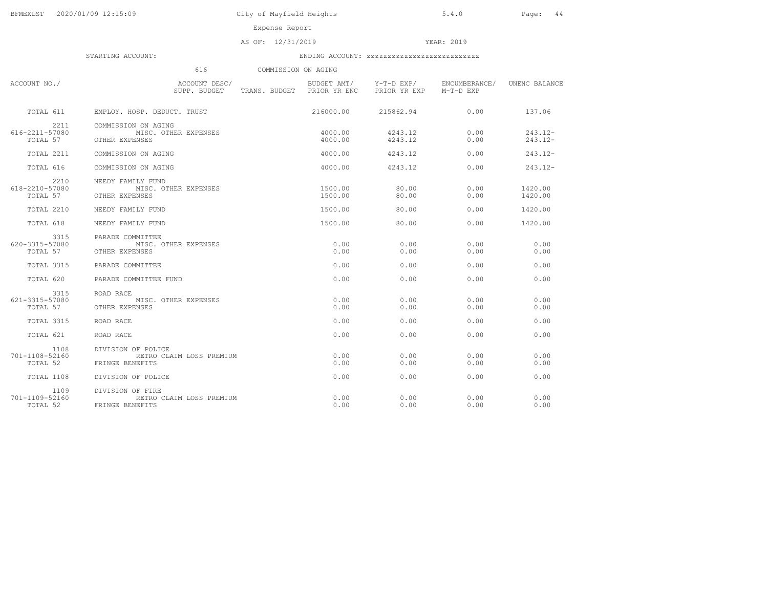Expense Report

AS OF: 12/31/2019 YEAR: 2019

|                                    | 616                                                               | COMMISSION ON AGING        |                                        |                            |                          |
|------------------------------------|-------------------------------------------------------------------|----------------------------|----------------------------------------|----------------------------|--------------------------|
| ACCOUNT NO./                       | ACCOUNT DESC/<br>SUPP. BUDGET                                     | TRANS. BUDGET PRIOR YR ENC | BUDGET AMT/ Y-T-D EXP/<br>PRIOR YR EXP | ENCUMBERANCE/<br>M-T-D EXP | UNENC BALANCE            |
| TOTAL 611                          | EMPLOY, HOSP, DEDUCT, TRUST                                       | 216000.00                  | 215862.94                              | 0.00                       | 137.06                   |
| 2211<br>616-2211-57080<br>TOTAL 57 | COMMISSION ON AGING<br>MISC. OTHER EXPENSES<br>OTHER EXPENSES     | 4000.00<br>4000.00         | 4243.12<br>4243.12                     | 0.00<br>0.00               | $243.12 -$<br>$243.12 -$ |
| TOTAL 2211                         | COMMISSION ON AGING                                               | 4000.00                    | 4243.12                                | 0.00                       | $243.12 -$               |
| TOTAL 616                          | COMMISSION ON AGING                                               | 4000.00                    | 4243.12                                | 0.00                       | $243.12 -$               |
| 2210<br>618-2210-57080<br>TOTAL 57 | NEEDY FAMILY FUND<br>MISC. OTHER EXPENSES<br>OTHER EXPENSES       | 1500.00<br>1500.00         | 80.00<br>80.00                         | 0.00<br>0.00               | 1420.00<br>1420.00       |
| TOTAL 2210                         | NEEDY FAMILY FUND                                                 | 1500.00                    | 80.00                                  | 0.00                       | 1420.00                  |
| TOTAL 618                          | NEEDY FAMILY FUND                                                 | 1500.00                    | 80.00                                  | 0.00                       | 1420.00                  |
| 3315<br>620-3315-57080<br>TOTAL 57 | PARADE COMMITTEE<br>MISC. OTHER EXPENSES<br>OTHER EXPENSES        | 0.00<br>0.00               | 0.00<br>0.00                           | 0.00<br>0.00               | 0.00<br>0.00             |
| TOTAL 3315                         | PARADE COMMITTEE                                                  | 0.00                       | 0.00                                   | 0.00                       | 0.00                     |
| TOTAL 620                          | PARADE COMMITTEE FUND                                             | 0.00                       | 0.00                                   | 0.00                       | 0.00                     |
| 3315<br>621-3315-57080<br>TOTAL 57 | ROAD RACE<br>MISC. OTHER EXPENSES<br>OTHER EXPENSES               | 0.00<br>0.00               | 0.00<br>0.00                           | 0.00<br>0.00               | 0.00<br>0.00             |
| TOTAL 3315                         | ROAD RACE                                                         | 0.00                       | 0.00                                   | 0.00                       | 0.00                     |
| TOTAL 621                          | ROAD RACE                                                         | 0.00                       | 0.00                                   | 0.00                       | 0.00                     |
| 1108<br>701-1108-52160<br>TOTAL 52 | DIVISION OF POLICE<br>RETRO CLAIM LOSS PREMIUM<br>FRINGE BENEFITS | 0.00<br>0.00               | 0.00<br>0.00                           | 0.00<br>0.00               | 0.00<br>0.00             |
| TOTAL 1108                         | DIVISION OF POLICE                                                | 0.00                       | 0.00                                   | 0.00                       | 0.00                     |
| 1109<br>701-1109-52160<br>TOTAL 52 | DIVISION OF FIRE<br>RETRO CLAIM LOSS PREMIUM<br>FRINGE BENEFITS   | 0.00<br>0.00               | 0.00<br>0.00                           | 0.00<br>0.00               | 0.00<br>0.00             |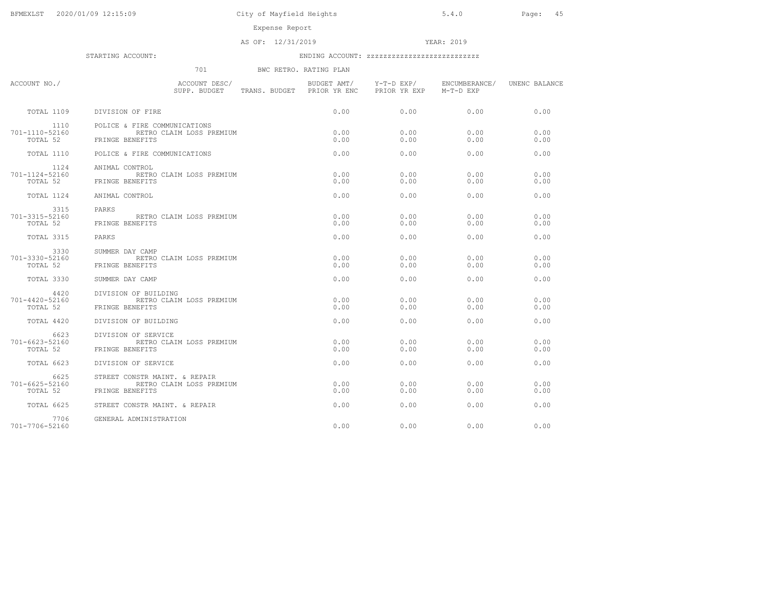Expense Report

AS OF: 12/31/2019 YEAR: 2019

STARTING ACCOUNT: ENDING ACCOUNT: zzzzzzzzzzzzzzzzzzzzzzzzzzz

701 BWC RETRO. RATING PLAN

| ACCOUNT NO./                             | ACCOUNT DESC/<br>SUPP. BUDGET TRANS. BUDGET PRIOR YR ENC                     | BUDGET AMT/  | Y-T-D EXP/<br>PRIOR YR EXP | ENCUMBERANCE/<br>M-T-D EXP | UNENC BALANCE |
|------------------------------------------|------------------------------------------------------------------------------|--------------|----------------------------|----------------------------|---------------|
| TOTAL 1109                               | DIVISION OF FIRE                                                             | 0.00         | 0.00                       | 0.00                       | 0.00          |
| 1110<br>701-1110-52160<br>TOTAL 52       | POLICE & FIRE COMMUNICATIONS<br>RETRO CLAIM LOSS PREMIUM<br>FRINGE BENEFITS  | 0.00<br>0.00 | 0.00<br>0.00               | 0.00<br>0.00               | 0.00<br>0.00  |
| TOTAL 1110                               | POLICE & FIRE COMMUNICATIONS                                                 | 0.00         | 0.00                       | 0.00                       | 0.00          |
| 1124<br>701-1124-52160<br>TOTAL 52       | ANIMAL CONTROL<br>RETRO CLAIM LOSS PREMIUM<br>FRINGE BENEFITS                | 0.00<br>0.00 | 0.00<br>0.00               | 0.00<br>0.00               | 0.00<br>0.00  |
| TOTAL 1124                               | ANIMAL CONTROL                                                               | 0.00         | 0.00                       | 0.00                       | 0.00          |
| 3315<br>701-3315-52160<br>TOTAL 52       | PARKS<br>RETRO CLAIM LOSS PREMIUM<br>FRINGE BENEFITS                         | 0.00<br>0.00 | 0.00<br>0.00               | 0.00<br>0.00               | 0.00<br>0.00  |
| TOTAL 3315                               | PARKS                                                                        | 0.00         | 0.00                       | 0.00                       | 0.00          |
| 3330<br>701-3330-52160<br>TOTAL 52       | SUMMER DAY CAMP<br>RETRO CLAIM LOSS PREMIUM<br>FRINGE BENEFITS               | 0.00<br>0.00 | 0.00<br>0.00               | 0.00<br>0.00               | 0.00<br>0.00  |
| TOTAL 3330                               | SUMMER DAY CAMP                                                              | 0.00         | 0.00                       | 0.00                       | 0.00          |
| 4420<br>701-4420-52160<br>TOTAL 52       | DIVISION OF BUILDING<br>RETRO CLAIM LOSS PREMIUM<br>FRINGE BENEFITS          | 0.00<br>0.00 | 0.00<br>0.00               | 0.00<br>0.00               | 0.00<br>0.00  |
| TOTAL 4420                               | DIVISION OF BUILDING                                                         | 0.00         | 0.00                       | 0.00                       | 0.00          |
| 6623<br>$701 - 6623 - 52160$<br>TOTAL 52 | DIVISION OF SERVICE<br>RETRO CLAIM LOSS PREMIUM<br>FRINGE BENEFITS           | 0.00<br>0.00 | 0.00<br>0.00               | 0.00<br>0.00               | 0.00<br>0.00  |
| TOTAL 6623                               | DIVISION OF SERVICE                                                          | 0.00         | 0.00                       | 0.00                       | 0.00          |
| 6625<br>701-6625-52160<br>TOTAL 52       | STREET CONSTR MAINT. & REPAIR<br>RETRO CLAIM LOSS PREMIUM<br>FRINGE BENEFITS | 0.00<br>0.00 | 0.00<br>0.00               | 0.00<br>0.00               | 0.00<br>0.00  |
| TOTAL 6625                               | STREET CONSTR MAINT. & REPAIR                                                | 0.00         | 0.00                       | 0.00                       | 0.00          |
| 7706<br>701-7706-52160                   | GENERAL ADMINISTRATION                                                       | 0.00         | 0.00                       | 0.00                       | 0.00          |